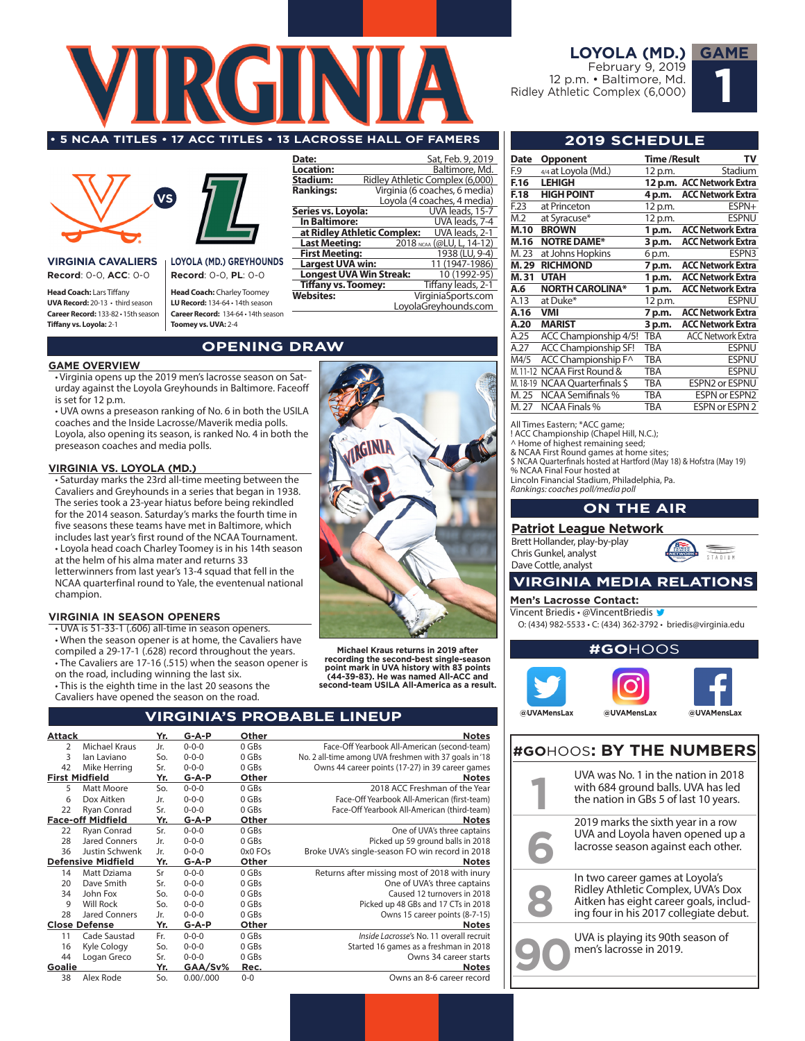

#### **• 5 NCAA TITLES • 17 ACC TITLES • 13 LACROSSE HALL OF FAMERS 2019 SCHEDULE**



**VIRGINIA CAVALIERS Record**: 0-0, **ACC**: 0-0

**Head Coach:** Lars Tiffany **UVA Record:** 20-13 • third season **Career Record:** 133-82 • 15th season **Tiffany vs. Loyola:** 2-1

**LOYOLA (MD.) GREYHOUNDS Record**: 0-0, **PL**: 0-0

**Head Coach:** Charley Toomey **LU Record:** 134-64 • 14th season **Career Record:** 134-64 • 14th season **Toomey vs. UVA:** 2-4

#### **Date:** Sat, Feb. 9, 2019<br> **Location:** Baltimore, Md. **Location:** Baltimore, Md.<br>**Stadium:** Ridley Athletic Complex (6,000) **Stadium:** Ridley Athletic Complex (6,000)<br>**Rankings:** Virginia (6 coaches, 6 media) **Rankings:** Virginia (6 coaches, 6 media) Loyola (4 coaches, 4 media)<br>UVA leads, 15-7 **Series vs. Loyola:** UVA leads, 15-7<br> **In Baltimore:** UVA leads, 7-4<br> **at Ridley Athletic Complex:** UVA leads, 2-1 **In Baltimore:** UVA leads, 7-4 **at Ridley Athletic Complex:** UVA leads, 2-1 **Last Meeting:** 2018 NCAA (@LU, L, 14-12)<br>**First Meeting:** 1938 (LU, 9-4) **First Meeting:** 1938 (LU, 9-4)<br> **Largest UVA win:** 11 (1947-1986) **Largest UVA win:** 11 (1947-1986)<br> **Longest UVA Win Streak:** 10 (1992-95) **Longest UVA Win Streak:** 10 (1992-95)<br>**Tiffany vs. Toomey:** Tiffany leads, 2-1 **Tiffany vs. Toomey:**<br>Websites: **Websites:** VirginiaSports.com LoyolaGreyhounds.com

## **OPENING DRAW**

#### **GAME OVERVIEW**

• Virginia opens up the 2019 men's lacrosse season on Saturday against the Loyola Greyhounds in Baltimore. Faceoff is set for 12 p.m.

• UVA owns a preseason ranking of No. 6 in both the USILA coaches and the Inside Lacrosse/Maverik media polls. Loyola, also opening its season, is ranked No. 4 in both the preseason coaches and media polls.

#### **VIRGINIA VS. LOYOLA (MD.)**

• Saturday marks the 23rd all-time meeting between the Cavaliers and Greyhounds in a series that began in 1938. The series took a 23-year hiatus before being rekindled for the 2014 season. Saturday's marks the fourth time in five seasons these teams have met in Baltimore, which includes last year's first round of the NCAA Tournament. • Loyola head coach Charley Toomey is in his 14th season at the helm of his alma mater and returns 33 letterwinners from last year's 13-4 squad that fell in the NCAA quarterfinal round to Yale, the eventenual national champion.

#### **VIRGINIA IN SEASON OPENERS**

• UVA is 51-33-1 (.606) all-time in season openers. • When the season opener is at home, the Cavaliers have compiled a 29-17-1 (.628) record throughout the years.

• The Cavaliers are 17-16 (.515) when the season opener is

on the road, including winning the last six. • This is the eighth time in the last 20 seasons the

Cavaliers have opened the season on the road.



**Michael Kraus returns in 2019 after recording the second-best single-season point mark in UVA history with 83 points (44-39-83). He was named All-ACC and second-team USILA All-America as a result.**

## **VIRGINIA'S PROBABLE LINEUP**

| <b>Notes</b>                                           | Other   | $G-A-P$     | Yr. |                           | Attack         |
|--------------------------------------------------------|---------|-------------|-----|---------------------------|----------------|
| Face-Off Yearbook All-American (second-team)           | 0 GBs   | $0 - 0 - 0$ | Jr. | Michael Kraus             | $\overline{2}$ |
| No. 2 all-time among UVA freshmen with 37 goals in '18 | 0 GBs   | $0 - 0 - 0$ | So. | lan Laviano               | 3              |
| Owns 44 career points (17-27) in 39 career games       | 0 GBs   | $0 - 0 - 0$ | Sr. | Mike Herring              | 42             |
| <b>Notes</b>                                           | Other   | $G - A - P$ | Yr. | <b>First Midfield</b>     |                |
| 2018 ACC Freshman of the Year                          | 0 GBs   | $0 - 0 - 0$ | So. | Matt Moore                | 5              |
| Face-Off Yearbook All-American (first-team)            | $0$ GBs | $0 - 0 - 0$ | Jr. | Dox Aitken                | 6              |
| Face-Off Yearbook All-American (third-team)            | 0 GBs   | $0 - 0 - 0$ | Sr. | Ryan Conrad               | 22             |
| <b>Notes</b>                                           | Other   | $G - A - P$ | Yr. | <b>Face-off Midfield</b>  |                |
| One of UVA's three captains                            | 0 GBs   | $0 - 0 - 0$ | Sr. | Ryan Conrad               | 22             |
| Picked up 59 ground balls in 2018                      | $0$ GBs | $0 - 0 - 0$ | Jr. | Jared Conners             | 28             |
| Broke UVA's single-season FO win record in 2018        | 0x0 FOs | $0 - 0 - 0$ | Jr. | Justin Schwenk            | 36             |
| <b>Notes</b>                                           | Other   | $G - A - P$ | Yr. | <b>Defensive Midfield</b> |                |
| Returns after missing most of 2018 with inury          | 0 GBs   | $0 - 0 - 0$ | Sr  | Matt Dziama               | 14             |
| One of UVA's three captains                            | 0 GBs   | $0 - 0 - 0$ | Sr. | Dave Smith                | 20             |
| Caused 12 turnovers in 2018                            | 0 GBs   | $0 - 0 - 0$ | So. | John Fox                  | 34             |
| Picked up 48 GBs and 17 CTs in 2018                    | 0 GBs   | $0 - 0 - 0$ | So. | <b>Will Rock</b>          | 9              |
| Owns 15 career points (8-7-15)                         | 0 GBs   | $0 - 0 - 0$ | Jr. | Jared Conners             | 28             |
| <b>Notes</b>                                           | Other   | $G - A - P$ | Yr. | <b>Close Defense</b>      |                |
| Inside Lacrosse's No. 11 overall recruit               | 0 GBs   | $0 - 0 - 0$ | Fr. | Cade Saustad              | 11             |
| Started 16 games as a freshman in 2018                 | 0 GBs   | $0 - 0 - 0$ | So. | Kyle Cology               | 16             |
| Owns 34 career starts                                  | 0 GBs   | $0 - 0 - 0$ | Sr. | Logan Greco               | 44             |
| <b>Notes</b>                                           | Rec.    | GAA/Sv%     | Yr. |                           | Goalie         |
| Owns an 8-6 career record                              | $0 - 0$ | 0.00/0.000  | So. | Alex Rode                 | 38             |

#### **LOYOLA (MD.) GAME**

February 9, 2019 12 p.m. • Baltimore, Md. Ridley Athletic Complex (6,000)



| Date     | <b>Opponent</b>             | Time /Result | т۷                        |
|----------|-----------------------------|--------------|---------------------------|
| F.9      | 4/4 at Loyola (Md.)         | 12 p.m.      | Stadium                   |
| F.16     | <b>LEHIGH</b>               |              | 12 p.m. ACC Network Extra |
| F.18     | <b>HIGH POINT</b>           | 4 p.m.       | <b>ACC Network Extra</b>  |
| F.23     | at Princeton                | 12 p.m.      | ESPN+                     |
| M.2      | at Syracuse*                | 12 p.m.      | <b>ESPNU</b>              |
| M.10     | <b>BROWN</b>                | 1 p.m.       | <b>ACC Network Extra</b>  |
| M.16     | <b>NOTRE DAME*</b>          | 3 p.m.       | <b>ACC Network Extra</b>  |
| M. 23    | at Johns Hopkins            | 6 p.m.       | ESPN3                     |
| M.29     | <b>RICHMOND</b>             | 7 p.m.       | <b>ACC Network Extra</b>  |
| M.31     | <b>UTAH</b>                 | 1 p.m.       | <b>ACC Network Extra</b>  |
| A.6      | <b>NORTH CAROLINA*</b>      | 1 p.m.       | <b>ACC Network Extra</b>  |
| A.13     | at Duke*                    | 12 p.m.      | ESPNU                     |
| A.16     | <b>VMI</b>                  | 7 p.m.       | <b>ACC Network Extra</b>  |
| A.20     | <b>MARIST</b>               | 3 p.m.       | <b>ACC Network Extra</b>  |
| A.25     | ACC Championship 4/5!       | TBA          | <b>ACC Network Extra</b>  |
| A.27     | <b>ACC Championship SF!</b> | TBA          | ESPNU                     |
| M4/5     | ACC Championship F^         | <b>TBA</b>   | <b>ESPNU</b>              |
| M. 11-12 | NCAA First Round &          | TBA          | ESPNU                     |
| M. 18-19 | NCAA Quarterfinals \$       | TBA          | <b>ESPN2 or ESPNU</b>     |
| M.25     | <b>NCAA Semifinals %</b>    | TBA          | <b>ESPN or ESPN2</b>      |
| M. 27    | <b>NCAA Finals %</b>        | TBA          | <b>ESPN or ESPN 2</b>     |

All Times Eastern; \*ACC game;

! ACC Championship (Chapel Hill, N.C.);

^ Home of highest remaining seed; & NCAA First Round games at home sites; \$ NCAA Quarterfinals hosted at Hartford (May 18) & Hofstra (May 19)

% NCAA Final Four hosted at Lincoln Financial Stadium, Philadelphia, Pa.

*Rankings: coaches poll/media poll*

#### **ON THE AIR**

#### **Patriot League Network**

Brett Hollander, play-by-play Chris Gunkel, analyst Dave Cottle, analyst



#### **VIRGINIA MEDIA RELATIONS**

**Men's Lacrosse Contact:** 

Vincent Briedis • @VincentBriedis

O: (434) 982-5533 • C: (434) 362-3792 • briedis@virginia.edu



## **#GO**HOOS**: BY THE NUMBERS**

| UVA was No. 1 in the nation in 2018<br>with 684 ground balls. UVA has led<br>the nation in GBs 5 of last 10 years.                                        |
|-----------------------------------------------------------------------------------------------------------------------------------------------------------|
| 2019 marks the sixth year in a row<br>UVA and Loyola haven opened up a<br>lacrosse season against each other.                                             |
| In two career games at Loyola's<br>Ridley Athletic Complex, UVA's Dox<br>Aitken has eight career goals, includ-<br>ing four in his 2017 collegiate debut. |
| UVA is playing its 90th season of<br>men's lacrosse in 2019.                                                                                              |
|                                                                                                                                                           |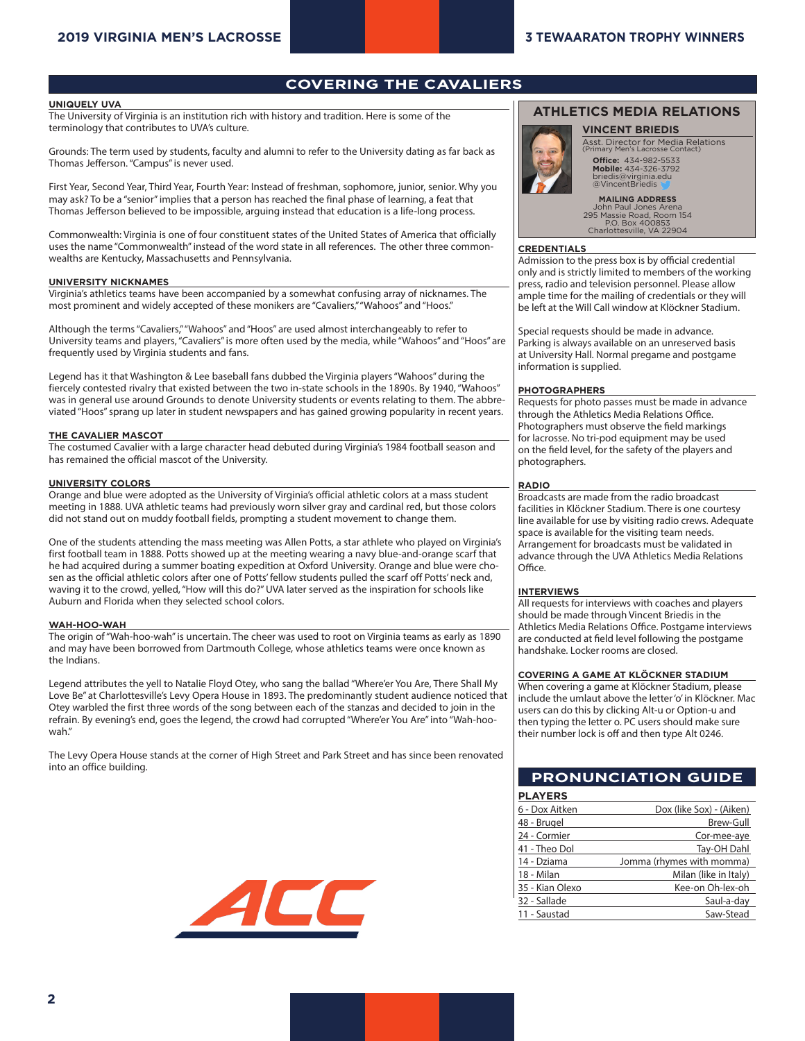## **COVERING THE CAVALIERS**

#### **UNIQUELY UVA**

The University of Virginia is an institution rich with history and tradition. Here is some of the terminology that contributes to UVA's culture.

Grounds: The term used by students, faculty and alumni to refer to the University dating as far back as Thomas Jefferson. "Campus" is never used.

First Year, Second Year, Third Year, Fourth Year: Instead of freshman, sophomore, junior, senior. Why you may ask? To be a "senior" implies that a person has reached the final phase of learning, a feat that Thomas Jefferson believed to be impossible, arguing instead that education is a life-long process.

Commonwealth: Virginia is one of four constituent states of the United States of America that officially uses the name "Commonwealth" instead of the word state in all references. The other three commonwealths are Kentucky, Massachusetts and Pennsylvania.

#### **UNIVERSITY NICKNAMES**

Virginia's athletics teams have been accompanied by a somewhat confusing array of nicknames. The most prominent and widely accepted of these monikers are "Cavaliers," "Wahoos" and "Hoos."

Although the terms "Cavaliers," "Wahoos" and "Hoos" are used almost interchangeably to refer to University teams and players, "Cavaliers" is more often used by the media, while "Wahoos" and "Hoos" are frequently used by Virginia students and fans.

Legend has it that Washington & Lee baseball fans dubbed the Virginia players "Wahoos" during the fiercely contested rivalry that existed between the two in-state schools in the 1890s. By 1940, "Wahoos" was in general use around Grounds to denote University students or events relating to them. The abbreviated "Hoos" sprang up later in student newspapers and has gained growing popularity in recent years.

#### **THE CAVALIER MASCOT**

The costumed Cavalier with a large character head debuted during Virginia's 1984 football season and has remained the official mascot of the University.

#### **UNIVERSITY COLORS**

Orange and blue were adopted as the University of Virginia's official athletic colors at a mass student meeting in 1888. UVA athletic teams had previously worn silver gray and cardinal red, but those colors did not stand out on muddy football fields, prompting a student movement to change them.

One of the students attending the mass meeting was Allen Potts, a star athlete who played on Virginia's first football team in 1888. Potts showed up at the meeting wearing a navy blue-and-orange scarf that he had acquired during a summer boating expedition at Oxford University. Orange and blue were chosen as the official athletic colors after one of Potts' fellow students pulled the scarf off Potts' neck and, waving it to the crowd, yelled, "How will this do?" UVA later served as the inspiration for schools like Auburn and Florida when they selected school colors.

#### **WAH-HOO-WAH**

The origin of "Wah-hoo-wah" is uncertain. The cheer was used to root on Virginia teams as early as 1890 and may have been borrowed from Dartmouth College, whose athletics teams were once known as the Indians.

Legend attributes the yell to Natalie Floyd Otey, who sang the ballad "Where'er You Are, There Shall My Love Be" at Charlottesville's Levy Opera House in 1893. The predominantly student audience noticed that Otey warbled the first three words of the song between each of the stanzas and decided to join in the refrain. By evening's end, goes the legend, the crowd had corrupted "Where'er You Are" into "Wah-hoowah."

The Levy Opera House stands at the corner of High Street and Park Street and has since been renovated into an office building.



#### **ATHLETICS MEDIA RELATIONS**



Asst. Director for Media Relations (Primary Men's Lacrosse Contact)

**Office:** 434-982-5533 **Mobile:** 434-326-3792 briedis@virginia.edu briedis@virginia.e<br>@VincentBriedis

**MAILING ADDRESS** John Paul Jones Arena 295 Massie Road, Room 154 P.O. Box 400853 Charlottesville, VA 22904

#### **CREDENTIALS**

Admission to the press box is by official credential only and is strictly limited to members of the working press, radio and television personnel. Please allow ample time for the mailing of credentials or they will be left at the Will Call window at Klöckner Stadium.

Special requests should be made in advance. Parking is always available on an unreserved basis at University Hall. Normal pregame and postgame information is supplied.

#### **PHOTOGRAPHERS**

Requests for photo passes must be made in advance through the Athletics Media Relations Office. Photographers must observe the field markings for lacrosse. No tri-pod equipment may be used on the field level, for the safety of the players and photographers.

#### **RADIO**

Broadcasts are made from the radio broadcast facilities in Klöckner Stadium. There is one courtesy line available for use by visiting radio crews. Adequate space is available for the visiting team needs. Arrangement for broadcasts must be validated in advance through the UVA Athletics Media Relations Office.

#### **INTERVIEWS**

All requests for interviews with coaches and players should be made through Vincent Briedis in the Athletics Media Relations Office. Postgame interviews are conducted at field level following the postgame handshake. Locker rooms are closed.

#### **COVERING A GAME AT KLÖCKNER STADIUM**

When covering a game at Klöckner Stadium, please include the umlaut above the letter 'o' in Klöckner. Mac users can do this by clicking Alt-u or Option-u and then typing the letter o. PC users should make sure their number lock is off and then type Alt 0246.

### **PRONUNCIATION GUIDE**

| <b>PLAYERS</b>  |                           |
|-----------------|---------------------------|
| 6 - Dox Aitken  | Dox (like Sox) - (Aiken)  |
| 48 - Brugel     | Brew-Gull                 |
| 24 - Cormier    | Cor-mee-aye               |
| 41 - Theo Dol   | Tay-OH Dahl               |
| 14 - Dziama     | Jomma (rhymes with momma) |
| 18 - Milan      | Milan (like in Italy)     |
| 35 - Kian Olexo | Kee-on Oh-lex-oh          |
| 32 - Sallade    | Saul-a-day                |
| 11 - Saustad    | Saw-Stead                 |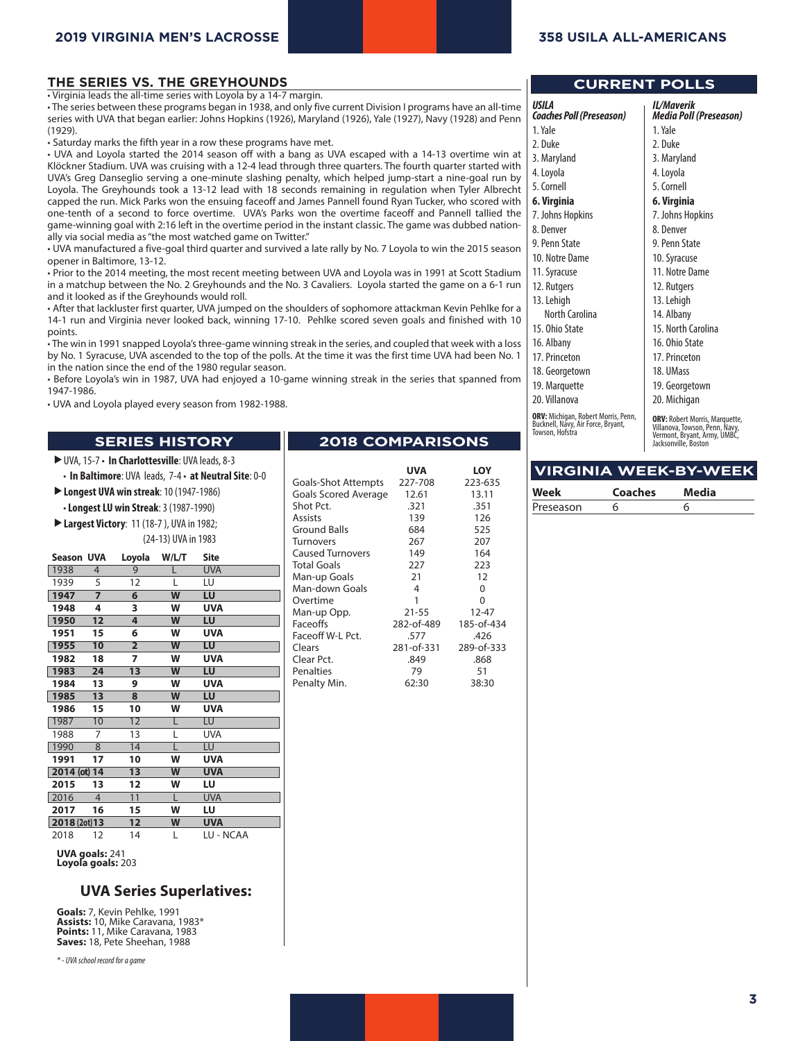#### **THE SERIES VS. THE GREYHOUNDS**

• Virginia leads the all-time series with Loyola by a 14-7 margin.

• The series between these programs began in 1938, and only five current Division I programs have an all-time series with UVA that began earlier: Johns Hopkins (1926), Maryland (1926), Yale (1927), Navy (1928) and Penn (1929).

• Saturday marks the fifth year in a row these programs have met.

• UVA and Loyola started the 2014 season off with a bang as UVA escaped with a 14-13 overtime win at Klöckner Stadium. UVA was cruising with a 12-4 lead through three quarters. The fourth quarter started with UVA's Greg Danseglio serving a one-minute slashing penalty, which helped jump-start a nine-goal run by Loyola. The Greyhounds took a 13-12 lead with 18 seconds remaining in regulation when Tyler Albrecht capped the run. Mick Parks won the ensuing faceoff and James Pannell found Ryan Tucker, who scored with one-tenth of a second to force overtime. UVA's Parks won the overtime faceoff and Pannell tallied the game-winning goal with 2:16 left in the overtime period in the instant classic. The game was dubbed nationally via social media as "the most watched game on Twitter."

• UVA manufactured a five-goal third quarter and survived a late rally by No. 7 Loyola to win the 2015 season opener in Baltimore, 13-12.

• Prior to the 2014 meeting, the most recent meeting between UVA and Loyola was in 1991 at Scott Stadium in a matchup between the No. 2 Greyhounds and the No. 3 Cavaliers. Loyola started the game on a 6-1 run and it looked as if the Greyhounds would roll.

• After that lackluster first quarter, UVA jumped on the shoulders of sophomore attackman Kevin Pehlke for a 14-1 run and Virginia never looked back, winning 17-10. Pehlke scored seven goals and finished with 10 points.

• The win in 1991 snapped Loyola's three-game winning streak in the series, and coupled that week with a loss by No. 1 Syracuse, UVA ascended to the top of the polls. At the time it was the first time UVA had been No. 1 in the nation since the end of the 1980 regular season.

• Before Loyola's win in 1987, UVA had enjoyed a 10-game winning streak in the series that spanned from 1947-1986.

• UVA and Loyola played every season from 1982-1988.

#### **SERIES HISTORY**

UVA, 15-7 • **In Charlottesville**: UVA leads, 8-3

• **In Baltimore**: UVA leads, 7-4 • **at Neutral Site**: 0-0

- **Longest UVA win streak**: 10 (1947-1986)
	- **Longest LU win Streak**: 3 (1987-1990)
- **Largest Victory**: 11 (18-7 ), UVA in 1982; (24-13) UVA in 1983

| <b>Season UVA</b> |    | Loyola          | W/L/T                   | Site       |
|-------------------|----|-----------------|-------------------------|------------|
| 1938              | 4  | 9               |                         | <b>UVA</b> |
| 1939              | 5  | 12              | L                       | LU         |
| 1947              | 7  | 6               | W                       | LU         |
| 1948              | 4  | 3               | W                       | <b>UVA</b> |
| 1950              | 12 | 4               | W                       | LU         |
| 1951              | 15 | 6               | W                       | <b>UVA</b> |
| 1955              | 10 | $\overline{2}$  | $\overline{\mathsf{w}}$ | LU         |
| 1982              | 18 | 7               | W                       | <b>UVA</b> |
| 1983              | 24 | 13              | W                       | LU         |
| 1984              | 13 | 9               | W                       | <b>UVA</b> |
| 1985              | 13 | 8               | W                       | LU         |
| 1986              | 15 | 10              | W                       | <b>UVA</b> |
| 1987              | 10 | $\overline{12}$ | L                       | LU         |
| 1988              | 7  | 13              | L                       | <b>UVA</b> |
| 1990              | 8  | 14              | L                       | LU         |
| 1991              | 17 | 10              | W                       | <b>UVA</b> |
| 2014 (ot) 14      |    | 13              | W                       | <b>UVA</b> |
| 2015              | 13 | 12              | W                       | LU         |
| 2016              | 4  | 11              | L                       | <b>UVA</b> |
| 2017              | 16 | 15              | W                       | LU         |
| 2018 (2ot) 13     |    | 12              | W                       | <b>UVA</b> |
| 2018              | 12 | 14              | L                       | LU - NCAA  |

**UVA goals:** 241 **Loyola goals:** 203

#### **UVA Series Superlatives:**

**Goals:** 7, Kevin Pehlke, 1991 **Assists:** 10, Mike Caravana, 1983\* **Points:** 11, Mike Caravana, 1983 **Saves:** 18, Pete Sheehan, 1988

*\* - UVA school record for a game*

## **2018 COMPARISONS**

|                      | <b>UVA</b> | LOY        |
|----------------------|------------|------------|
| Goals-Shot Attempts  | 227-708    | 223-635    |
| Goals Scored Average | 12.61      | 13.11      |
| Shot Pct.            | .321       | .351       |
| Assists              | 139        | 126        |
| Ground Balls         | 684        | 525        |
| <b>Turnovers</b>     | 267        | 207        |
| Caused Turnovers     | 149        | 164        |
| Total Goals          | 227        | 223        |
| Man-up Goals         | 21         | 12         |
| Man-down Goals       | 4          | 0          |
| Overtime             | 1          | 0          |
| Man-up Opp.          | $21 - 55$  | $12 - 47$  |
| Faceoffs             | 282-of-489 | 185-of-434 |
| Faceoff W-L Pct.     | .577       | .426       |
| Clears               | 281-of-331 | 289-of-333 |
| Clear Pct.           | .849       | .868       |
| Penalties            | 79         | 51         |
| Penalty Min.         | 62:30      | 38:30      |

#### **CURRENT POLLS**

| USILA<br>Coaches Poll (Preseason)                                         | <b>IL/Maverik</b><br>Media Poll (Preseason)                          |
|---------------------------------------------------------------------------|----------------------------------------------------------------------|
| 1. Yale                                                                   | 1. Yale                                                              |
| 2. Duke                                                                   | 2. Duke                                                              |
| 3. Maryland                                                               | 3. Maryland                                                          |
| 4. Loyola                                                                 | 4. Loyola                                                            |
| 5. Cornell                                                                | 5. Cornell                                                           |
| 6. Virginia                                                               | 6. Virginia                                                          |
| 7. Johns Hopkins                                                          | 7. Johns Hopkins                                                     |
| 8. Denver                                                                 | 8. Denver                                                            |
| 9. Penn State                                                             | 9. Penn State                                                        |
| 10. Notre Dame                                                            | 10. Syracuse                                                         |
| 11. Syracuse                                                              | 11. Notre Dame                                                       |
| 12. Rutgers                                                               | 12. Rutgers                                                          |
| 13. Lehigh                                                                | 13. Lehigh                                                           |
| North Carolina                                                            | 14. Albany                                                           |
| 15. Ohio State                                                            | 15. North Carolina                                                   |
| 16. Albany                                                                | 16. Ohio State                                                       |
| 17. Princeton                                                             | 17. Princeton                                                        |
| 18. Georgetown                                                            | 18. UMass                                                            |
| 19. Marquette                                                             | 19. Georgetown                                                       |
| 20. Villanova                                                             | 20. Michigan                                                         |
| ORV: Michigan, Robert Morris, Penn,<br>Bucknell, Navy, Air Force, Brvant, | <b>ORV:</b> Robert Morris, Marquette,<br>Villanova Tourcon Donn Navy |

**ORV:** Michigan, Robert Morris, Penn,<br>Bucknell, Navy, Air Force, Bryant,<br>Towson, Hofstra

**ORV:** Robert Morris, Marquette,<br>Villanova, Towson, Penn, Navy,<br>Vermont, Bryant, Army, UMBC, Jacksonville, Boston

### **VIRGINIA WEEK-BY-WEEK**

| Week      | <b>Coaches</b> | Media |
|-----------|----------------|-------|
| Preseason |                |       |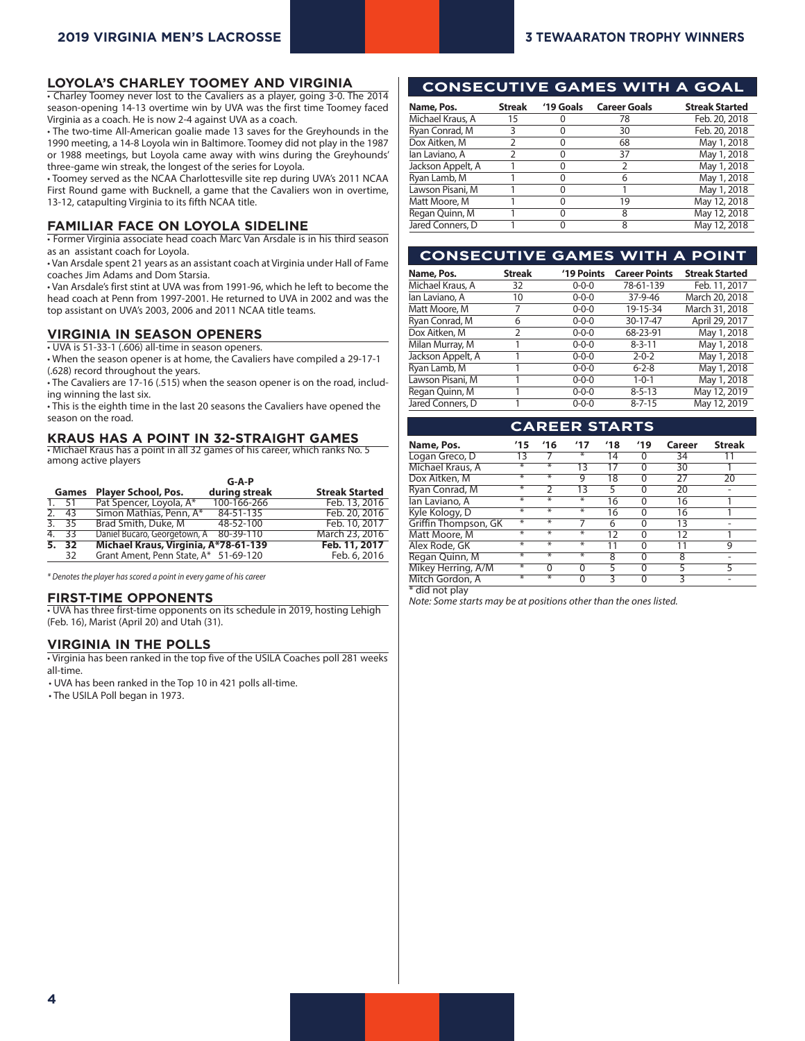#### **LOYOLA'S CHARLEY TOOMEY AND VIRGINIA**

• Charley Toomey never lost to the Cavaliers as a player, going 3-0. The 2014 season-opening 14-13 overtime win by UVA was the first time Toomey faced Virginia as a coach. He is now 2-4 against UVA as a coach.

• The two-time All-American goalie made 13 saves for the Greyhounds in the 1990 meeting, a 14-8 Loyola win in Baltimore. Toomey did not play in the 1987 or 1988 meetings, but Loyola came away with wins during the Greyhounds' three-game win streak, the longest of the series for Loyola.

• Toomey served as the NCAA Charlottesville site rep during UVA's 2011 NCAA First Round game with Bucknell, a game that the Cavaliers won in overtime, 13-12, catapulting Virginia to its fifth NCAA title.

#### **FAMILIAR FACE ON LOYOLA SIDELINE**

• Former Virginia associate head coach Marc Van Arsdale is in his third season as an assistant coach for Loyola.

• Van Arsdale spent 21 years as an assistant coach at Virginia under Hall of Fame coaches Jim Adams and Dom Starsia.

• Van Arsdale's first stint at UVA was from 1991-96, which he left to become the head coach at Penn from 1997-2001. He returned to UVA in 2002 and was the top assistant on UVA's 2003, 2006 and 2011 NCAA title teams.

#### **VIRGINIA IN SEASON OPENERS**

• UVA is 51-33-1 (.606) all-time in season openers.

• When the season opener is at home, the Cavaliers have compiled a 29-17-1 (.628) record throughout the years.

• The Cavaliers are 17-16 (.515) when the season opener is on the road, including winning the last six.

• This is the eighth time in the last 20 seasons the Cavaliers have opened the season on the road.

## **KRAUS HAS A POINT IN 32-STRAIGHT GAMES** • Michael Kraus has a point in all 32 games of his career, which ranks No. 5

among active players

|                    |                                        | $G-A-P$       |                       |
|--------------------|----------------------------------------|---------------|-----------------------|
| Games              | <b>Player School, Pos.</b>             | during streak | <b>Streak Started</b> |
| $\overline{1.}$ 51 | Pat Spencer, Loyola, A*                | 100-166-266   | Feb. 13, 2016         |
| 2.43               | Simon Mathias, Penn, A*                | 84-51-135     | Feb. 20, 2016         |
| 3.35               | Brad Smith, Duke, M                    | 48-52-100     | Feb. 10, 2017         |
| 4. 33              | Daniel Bucaro, Georgetown, A 80-39-110 |               | March 23, 2016        |
| 5.32               | Michael Kraus, Virginia, A*78-61-139   |               | Feb. 11, 2017         |
| 32                 | Grant Ament, Penn State, A* 51-69-120  |               | Feb. 6, 2016          |

*\* Denotes the player has scored a point in every game of his career*

#### **FIRST-TIME OPPONENTS**

• UVA has three first-time opponents on its schedule in 2019, hosting Lehigh (Feb. 16), Marist (April 20) and Utah (31).

#### **VIRGINIA IN THE POLLS**

• Virginia has been ranked in the top five of the USILA Coaches poll 281 weeks all-time.

• UVA has been ranked in the Top 10 in 421 polls all-time.

• The USILA Poll began in 1973.

### **CONSECUTIVE GAMES WITH A GOAL**

| Name, Pos.        | <b>Streak</b> | '19 Goals | <b>Career Goals</b> | <b>Streak Started</b> |
|-------------------|---------------|-----------|---------------------|-----------------------|
| Michael Kraus, A  | 15            |           | 78                  | Feb. 20, 2018         |
| Ryan Conrad, M    | 3             | $\left($  | 30                  | Feb. 20, 2018         |
| Dox Aitken, M     |               |           | 68                  | May 1, 2018           |
| lan Laviano, A    | 2             |           | 37                  | May 1, 2018           |
| Jackson Appelt, A |               | O         |                     | May 1, 2018           |
| Ryan Lamb, M      |               | O         | 6                   | May 1, 2018           |
| Lawson Pisani, M  |               |           |                     | May 1, 2018           |
| Matt Moore, M     |               | ∩         | 19                  | May 12, 2018          |
| Regan Quinn, M    |               |           | 8                   | May 12, 2018          |
| Jared Conners, D  |               |           | 8                   | May 12, 2018          |

## **CONSECUTIVE GAMES WITH A POINT**

| Name, Pos.        | <b>Streak</b> | '19 Points  | <b>Career Points</b> | <b>Streak Started</b> |
|-------------------|---------------|-------------|----------------------|-----------------------|
| Michael Kraus, A  | 32            | $0 - 0 - 0$ | 78-61-139            | Feb. 11, 2017         |
| lan Laviano, A    | 10            | $0 - 0 - 0$ | 37-9-46              | March 20, 2018        |
| Matt Moore, M     | 7             | $0 - 0 - 0$ | 19-15-34             | March 31, 2018        |
| Ryan Conrad, M    | 6             | $0 - 0 - 0$ | 30-17-47             | April 29, 2017        |
| Dox Aitken, M     | 2             | $0 - 0 - 0$ | 68-23-91             | May 1, 2018           |
| Milan Murray, M   |               | $0 - 0 - 0$ | $8 - 3 - 11$         | May 1, 2018           |
| Jackson Appelt, A |               | $0 - 0 - 0$ | $2 - 0 - 2$          | May 1, 2018           |
| Ryan Lamb, M      |               | $0 - 0 - 0$ | $6 - 2 - 8$          | May 1, 2018           |
| Lawson Pisani, M  |               | $0 - 0 - 0$ | $1 - 0 - 1$          | May 1, 2018           |
| Regan Quinn, M    |               | $0 - 0 - 0$ | $8 - 5 - 13$         | May 12, 2019          |
| Jared Conners, D  |               | $0 - 0 - 0$ | $8 - 7 - 15$         | May 12, 2019          |

| <b>CAREER STARTS</b> |                   |                   |                   |     |          |        |               |
|----------------------|-------------------|-------------------|-------------------|-----|----------|--------|---------------|
| Name, Pos.           | '15               | '16               | 17'               | '18 | 19'      | Career | <b>Streak</b> |
| Logan Greco, D       | 13                |                   | ∗                 | 14  | 0        | 34     | 11            |
| Michael Kraus, A     | ₩                 | ₩                 | 13                | 17  | 0        | 30     |               |
| Dox Aitken, M        | ₩                 | $\overline{\ast}$ | 9                 | 18  | 0        | 27     | 20            |
| Ryan Conrad, M       | $*$               | C                 | 13                | 5   | 0        | 20     |               |
| lan Laviano, A       | ⋇                 | ₩                 | ∗                 | 16  | $\Omega$ | 16     |               |
| Kyle Kology, D       | $\overline{\ast}$ | $\overline{\ast}$ | ∗                 | 16  | 0        | 16     |               |
| Griffin Thompson, GK | ₩                 | ₩                 |                   | 6   | 0        | 13     |               |
| Matt Moore, M        | $\overline{\ast}$ | ₩                 | $\overline{\ast}$ | 12  | 0        | 12     |               |
| Alex Rode, GK        | ₩                 | $\overline{\ast}$ | ∗                 | 11  | 0        | 11     | 9             |
| Regan Quinn, M       | $\overline{\ast}$ | ₩                 | ∗                 | 8   | 0        | 8      |               |
| Mikey Herring, A/M   | ₩                 | 0                 | $\Omega$          | 5   | 0        | 5      | 5             |
| Mitch Gordon, A      | $*$               | $\overline{\ast}$ | 0                 | ς   | 0        | 3      |               |
|                      |                   |                   |                   |     |          |        |               |

\* did not play

*Note: Some starts may be at positions other than the ones listed.*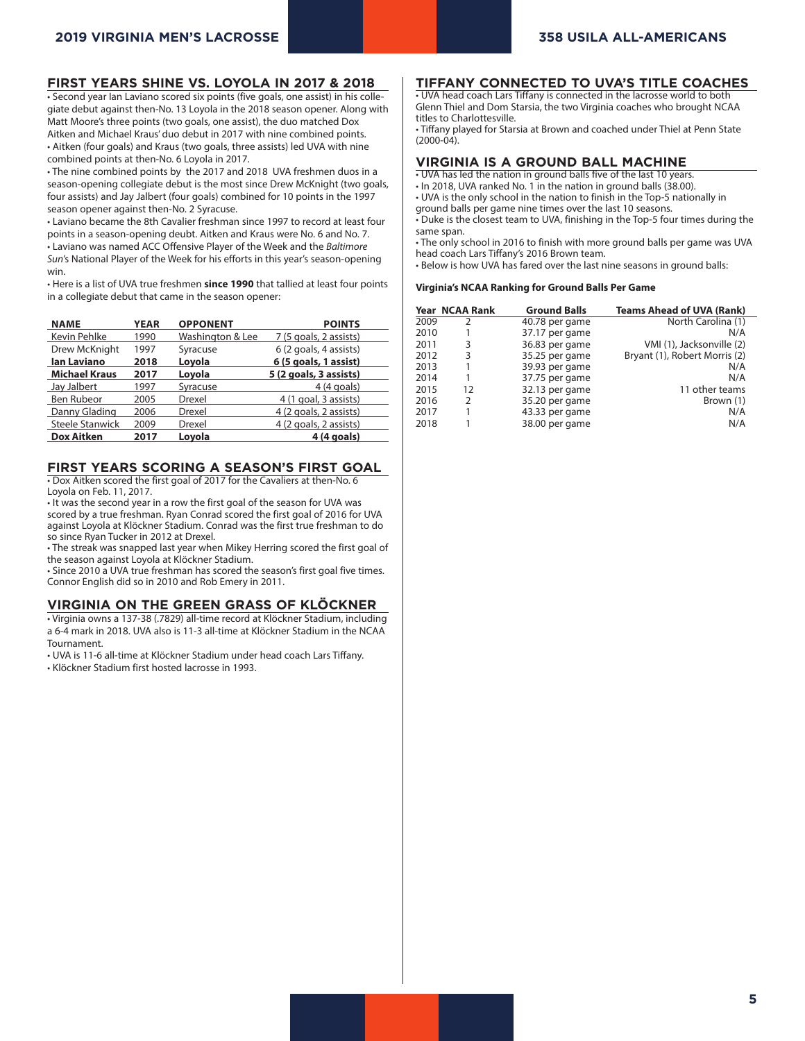#### **FIRST YEARS SHINE VS. LOYOLA IN 2017 & 2018**

• Second year Ian Laviano scored six points (five goals, one assist) in his collegiate debut against then-No. 13 Loyola in the 2018 season opener. Along with Matt Moore's three points (two goals, one assist), the duo matched Dox Aitken and Michael Kraus' duo debut in 2017 with nine combined points. • Aitken (four goals) and Kraus (two goals, three assists) led UVA with nine combined points at then-No. 6 Loyola in 2017.

• The nine combined points by the 2017 and 2018 UVA freshmen duos in a season-opening collegiate debut is the most since Drew McKnight (two goals, four assists) and Jay Jalbert (four goals) combined for 10 points in the 1997 season opener against then-No. 2 Syracuse.

• Laviano became the 8th Cavalier freshman since 1997 to record at least four points in a season-opening deubt. Aitken and Kraus were No. 6 and No. 7. • Laviano was named ACC Offensive Player of the Week and the *Baltimore Sun*'s National Player of the Week for his efforts in this year's season-opening win.

• Here is a list of UVA true freshmen **since 1990** that tallied at least four points in a collegiate debut that came in the season opener:

| <b>NAME</b>            | <b>YEAR</b> | <b>OPPONENT</b>  | <b>POINTS</b>          |
|------------------------|-------------|------------------|------------------------|
| Kevin Pehlke           | 1990        | Washington & Lee | 7 (5 goals, 2 assists) |
| Drew McKnight          | 1997        | Syracuse         | 6 (2 goals, 4 assists) |
| <b>Ian Laviano</b>     | 2018        | Loyola           | 6 (5 goals, 1 assist)  |
| <b>Michael Kraus</b>   | 2017        | Loyola           | 5 (2 goals, 3 assists) |
| Jay Jalbert            | 1997        | Syracuse         | $4(4$ goals)           |
| Ben Rubeor             | 2005        | Drexel           | 4 (1 goal, 3 assists)  |
| Danny Glading          | 2006        | Drexel           | 4 (2 goals, 2 assists) |
| <b>Steele Stanwick</b> | 2009        | Drexel           | 4 (2 goals, 2 assists) |
| <b>Dox Aitken</b>      | 2017        | Lovola           | $4(4$ goals)           |

#### **FIRST YEARS SCORING A SEASON'S FIRST GOAL**

• Dox Aitken scored the first goal of 2017 for the Cavaliers at then-No. 6 Loyola on Feb. 11, 2017.

• It was the second year in a row the first goal of the season for UVA was scored by a true freshman. Ryan Conrad scored the first goal of 2016 for UVA against Loyola at Klöckner Stadium. Conrad was the first true freshman to do so since Ryan Tucker in 2012 at Drexel.

• The streak was snapped last year when Mikey Herring scored the first goal of the season against Loyola at Klöckner Stadium.

• Since 2010 a UVA true freshman has scored the season's first goal five times. Connor English did so in 2010 and Rob Emery in 2011.

#### **VIRGINIA ON THE GREEN GRASS OF KLÖCKNER**

• Virginia owns a 137-38 (.7829) all-time record at Klöckner Stadium, including a 6-4 mark in 2018. UVA also is 11-3 all-time at Klöckner Stadium in the NCAA Tournament.

• UVA is 11-6 all-time at Klöckner Stadium under head coach Lars Tiffany.

• Klöckner Stadium first hosted lacrosse in 1993.

#### **TIFFANY CONNECTED TO UVA'S TITLE COACHES**

• UVA head coach Lars Tiffany is connected in the lacrosse world to both Glenn Thiel and Dom Starsia, the two Virginia coaches who brought NCAA titles to Charlottesville.

• Tiffany played for Starsia at Brown and coached under Thiel at Penn State (2000-04).

#### **VIRGINIA IS A GROUND BALL MACHINE**

• UVA has led the nation in ground balls five of the last 10 years.

- In 2018, UVA ranked No. 1 in the nation in ground balls (38.00).
- UVA is the only school in the nation to finish in the Top-5 nationally in ground balls per game nine times over the last 10 seasons.

• Duke is the closest team to UVA, finishing in the Top-5 four times during the same span.

• The only school in 2016 to finish with more ground balls per game was UVA head coach Lars Tiffany's 2016 Brown team.

• Below is how UVA has fared over the last nine seasons in ground balls:

#### **Virginia's NCAA Ranking for Ground Balls Per Game**

|      | Year NCAA Rank | <b>Ground Balls</b> | <b>Teams Ahead of UVA (Rank)</b> |
|------|----------------|---------------------|----------------------------------|
| 2009 | 2              | 40.78 per game      | North Carolina (1)               |
| 2010 |                | 37.17 per game      | N/A                              |
| 2011 | 3              | 36.83 per game      | VMI (1), Jacksonville (2)        |
| 2012 | 3              | 35.25 per game      | Bryant (1), Robert Morris (2)    |
| 2013 |                | 39.93 per game      | N/A                              |
| 2014 |                | 37.75 per game      | N/A                              |
| 2015 | 12             | 32.13 per game      | 11 other teams                   |
| 2016 | 2              | 35.20 per game      | Brown (1)                        |
| 2017 |                | 43.33 per game      | N/A                              |
| 2018 |                | 38.00 per game      | N/A                              |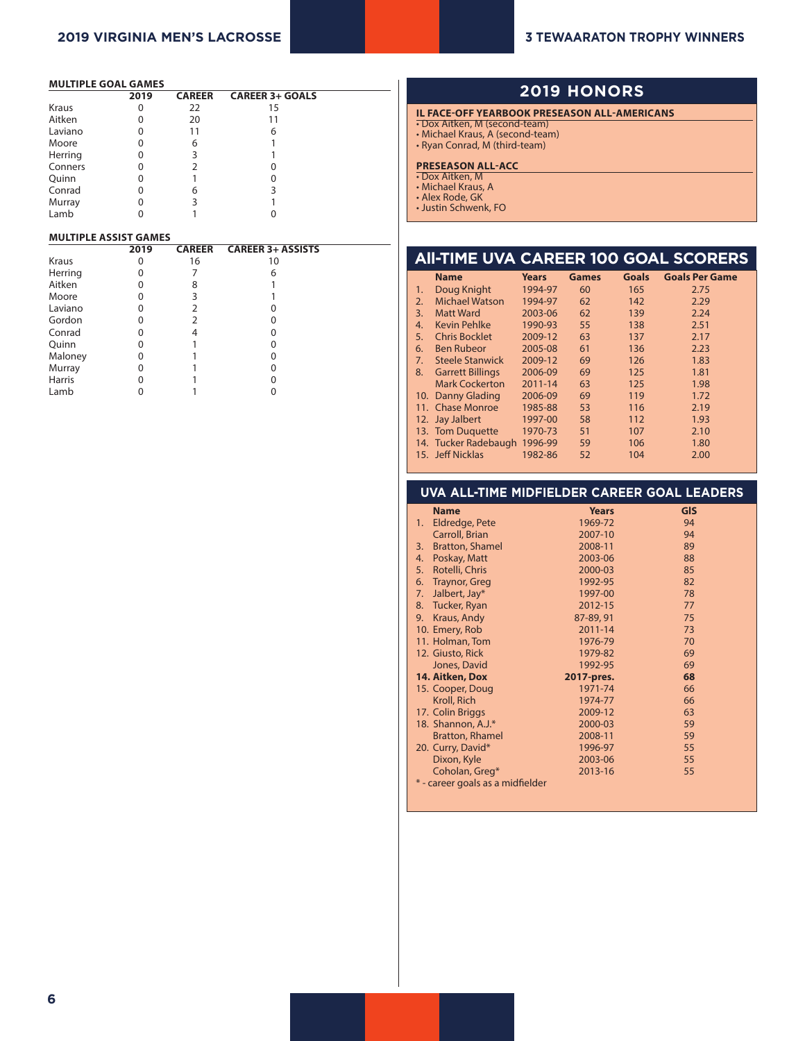#### **MULTIPLE GOAL GAMES**

|         | 2019 | <b>CAREER</b> | <b>CAREER 3+ GOALS</b> |  |
|---------|------|---------------|------------------------|--|
| Kraus   | 0    | 22            | 15                     |  |
| Aitken  | 0    | 20            | 11                     |  |
| Laviano | 0    | 11            | 6                      |  |
| Moore   | 0    | 6             |                        |  |
| Herring | O    | 3             |                        |  |
| Conners | 0    |               |                        |  |
| Quinn   | 0    |               |                        |  |
| Conrad  | 0    | 6             | 3                      |  |
| Murray  | 0    | 3             |                        |  |
| Lamb    |      |               |                        |  |

#### **MULTIPLE ASSIST GAMES**

|               | 2019 | <b>CAREER</b> | <b>CAREER 3+ ASSISTS</b> |  |
|---------------|------|---------------|--------------------------|--|
| Kraus         | 0    | 16            | 10                       |  |
| Herring       |      |               | 6                        |  |
| Aitken        | O    | 8             |                          |  |
| Moore         |      | 3             |                          |  |
| Laviano       | O)   | 2             |                          |  |
| Gordon        |      | フ             |                          |  |
| Conrad        |      |               |                          |  |
| Quinn         |      |               |                          |  |
| Maloney       | 0    |               |                          |  |
| Murray        | 0    |               |                          |  |
| <b>Harris</b> |      |               |                          |  |
| Lamb          |      |               |                          |  |

## **2019 HONORS**

#### **IL FACE-OFF YEARBOOK PRESEASON ALL-AMERICANS**

- Dox Aitken, M (second-team) • Michael Kraus, A (second-team)
- Ryan Conrad, M (third-team)

#### **PRESEASON ALL-ACC**

- Dox Aitken, M • Michael Kraus, A
- Alex Rode, GK
- Justin Schwenk, FO

|    |                         |              |              |              | <b>AII-TIME UVA CAREER 100 GOAL SCORERS</b> |
|----|-------------------------|--------------|--------------|--------------|---------------------------------------------|
|    | <b>Name</b>             | <b>Years</b> | <b>Games</b> | <b>Goals</b> | <b>Goals Per Game</b>                       |
| 1. | Doug Knight             | 1994-97      | 60           | 165          | 2.75                                        |
| 2. | <b>Michael Watson</b>   | 1994-97      | 62           | 142          | 2.29                                        |
| 3. | <b>Matt Ward</b>        | 2003-06      | 62           | 139          | 2.24                                        |
| 4. | <b>Kevin Pehlke</b>     | 1990-93      | 55           | 138          | 2.51                                        |
| 5. | <b>Chris Bocklet</b>    | 2009-12      | 63           | 137          | 2.17                                        |
| 6. | <b>Ben Rubeor</b>       | 2005-08      | 61           | 136          | 2.23                                        |
| 7. | <b>Steele Stanwick</b>  | 2009-12      | 69           | 126          | 1.83                                        |
| 8. | <b>Garrett Billings</b> | 2006-09      | 69           | 125          | 1.81                                        |
|    | <b>Mark Cockerton</b>   | 2011-14      | 63           | 125          | 1.98                                        |
|    | 10. Danny Glading       | 2006-09      | 69           | 119          | 1.72                                        |
|    | 11. Chase Monroe        | 1985-88      | 53           | 116          | 2.19                                        |
|    | 12. Jay Jalbert         | 1997-00      | 58           | 112          | 1.93                                        |
|    | 13. Tom Duquette        | 1970-73      | 51           | 107          | 2.10                                        |
|    | 14. Tucker Radebaugh    | 1996-99      | 59           | 106          | 1.80                                        |
|    | 15. Jeff Nicklas        | 1982-86      | 52           | 104          | 2.00                                        |

#### **UVA ALL-TIME MIDFIELDER CAREER GOAL LEADERS**

| <b>Name</b>                      | <b>Years</b> | <b>GIS</b> |
|----------------------------------|--------------|------------|
| Eldredge, Pete<br>1.             | 1969-72      | 94         |
| Carroll, Brian                   | 2007-10      | 94         |
| <b>Bratton, Shamel</b><br>3.     | 2008-11      | 89         |
| Poskay, Matt<br>4.               | 2003-06      | 88         |
| Rotelli, Chris<br>5.             | 2000-03      | 85         |
| <b>Traynor, Greg</b><br>6.       | 1992-95      | 82         |
| Jalbert, Jay*<br>7.              | 1997-00      | 78         |
| 8. Tucker, Ryan                  | 2012-15      | 77         |
| Kraus, Andy<br>9.                | 87-89, 91    | 75         |
| 10. Emery, Rob                   | 2011-14      | 73         |
| 11. Holman, Tom                  | 1976-79      | 70         |
| 12. Giusto, Rick                 | 1979-82      | 69         |
| Jones, David                     | 1992-95      | 69         |
| 14. Aitken, Dox                  | 2017-pres.   | 68         |
| 15. Cooper, Doug                 | 1971-74      | 66         |
| Kroll, Rich                      | 1974-77      | 66         |
| 17. Colin Briggs                 | 2009-12      | 63         |
| 18. Shannon, A.J.*               | 2000-03      | 59         |
| <b>Bratton, Rhamel</b>           | 2008-11      | 59         |
| 20. Curry, David*                | 1996-97      | 55         |
| Dixon, Kyle                      | 2003-06      | 55         |
| Coholan, Greg*                   | 2013-16      | 55         |
| * - career goals as a midfielder |              |            |
|                                  |              |            |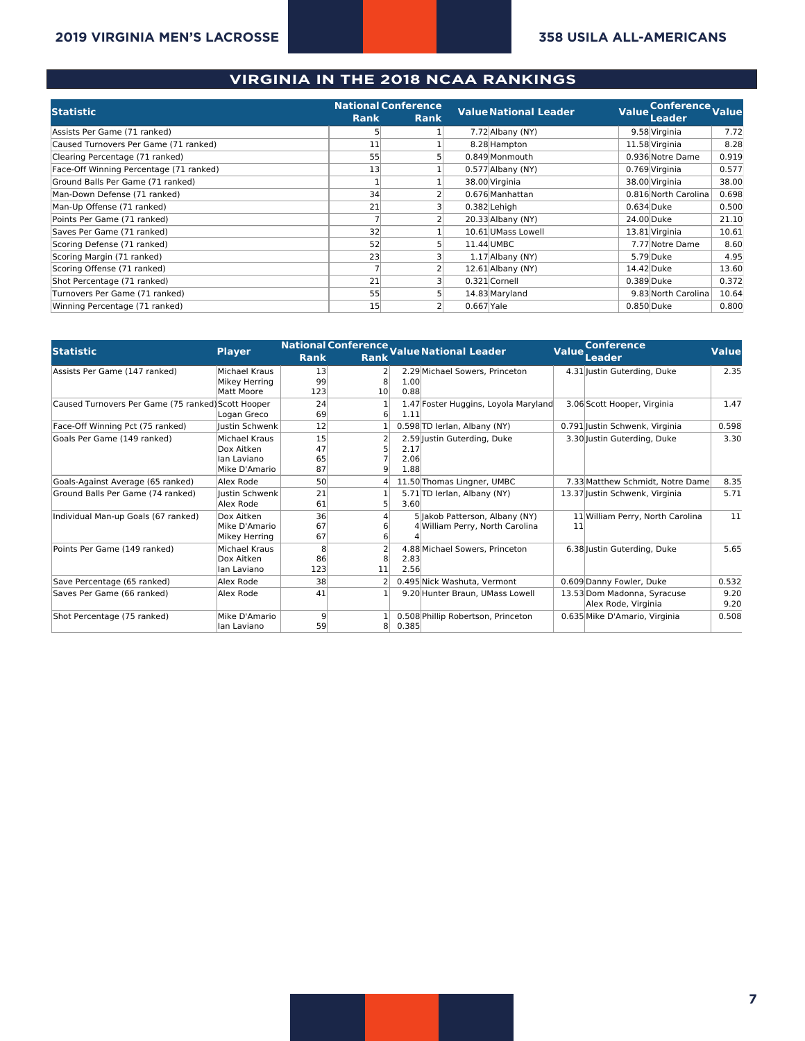## **2019 VIRGINIA MEN'S LACROSSE 358 USILA ALL-AMERICANS**

### **VIRGINIA IN THE 2018 NCAA RANKINGS**

|                                         | <b>National Conference</b> |             |                | <b>Value National Leader</b> |              | Conference Value     |       |
|-----------------------------------------|----------------------------|-------------|----------------|------------------------------|--------------|----------------------|-------|
| <b>Statistic</b>                        | <b>Rank</b>                | <b>Rank</b> |                |                              | <b>Value</b> | Leader               |       |
| Assists Per Game (71 ranked)            |                            |             |                | 7.72 Albany (NY)             |              | 9.58 Virginia        | 7.72  |
| Caused Turnovers Per Game (71 ranked)   | 11                         |             |                | 8.28 Hampton                 |              | 11.58 Virginia       | 8.28  |
| Clearing Percentage (71 ranked)         | 55                         |             |                | 0.849 Monmouth               |              | 0.936 Notre Dame     | 0.919 |
| Face-Off Winning Percentage (71 ranked) | 13                         |             |                | $0.577$ Albany (NY)          |              | 0.769 Virginia       | 0.577 |
| Ground Balls Per Game (71 ranked)       |                            |             |                | 38.00 Virginia               |              | 38.00 Virginia       | 38.00 |
| Man-Down Defense (71 ranked)            | 34                         |             |                | 0.676 Manhattan              |              | 0.816 North Carolina | 0.698 |
| Man-Up Offense (71 ranked)              | 21                         |             |                | 0.382 Lehigh                 |              | 0.634 Duke           | 0.500 |
| Points Per Game (71 ranked)             |                            |             |                | $20.33$ Albany (NY)          |              | 24.00 Duke           | 21.10 |
| Saves Per Game (71 ranked)              | 32                         |             |                | 10.61 UMass Lowell           |              | 13.81 Virginia       | 10.61 |
| Scoring Defense (71 ranked)             | 52                         |             |                | 11.44 UMBC                   |              | 7.77 Notre Dame      | 8.60  |
| Scoring Margin (71 ranked)              | 23                         |             |                | $1.17$ Albany (NY)           |              | 5.79 Duke            | 4.95  |
| Scoring Offense (71 ranked)             |                            |             |                | $12.61$ Albany (NY)          |              | 14.42 Duke           | 13.60 |
| Shot Percentage (71 ranked)             | 21                         |             |                | 0.321 Cornell                |              | 0.389 Duke           | 0.372 |
| Turnovers Per Game (71 ranked)          | 55                         |             |                | 14.83 Maryland               |              | 9.83 North Carolina  | 10.64 |
| Winning Percentage (71 ranked)          | 15                         |             | $0.667$ $Yale$ |                              |              | 0.850 Duke           | 0.800 |

| <b>Statistic</b>                                   | National Conference Value National Leader<br><b>Conference</b><br><b>Value</b><br><b>Value</b><br><b>Player</b> |             |                 |       |                                      |    |                                  |       |
|----------------------------------------------------|-----------------------------------------------------------------------------------------------------------------|-------------|-----------------|-------|--------------------------------------|----|----------------------------------|-------|
|                                                    |                                                                                                                 | <b>Rank</b> | Rank            |       |                                      |    | <b>Leader</b>                    |       |
| Assists Per Game (147 ranked)                      | Michael Kraus                                                                                                   | 13          | $\overline{2}$  |       | 2.29 Michael Sowers, Princeton       |    | 4.31 Justin Guterding, Duke      | 2.35  |
|                                                    | Mikey Herring                                                                                                   | 99          | 8               | 1.00  |                                      |    |                                  |       |
|                                                    | Matt Moore                                                                                                      | 123         | 10 <sup>1</sup> | 0.88  |                                      |    |                                  |       |
| Caused Turnovers Per Game (75 ranked) Scott Hooper |                                                                                                                 | 24          |                 |       | 1.47 Foster Huggins, Loyola Maryland |    | 3.06 Scott Hooper, Virginia      | 1.47  |
|                                                    | Logan Greco                                                                                                     | 69          | 6 <sup>1</sup>  | 1.11  |                                      |    |                                  |       |
| Face-Off Winning Pct (75 ranked)                   | llustin Schwenk                                                                                                 | 12          |                 |       | 0.598 TD lerlan, Albany (NY)         |    | 0.791 Justin Schwenk, Virginia   | 0.598 |
| Goals Per Game (149 ranked)                        | Michael Kraus                                                                                                   | 15          | $\overline{2}$  |       | 2.59 Justin Guterding, Duke          |    | 3.30 Justin Guterding, Duke      | 3.30  |
|                                                    | Dox Aitken                                                                                                      | 47          |                 | 2.17  |                                      |    |                                  |       |
|                                                    | Ian Laviano                                                                                                     | 65          |                 | 2.06  |                                      |    |                                  |       |
|                                                    | Mike D'Amario                                                                                                   | 87          | 9               | 1.88  |                                      |    |                                  |       |
| Goals-Against Average (65 ranked)                  | Alex Rode                                                                                                       | 50          |                 |       | 11.50 Thomas Lingner, UMBC           |    | 7.33 Matthew Schmidt, Notre Dame | 8.35  |
| Ground Balls Per Game (74 ranked)                  | llustin Schwenk                                                                                                 | 21          |                 |       | 5.71 TD lerlan, Albany (NY)          |    | 13.37 Justin Schwenk, Virginia   | 5.71  |
|                                                    | Alex Rode                                                                                                       | 61          | 5               | 3.60  |                                      |    |                                  |       |
| Individual Man-up Goals (67 ranked)                | Dox Aitken                                                                                                      | 36          |                 |       | 5 Jakob Patterson, Albany (NY)       |    | 11 William Perry, North Carolina | 11    |
|                                                    | Mike D'Amario                                                                                                   | 67          |                 |       | 4 William Perry, North Carolina      | 11 |                                  |       |
|                                                    | Mikey Herring                                                                                                   | 67          | 6               |       |                                      |    |                                  |       |
| Points Per Game (149 ranked)                       | Michael Kraus                                                                                                   | 8           |                 |       | 4.88 Michael Sowers, Princeton       |    | 6.38 Justin Guterding, Duke      | 5.65  |
|                                                    | Dox Aitken                                                                                                      | 86          |                 | 2.83  |                                      |    |                                  |       |
|                                                    | llan Laviano                                                                                                    | 123         | 11              | 2.56  |                                      |    |                                  |       |
| Save Percentage (65 ranked)                        | Alex Rode                                                                                                       | 38          |                 |       | 0.495 Nick Washuta, Vermont          |    | 0.609 Danny Fowler, Duke         | 0.532 |
| Saves Per Game (66 ranked)                         | Alex Rode                                                                                                       | 41          |                 |       | 9.20 Hunter Braun, UMass Lowell      |    | 13.53 Dom Madonna, Syracuse      | 9.20  |
|                                                    |                                                                                                                 |             |                 |       |                                      |    | Alex Rode, Virginia              | 9.20  |
| Shot Percentage (75 ranked)                        | Mike D'Amario                                                                                                   | 9           |                 |       | 0.508 Phillip Robertson, Princeton   |    | 0.635 Mike D'Amario, Virginia    | 0.508 |
|                                                    | llan Laviano                                                                                                    | 59          | 8               | 0.385 |                                      |    |                                  |       |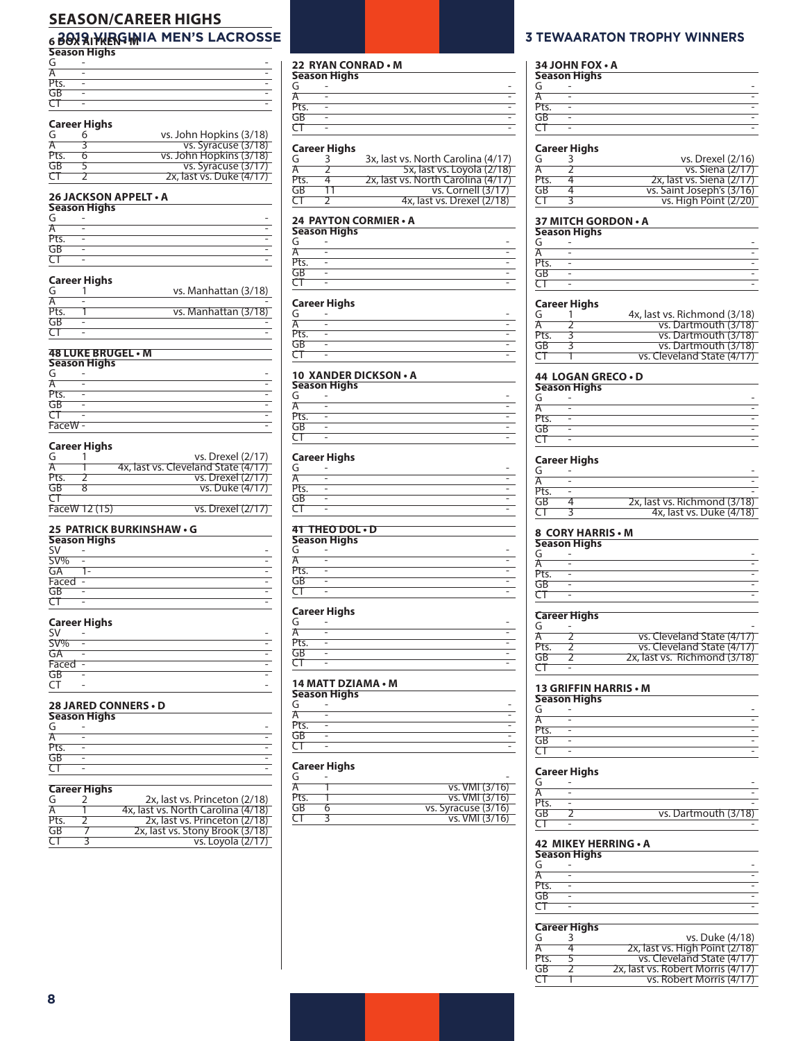## **SEASON/CAREER HIGHS**

## **2009 BULLER • MILLION STATE RESERVE ENCORPCIER FOR A STEWAARATON TROPHY WINNERS**<br>Season Highs

| G    | - |  |
|------|---|--|
| r    | ۰ |  |
| Pts. | ۰ |  |
| GB   | ۰ |  |
|      | ٠ |  |

### **Career Highs**

|      | כמוככו ווועווא |                          |
|------|----------------|--------------------------|
| G    |                | vs. John Hopkins (3/18)  |
| А    |                | vs. Syracuse (3/18)      |
| Pts. |                | vs. John Hopkins (3/18)  |
| GB   |                | vs. Syracuse (3/17)      |
| CΤ   |                | 2x, last vs. Duke (4/17) |

#### **26 JACKSON APPELT • A**

|      | <b>Season Highs</b> |  |  |  |  |
|------|---------------------|--|--|--|--|
| G    |                     |  |  |  |  |
| А    | -                   |  |  |  |  |
| Pts. |                     |  |  |  |  |
| GB   |                     |  |  |  |  |
|      |                     |  |  |  |  |

#### **Career Highs**

| G    | vs. Manhattan (3/18) |
|------|----------------------|
|      |                      |
| Pts. | vs. Manhattan (3/18) |
| GB   |                      |
|      |                      |

#### **48 LUKE BRUGEL • M**

| <b>Season Highs</b> |   |  |
|---------------------|---|--|
| G                   |   |  |
| А                   | - |  |
| Pts.                | ۰ |  |
| GB                  |   |  |
|                     |   |  |
| FaceW -             |   |  |

#### **Career Highs**

| G        |               | vs. Drexel (2/17)                   |
|----------|---------------|-------------------------------------|
| А        |               | 4x, last vs. Cleveland State (4/17) |
| Pts.     |               | vs. Drexel (2/17)                   |
| GB       |               | vs. Duke (4/17)                     |
| $\tau$ т |               |                                     |
|          | FaceW 12 (15) | vs. Drexel (2/17)                   |

#### **25 PATRICK BURKINSHAW • G**

| Season Highs |  |  |  |
|--------------|--|--|--|
| S٧           |  |  |  |
| SV%          |  |  |  |
| GA           |  |  |  |
| Faced        |  |  |  |
| GB           |  |  |  |
|              |  |  |  |

#### **Career Highs**

| SV     | - |  |
|--------|---|--|
| SV%    | - |  |
| GA     | - |  |
| Faced  | ۰ |  |
| GB     | - |  |
| $\sim$ | - |  |

#### **28 JARED CONNERS • D**

| <b>Season Highs</b> |   |  |
|---------------------|---|--|
| G                   |   |  |
| А                   | - |  |
| Pts.                |   |  |
|                     |   |  |
|                     |   |  |

| Career Highs |  |
|--------------|--|
|              |  |
|              |  |

| G    | 2x, last vs. Princeton (2/18)      |
|------|------------------------------------|
| Α    | 4x, last vs. North Carolina (4/18) |
| Pts. | 2x, last vs. Princeton (2/18)      |
| GB   | 2x, last vs. Stony Brook (3/18)    |
| CΤ   | vs. Loyola (2/17)                  |

#### **22 RYAN CONRAD • M**

| Season Highs |  |  |
|--------------|--|--|
| G            |  |  |
|              |  |  |
| Pts.         |  |  |
| GB           |  |  |
|              |  |  |
|              |  |  |

#### **Career Highs**

| G    | 3x, last vs. North Carolina (4/17) |
|------|------------------------------------|
| А    | 5x, last vs. Loyola (2/18)         |
| Pts. | 2x, last vs. North Carolina (4/17) |
| GB   | vs. Cornell (3/17)                 |
| ( 1  | 4x, last vs. Drexel (2/18)         |
|      |                                    |

### **24 PAYTON CORMIER • A**

| Season Highs |  |  |
|--------------|--|--|
| G            |  |  |
|              |  |  |
| Pts.         |  |  |
| GB           |  |  |
|              |  |  |
|              |  |  |

### **Career Highs**

| G    | ۰                        |  |
|------|--------------------------|--|
| А    | $\overline{\phantom{0}}$ |  |
| Pts. | ٠                        |  |
| GB   | ۰                        |  |
|      | $\overline{a}$           |  |

#### **10 XANDER DICKSON • A**

| <b>Season Highs</b> |  |  |  |
|---------------------|--|--|--|
| G                   |  |  |  |
|                     |  |  |  |
| Pts.                |  |  |  |
| GB                  |  |  |  |
|                     |  |  |  |
|                     |  |  |  |

#### **Career Highs**

| G    | -                        |  |
|------|--------------------------|--|
| A    | ۰                        |  |
| Pts. | ٠                        |  |
| GB   |                          |  |
|      | $\overline{\phantom{0}}$ |  |
|      |                          |  |

### **41 THEO DOL • D**

| <b>Season Highs</b> |   |  |  |
|---------------------|---|--|--|
| G                   |   |  |  |
|                     |   |  |  |
| Pts.                | - |  |  |
| GB                  |   |  |  |
|                     | - |  |  |

#### **Career Highs**

| 14 MATT DZIAMA • M |   |  |
|--------------------|---|--|
|                    | - |  |
| GB                 |   |  |
| Pts.               | - |  |
|                    |   |  |
|                    |   |  |

## **14 MATT DZIAMA • M Season Highs**

| - | - |  |
|---|---|--|
|   | - |  |
|   |   |  |
|   | ۰ |  |
| - | - |  |
|   |   |  |

#### **Career Highs**

| G    |                       |
|------|-----------------------|
| А    | <u>vs. VMI (3/16)</u> |
| Pts. | <u>vs. VMI (3/16)</u> |
| GB   | vs. Syracuse (3/16)   |
|      | <u>vs. VMI (3/16)</u> |
|      |                       |

## **34 JOHN FOX • A**

| <b>Season Highs</b> |  |  |
|---------------------|--|--|
| G                   |  |  |
|                     |  |  |
| Pts.                |  |  |
| GB                  |  |  |
|                     |  |  |

#### **Career Highs**

| G    | vs. Drexel (2/16)         |
|------|---------------------------|
| А    | <u>vs. Siena (2/17)</u>   |
| Pts. | 2x, last vs. Siena (2/17) |
| GB   | vs. Saint Joseph's (3/16) |
| CT   | vs. High Point (2/20)     |
|      |                           |

| 37 MITCH GORDON • A |   |  |  |
|---------------------|---|--|--|
| <b>Season Highs</b> |   |  |  |
|                     |   |  |  |
|                     | - |  |  |
| Pts.                |   |  |  |
| GB                  |   |  |  |
|                     | - |  |  |

#### **Career Highs**

| G    | 4x, last vs. Richmond (3/18) |
|------|------------------------------|
| А    | vs. Dartmouth (3/18)         |
| Pts. | vs. Dartmouth (3/18)         |
| GB   | vs. Dartmouth (3/18)         |
| ( 1  | vs. Cleveland State (4/17)   |

#### **44 LOGAN GRECO • D**

|      | Season Highs |  |  |
|------|--------------|--|--|
| G    |              |  |  |
| A    |              |  |  |
| Pts. |              |  |  |
| GB   |              |  |  |
|      |              |  |  |

#### **Career Highs**

| G    |                              |
|------|------------------------------|
| А    |                              |
| Pts. |                              |
| GB   | 2x, last vs. Richmond (3/18) |
|      | 4x, last vs. Duke (4/18)     |

#### **8 CORY HARRIS • M**

| Season Highs |  |  |
|--------------|--|--|
| G            |  |  |
| А            |  |  |
| Pts.         |  |  |
| GB           |  |  |
|              |  |  |
|              |  |  |

#### **Career Highs**

| G    |                              |
|------|------------------------------|
| А    | vs. Cleveland State (4/17)   |
| Pts. | vs. Cleveland State (4/17)   |
| GB   | 2x, last vs. Richmond (3/18) |
| CΤ   |                              |

#### **13 GRIFFIN HARRIS • M**

| Season Highs |  |  |
|--------------|--|--|
| G            |  |  |
| A            |  |  |
| Pts.         |  |  |
| GB           |  |  |
|              |  |  |

#### **Career Highs**

| G  |                      |
|----|----------------------|
|    |                      |
|    |                      |
| GR | vs. Dartmouth (3/18) |
|    |                      |

#### **42 MIKEY HERRING • A**

| <b>Season Highs</b> |   |  |
|---------------------|---|--|
| G                   | - |  |
|                     | - |  |
| Pts.                |   |  |
| GB                  |   |  |
|                     |   |  |

## **Career Highs** vs. Duke (4/18)

| А    | 2x, last vs. High Point (2/18)    |
|------|-----------------------------------|
| Pts. | vs. Cleveland State (4/17)        |
| GB   | 2x, last vs. Robert Morris (4/17) |
| CТ   | vs. Robert Morris (4/17)          |
|      |                                   |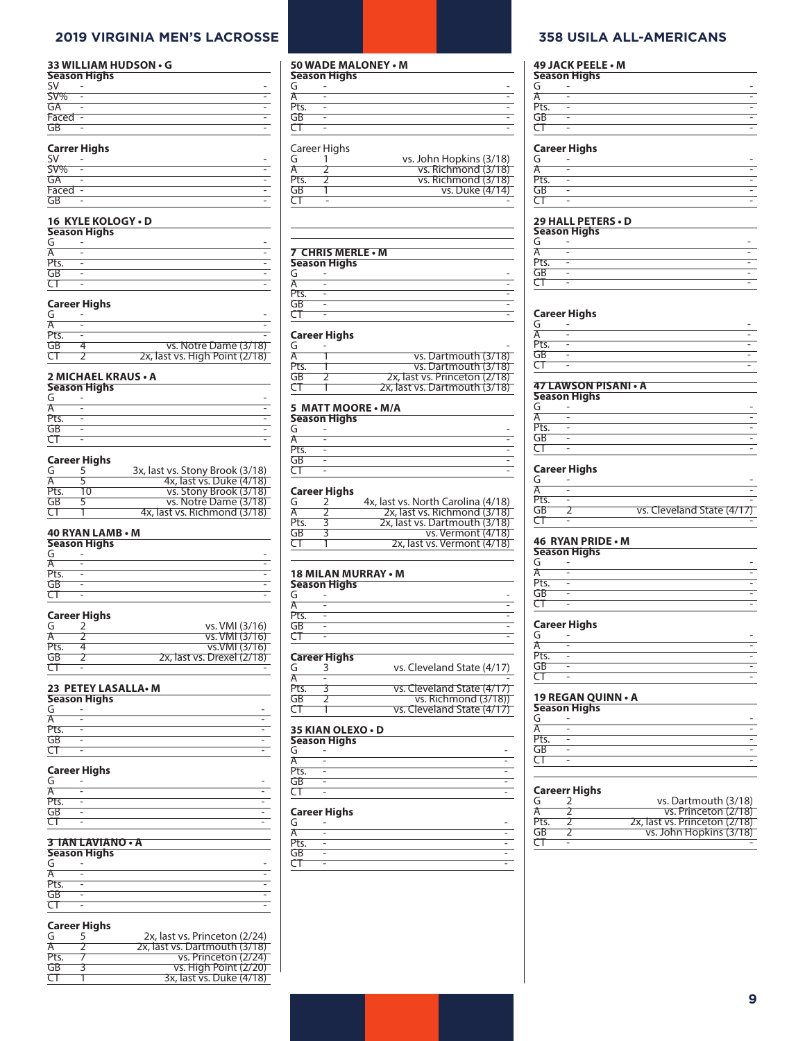## **2019 VIRGINIA MEN'S LACROSSE 358 USILA ALL-AMERICANS**

#### **33 WILLIAM HUDSON • G**

| <b>Season Highs</b> |                     |  |  |
|---------------------|---------------------|--|--|
| <b>SV</b>           |                     |  |  |
| $SV\%$              |                     |  |  |
| GA                  | -                   |  |  |
| Faced -             |                     |  |  |
| GB                  |                     |  |  |
| --                  | <b>Carrer Highs</b> |  |  |

| C1         | - |   |
|------------|---|---|
| $\pi$<br>π | ٠ |   |
| GA         | - |   |
| Faced      | ٠ |   |
| GR         | ۰ | - |

#### **16 KYLE KOLOGY • D**

| Season Highs |   |  |
|--------------|---|--|
| G            |   |  |
| A            | - |  |
| Pts.         |   |  |
| GB           |   |  |
|              |   |  |

## **Career Highs**

| vs. Notre Dame (3/18)          |
|--------------------------------|
| 2x, last vs. High Point (2/18) |
|                                |

### **2 MICHAEL KRAUS • A**

|      | Season Highs |  |  |  |
|------|--------------|--|--|--|
| G    |              |  |  |  |
| A    |              |  |  |  |
| Pts. |              |  |  |  |
| GB   |              |  |  |  |
|      |              |  |  |  |

#### **Career Highs**

| G    |    | 3x, last vs. Stony Brook (3/18) |
|------|----|---------------------------------|
| А    |    | 4x, last vs. Duke (4/18)        |
| Pts. | 10 | vs. Stony Brook (3/18)          |
| GB   |    | vs. Notre Dame (3/18)           |
| CТ   |    | 4x, last vs. Richmond (3/18)    |

#### **40 RYAN LAMB • M**

| <b>Season Highs</b> |   |  |
|---------------------|---|--|
| G                   |   |  |
| A                   | - |  |
| Pts.                |   |  |
| GB                  |   |  |
|                     |   |  |

#### **Career Highs**

| G    | vs. VMI (3/16)             |
|------|----------------------------|
| А    | vs. VMI (3/16)             |
| Pts. | vs.VMI(3/16)               |
| GB   | 2x, last vs. Drexel (2/18) |
| σ    |                            |

#### **23 PETEY LASALLA• M**

| Season Highs |   |  |
|--------------|---|--|
| G            |   |  |
| А            |   |  |
| Pts.         |   |  |
| GB           |   |  |
|              | - |  |

#### **Career Highs**

| G    |   |                          |
|------|---|--------------------------|
| A    | ٠ | ۰                        |
| Pts. |   |                          |
| GB   |   |                          |
|      | - | $\overline{\phantom{a}}$ |

#### **3 IAN LAVIANO • A**

| <b>Season Highs</b> |   |   |  |
|---------------------|---|---|--|
| G                   |   | - |  |
|                     | - |   |  |
| Pts.                |   |   |  |
| GB                  |   |   |  |
|                     |   |   |  |

#### **Career Highs**

| G      | 2x, last vs. Princeton (2/24) |
|--------|-------------------------------|
| Ά      | 2x, last vs. Dartmouth (3/18) |
| Pts.   | vs. Princeton (2/24)          |
| GB     | $vs.$ High Point $(2/20)$     |
| $\tau$ | 3x, last vs. Duke (4/18)      |

## **50 WADE MALONEY • M**

| Season Highs |   |  |
|--------------|---|--|
| G            |   |  |
| Α            |   |  |
| Pts.         |   |  |
| GB           |   |  |
|              | - |  |

#### Career Highs

|      | Carcer ingits |                         |
|------|---------------|-------------------------|
| G    |               | vs. John Hopkins (3/18) |
|      |               | vs. Richmond (3/18)     |
| Pts. |               | vs. Richmond (3/18)     |
| GB   |               | vs. Duke (4/14)         |
|      |               |                         |
|      |               |                         |

#### **7 CHRIS MERLE • M**

| 7 - CHINI 27 MILINLE Y IVI<br>Season Highs |   |  |  |
|--------------------------------------------|---|--|--|
|                                            |   |  |  |
| Α                                          | - |  |  |
| Pts.                                       |   |  |  |
| GB                                         |   |  |  |
|                                            | - |  |  |
|                                            |   |  |  |

#### **Career Highs**

| G    |                               |
|------|-------------------------------|
| А    | vs. Dartmouth (3/18)          |
| Pts. | vs. Dartmouth (3/18)          |
| GB   | 2x, last vs. Princeton (2/18) |
| CT   | 2x, last vs. Dartmouth (3/18) |
|      |                               |

#### **5 MATT MOORE • M/A**

| Season Highs |   |  |  |
|--------------|---|--|--|
| G            |   |  |  |
| А            | - |  |  |
| Pts.         |   |  |  |
| GB           |   |  |  |
|              | - |  |  |
|              |   |  |  |

#### **Career Highs**

| G    | 4x, last vs. North Carolina (4/18) |
|------|------------------------------------|
| А    | 2x, last vs. Richmond (3/18)       |
| Pts. | 2x, last vs. Dartmouth (3/18)      |
| GB   | vs. Vermont (4/18)                 |
| CТ   | 2x, last vs. Vermont (4/18)        |
|      |                                    |

## **18 MILAN MURRAY • M Season Highs**

| G    | - |  |
|------|---|--|
| A    | ٠ |  |
| Pts. | ۰ |  |
| GB   |   |  |
|      | ۰ |  |

#### **Career Highs**

|      | career rugus |                            |
|------|--------------|----------------------------|
| G    |              | vs. Cleveland State (4/17) |
| Ά    |              |                            |
| Pts. |              | vs. Cleveland State (4/17) |
| GB   |              | vs. Richmond (3/18))       |
| CТ   |              | vs. Cleveland State (4/17) |
|      |              |                            |

#### **35 KIAN OLEXO • D Season Highs**

| 5585011 111911 <i>3</i> |  |  |
|-------------------------|--|--|
| G                       |  |  |
| Α                       |  |  |
| Pts.                    |  |  |
| GB                      |  |  |
|                         |  |  |

#### **Career Highs**

| G    | ٠                        | ۰ |
|------|--------------------------|---|
| Α    | -                        | - |
| Pts. | $\overline{\phantom{0}}$ | - |
| GB   |                          | ۰ |
|      |                          | - |
|      |                          |   |

### **49 JACK PEELE • M**

|      | Season Highs |  |
|------|--------------|--|
| G    |              |  |
| А    |              |  |
| Pts. |              |  |
| GB   |              |  |
|      | -            |  |
|      |              |  |

#### **Career Highs**

| G          | - |  |
|------------|---|--|
| Ά          | ٠ |  |
| Pts.<br>GB | ٠ |  |
|            | ٠ |  |
|            | ٠ |  |
|            |   |  |

#### **29 HALL PETERS • D Season Highs**

|      | ----------- <u>-</u> --- |  |
|------|--------------------------|--|
| G    | ۰                        |  |
| А    | -                        |  |
| Pts. | ۰                        |  |
| GB   |                          |  |
|      |                          |  |

#### **Career Highs**

|                      | - |  |
|----------------------|---|--|
| Pts.                 | - |  |
| GB                   |   |  |
|                      | - |  |
| 47 LAWSON PISANI - A |   |  |

| Season Highs |   |  |
|--------------|---|--|
| G            |   |  |
| А            | - |  |
| Pts.         |   |  |
| GB           |   |  |
|              |   |  |

#### **Career Highs**

| G    |                            |
|------|----------------------------|
|      |                            |
| Pts. |                            |
| GR   | vs. Cleveland State (4/17) |
|      |                            |

#### **46 RYAN PRIDE • M**

|                 | <b>Season Highs</b> |  |  |
|-----------------|---------------------|--|--|
| G               |                     |  |  |
|                 |                     |  |  |
| Pts.            |                     |  |  |
| $\overline{GB}$ |                     |  |  |
|                 |                     |  |  |

#### **Career Highs**

| G    |                          | $\overline{\phantom{0}}$ |
|------|--------------------------|--------------------------|
| Α    | $\overline{\phantom{0}}$ | $\overline{\phantom{0}}$ |
| Pts. |                          | -                        |
| GB   |                          | $\overline{\phantom{0}}$ |
|      | ۰                        | -                        |

#### **19 REGAN QUINN • A**

|      | <b>Season Highs</b> |  |  |
|------|---------------------|--|--|
| G    |                     |  |  |
|      | -                   |  |  |
| Pts. | -                   |  |  |
| GB   |                     |  |  |
|      | -                   |  |  |

#### **Careerr Highs**

| G    | vs. Dartmouth (3/18)          |
|------|-------------------------------|
|      | vs. Princeton (2/18)          |
| Pts. | 2x, last vs. Princeton (2/18) |
| GB   | vs. John Hopkins (3/18)       |
|      |                               |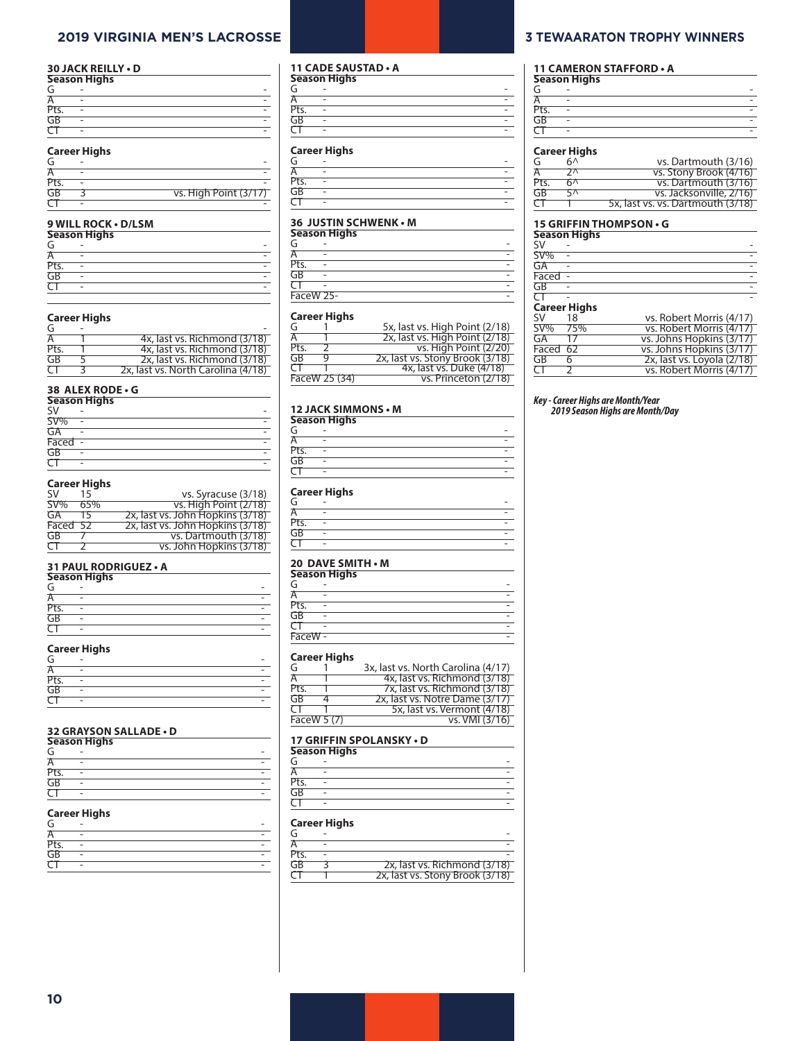### **2019 VIRGINIA MEN'S LACROSSE 3 TEWAARATON TROPHY WINNERS**

#### **30 JACK REILLY • D**

|      | <b>Season Highs</b> |  |  |
|------|---------------------|--|--|
| G    |                     |  |  |
|      | -                   |  |  |
| Pts. | -                   |  |  |
| GB   |                     |  |  |
|      | -                   |  |  |
|      | $- - -$             |  |  |

## **Career Highs**

| G    |                       |
|------|-----------------------|
|      |                       |
| Pts. |                       |
| GB   | vs. High Point (3/17) |
|      |                       |

#### **9 WILL ROCK • D/LSM**

|      | Season Highs |  |
|------|--------------|--|
| G    |              |  |
| А    |              |  |
| Pts. |              |  |
| GB   |              |  |
|      |              |  |
|      |              |  |

#### **Career Highs**

| G        |                                    |
|----------|------------------------------------|
| Ά        | 4x, last vs. Richmond (3/18)       |
| Pts.     | 4x, last vs. Richmond (3/18)       |
| GR       | 2x, last vs. Richmond (3/18)       |
| $\tau$ т | 2x, last vs. North Carolina (4/18) |

## **38 ALEX RODE • G**

|           | <b>Season Highs</b> |  |  |
|-----------|---------------------|--|--|
| <b>SV</b> |                     |  |  |
| SV%       |                     |  |  |
| GA        | -                   |  |  |
| Faced     |                     |  |  |
| GB        | -                   |  |  |
|           |                     |  |  |

#### **Career Highs**

| <b>SV</b> | 15  | vs. Syracuse (3/18)              |
|-----------|-----|----------------------------------|
| $SW\%$    | 65% | vs. High Point (2/18)            |
| GA        | 15. | 2x, last vs. John Hopkins (3/18) |
| Faced 52  |     | 2x, last vs. John Hopkins (3/18) |
| GB        |     | vs. Dartmouth (3/18)             |
| CΤ        |     | vs. John Hopkins (3/18)          |

#### **31 PAUL RODRIGUEZ • A**

|      | Season Highs |  |
|------|--------------|--|
| G    |              |  |
| А    | -            |  |
| Pts. |              |  |
| GB   |              |  |
|      | -            |  |

#### **Career Highs**

| G    |   |  |
|------|---|--|
| А    | ٠ |  |
| Pts. | ٠ |  |
| GB   |   |  |
|      |   |  |
|      |   |  |

## **32 GRAYSON SALLADE • D Season Highs**

|      | Jeason myns |  |
|------|-------------|--|
| G    |             |  |
| А    |             |  |
| Pts. | -           |  |
| GB   |             |  |
|      |             |  |

#### **Career Highs**

| G    | ۰                        |  |
|------|--------------------------|--|
| Α    | -                        |  |
| Pts. |                          |  |
| GB   |                          |  |
|      | $\overline{\phantom{0}}$ |  |

#### **11 CADE SAUSTAD • A**

| <b>Season Highs</b> |              |   |
|---------------------|--------------|---|
| G                   |              |   |
| Α                   | -            |   |
| Pts.                |              |   |
| GB                  | ۰            | - |
|                     | ۰            | ٠ |
|                     | ۰<br>$- - -$ |   |

#### **Career Highs**

| G    | - | ۰ |
|------|---|---|
| Α    |   |   |
| Pts. |   | ۰ |
| GB   |   |   |
|      |   | ۰ |
|      |   |   |

#### **36 JUSTIN SCHWENK • M**

| <b>Season Highs</b> |           |  |
|---------------------|-----------|--|
| G                   |           |  |
| Ā                   |           |  |
| Pts.                |           |  |
| GB                  |           |  |
|                     |           |  |
|                     | FaceW 25- |  |
|                     |           |  |

#### **Career Highs**

| 5x, last vs. High Point (2/18)        |
|---------------------------------------|
| 2x, last vs. High Point (2/18)        |
| vs. High Point (2/20)                 |
| 2x, last vs. Stony Brook (3/18)       |
| 4x, last vs. Duke (4/18)              |
| vs. Princeton (2/18)<br>FaceW 25 (34) |
|                                       |

## **12 JACK SIMMONS • M**

|      | <b>Season Highs</b> |  |  |
|------|---------------------|--|--|
| G    |                     |  |  |
| Α    | -                   |  |  |
| Pts. |                     |  |  |
| GB   |                     |  |  |
|      |                     |  |  |

#### **Career Highs**

| G    | -                  |  |
|------|--------------------|--|
| Α    | -                  |  |
| Pts. |                    |  |
| GB   | -                  |  |
|      | -                  |  |
|      | 30 DAVE CALITIL AL |  |

## **20 DAVE SMITH • M Season Highs**

|         | Jeason myns |  |  |  |
|---------|-------------|--|--|--|
| G       | -           |  |  |  |
| А       | -           |  |  |  |
| Pts.    | ۰           |  |  |  |
| GB      | ۰           |  |  |  |
| ᠊       | ۰           |  |  |  |
| FaceW - |             |  |  |  |
|         |             |  |  |  |

#### **Career Highs**

| G           | 3x, last vs. North Carolina (4/17) |
|-------------|------------------------------------|
| А           | 4x, last vs. Richmond (3/18)       |
| Pts.        | 7x, last vs. Richmond (3/18)       |
| GB          | 2x, last vs. Notre Dame (3/17)     |
| σ٦          | 5x, last vs. Vermont (4/18)        |
| FaceW 5 (7) | vs. VMI (3/16)                     |

|      | 17 GRIFFIN SPOLANSKY • D |  |  |  |  |
|------|--------------------------|--|--|--|--|
|      | <b>Season Highs</b>      |  |  |  |  |
| G    |                          |  |  |  |  |
|      | -                        |  |  |  |  |
| Pts. | -                        |  |  |  |  |
| GB   |                          |  |  |  |  |
|      | -                        |  |  |  |  |

#### **Career Highs**

| G    |                                 |
|------|---------------------------------|
|      |                                 |
| Pts. |                                 |
| GR   | 2x, last vs. Richmond (3/18)    |
|      | 2x, last vs. Stony Brook (3/18) |

## **11 CAMERON STAFFORD • A Season Highs**

| Season Higns |  |  |  |
|--------------|--|--|--|
| G            |  |  |  |
| A            |  |  |  |
| Pts.         |  |  |  |
| GB           |  |  |  |
|              |  |  |  |
|              |  |  |  |

#### **Career Highs**

| G    | бΛ           | vs. Dartmouth (3/16)              |
|------|--------------|-----------------------------------|
| А    | $2^{\prime}$ | vs. Stony Brook (4/16)            |
| Pts. | 60           | vs. Dartmouth (3/16)              |
| GB   | 5 A          | vs. Jacksonville, 2/16)           |
| CТ   |              | 5x, last vs. vs. Dartmouth (3/18) |

### **15 GRIFFIN THOMPSON • G**

|                     | <b>Season Highs</b> |                          |
|---------------------|---------------------|--------------------------|
| <b>SV</b>           |                     |                          |
| $SV$ %              |                     |                          |
| GA                  |                     |                          |
| Faced               |                     |                          |
| GB                  |                     |                          |
|                     |                     |                          |
| <b>Career Highs</b> |                     |                          |
| SV.                 | 18                  | vs. Robert Morris (4/17) |

| SV% 75%    |     | vs. Robert Morris (4/17)   |
|------------|-----|----------------------------|
| GA         | -17 | vs. Johns Hopkins (3/17)   |
| Faced 62   |     | vs. Johns Hopkins (3/17)   |
| GB         | 6.  | 2x, last vs. Loyola (2/18) |
| $\tau\tau$ |     | vs. Robert Morris (4/17)   |

## *Key - Career Highs are Month/Year 2019 Season Highs are Month/Day*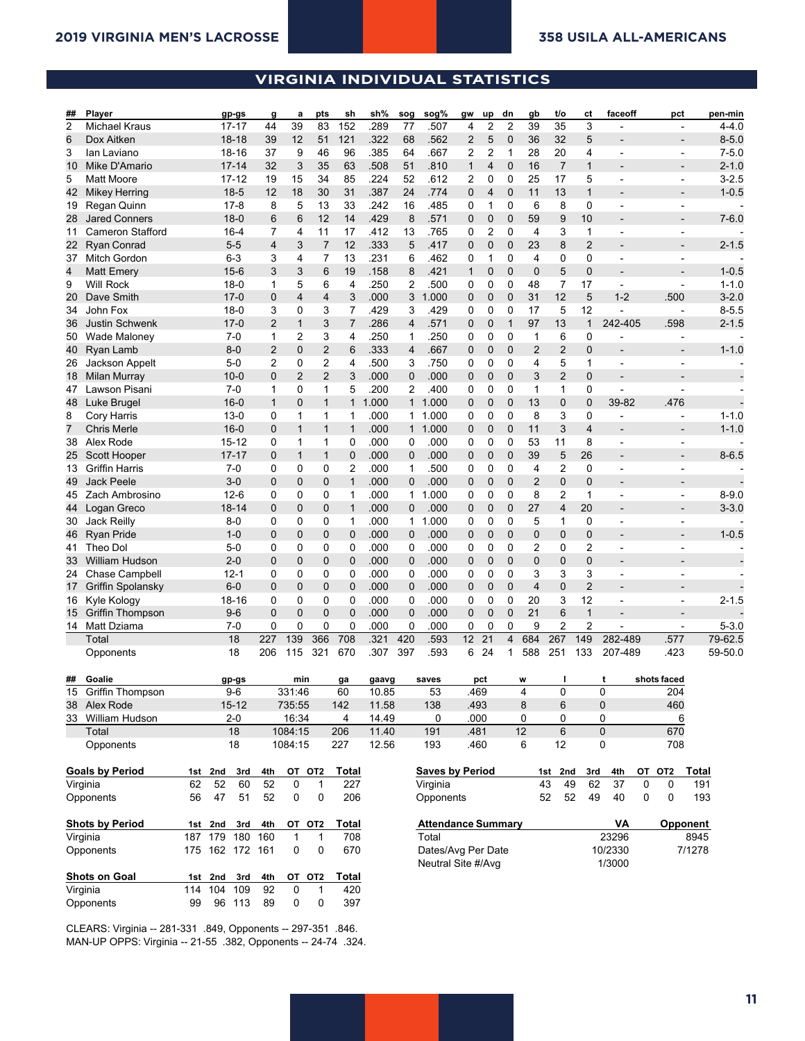## **VIRGINIA INDIVIDUAL STATISTICS**

**2018 Virginia Lacrosse Virginia Overall Individual Statistics All games (as of Feb 06, 2019)**

| ## | Player                  |         |             | gp-gs           | g              | а              | pts            | sh             | sh%   | sog            | sog%                      | gw           | up             | dn             | gb          | t/o            | сt             | faceoff        |                       | pct                      | pen-min   |
|----|-------------------------|---------|-------------|-----------------|----------------|----------------|----------------|----------------|-------|----------------|---------------------------|--------------|----------------|----------------|-------------|----------------|----------------|----------------|-----------------------|--------------------------|-----------|
| 2  | Michael Kraus           |         |             | $17 - 17$       | 44             | 39             | 83             | 152            | .289  | 77             | .507                      | 4            | 2              | $\overline{2}$ | 39          | 35             | 3              | $\overline{a}$ |                       | $\overline{\phantom{a}}$ | $4 - 4.0$ |
| 6  | Dox Aitken              |         |             | $18 - 18$       | 39             | 12             | 51             | 121            | .322  | 68             | .562                      | 2            | 5              | $\mathbf 0$    | 36          | 32             | 5              |                |                       |                          | $8 - 5.0$ |
| 3  | lan Laviano             |         |             | 18-16           | 37             | 9              | 46             | 96             | .385  | 64             | .667                      | 2            | 2              | 1              | 28          | 20             | 4              | $\overline{a}$ |                       | ÷,                       | $7 - 5.0$ |
| 10 | Mike D'Amario           |         |             | $17 - 14$       | 32             | 3              | 35             | 63             | .508  | 51             | .810                      | $\mathbf{1}$ | $\overline{4}$ | $\mathbf{0}$   | 16          | $\overline{7}$ | $\mathbf{1}$   | $\overline{a}$ |                       | $\overline{\phantom{a}}$ | $2 - 1.0$ |
| 5  | <b>Matt Moore</b>       |         |             | $17 - 12$       | 19             | 15             | 34             | 85             | .224  | 52             | .612                      | 2            | 0              | 0              | 25          | 17             | 5              | $\overline{a}$ |                       | ÷,                       | $3 - 2.5$ |
| 42 | <b>Mikey Herring</b>    |         |             | $18-5$          | 12             | 18             | 30             | 31             | .387  | 24             | .774                      | 0            | 4              | $\mathbf 0$    | 11          | 13             | $\mathbf{1}$   |                |                       |                          | $1 - 0.5$ |
| 19 | Regan Quinn             |         |             | $17-8$          | 8              | 5              | 13             | 33             | .242  | 16             | .485                      | 0            | 1              | 0              | 6           | 8              | 0              | $\overline{a}$ |                       | $\overline{a}$           |           |
| 28 | <b>Jared Conners</b>    |         |             | $18-0$          | 6              | 6              | 12             | 14             | .429  | 8              | .571                      | 0            | 0              | $\mathbf 0$    | 59          | 9              | 10             | $\overline{a}$ |                       |                          | $7 - 6.0$ |
| 11 | <b>Cameron Stafford</b> |         |             | $16 - 4$        | 7              | 4              | 11             | 17             | .412  | 13             | .765                      | 0            | 2              | 0              | 4           | 3              | 1              | $\overline{a}$ |                       | ÷                        |           |
|    | 22 Ryan Conrad          |         |             | $5 - 5$         | 4              | 3              | $\overline{7}$ | 12             | .333  | 5              | .417                      | 0            | 0              | $\mathbf 0$    | 23          | 8              | $\overline{2}$ | $\overline{a}$ |                       |                          | $2 - 1.5$ |
|    | 37 Mitch Gordon         |         |             | $6 - 3$         | 3              | 4              | 7              | 13             | .231  | 6              | .462                      | 0            | 1              | 0              | 4           | 0              | 0              | $\overline{a}$ |                       |                          |           |
| 4  | <b>Matt Emery</b>       |         |             | $15 - 6$        | 3              | 3              | 6              | 19             | .158  | 8              | .421                      | 1            | 0              | $\mathbf 0$    | $\mathbf 0$ | 5              | 0              |                |                       |                          | $1 - 0.5$ |
| 9  | <b>Will Rock</b>        |         |             | $18-0$          | 1              | 5              | 6              | 4              | 250   | 2              | .500                      | 0            | 0              | 0              | 48          | $\overline{7}$ | 17             | $\blacksquare$ |                       | ÷,                       | $1 - 1.0$ |
| 20 | Dave Smith              |         |             | $17-0$          | 0              | 4              | 4              | 3              | .000  | 3              | 1.000                     | 0            | 0              | $\mathbf 0$    | 31          | 12             | 5              | $1 - 2$        | .500                  |                          | $3 - 2.0$ |
| 34 | John Fox                |         |             | $18-0$          | 3              | 0              | 3              | 7              | .429  | 3              | .429                      | 0            | 0              | 0              | 17          | 5              | 12             | $\overline{a}$ |                       |                          | $8 - 5.5$ |
| 36 | <b>Justin Schwenk</b>   |         |             | $17-0$          | $\overline{2}$ | 1              | 3              | $\overline{7}$ | .286  | $\overline{4}$ | .571                      | 0            | 0              | $\mathbf{1}$   | 97          | 13             | $\mathbf{1}$   | 242-405        | .598                  |                          | $2 - 1.5$ |
| 50 | <b>Wade Maloney</b>     |         |             | $7 - 0$         | 1              | 2              | 3              | 4              | 250   | 1              | .250                      | 0            | 0              | 0              | 1           | 6              | 0              |                |                       |                          |           |
| 40 | Ryan Lamb               |         |             | $8 - 0$         | $\overline{2}$ | 0              | $\overline{c}$ | 6              | 333   | 4              | .667                      | 0            | 0              | $\mathbf 0$    | 2           | 2              | 0              |                |                       |                          | $1 - 1.0$ |
| 26 | Jackson Appelt          |         |             | $5-0$           | 2              | 0              | $\overline{c}$ | 4              | 500   | 3              | .750                      | 0            | 0              | 0              | 4           | 5              | $\mathbf{1}$   | $\overline{a}$ |                       | ÷,                       |           |
| 18 | <b>Milan Murray</b>     |         |             | $10 - 0$        | 0              | $\overline{2}$ | $\overline{2}$ | 3              | .000  | 0              | .000                      | 0            | 0              | $\mathbf 0$    | 3           | $\overline{2}$ | 0              | $\overline{a}$ |                       |                          |           |
| 47 | Lawson Pisani           |         |             | $7-0$           | 1              | 0              | 1              | 5              | 200   | 2              | .400                      | 0            | 0              | 0              | 1           | 1              | 0              | $\overline{a}$ |                       |                          |           |
|    | 48 Luke Brugel          |         |             | $16-0$          | $\mathbf{1}$   | 0              | $\mathbf{1}$   | $\mathbf{1}$   | 1.000 | $\mathbf{1}$   | 1.000                     | 0            | 0              | $\mathbf 0$    | 13          | 0              | 0              | 39-82          | .476                  |                          |           |
| 8  | Cory Harris             |         |             | $13 - 0$        | 0              | 1              | 1              | 1              | .000  |                | 1 1.000                   | 0            | 0              | 0              | 8           | 3              | 0              |                |                       |                          | $1 - 1.0$ |
| 7  | <b>Chris Merle</b>      |         |             | $16-0$          | 0              | 1              | $\mathbf{1}$   | 1              | .000  |                | 1 1.000                   | 0            | 0              | $\mathbf 0$    | 11          | 3              | 4              |                |                       |                          | $1 - 1.0$ |
| 38 | Alex Rode               |         |             | 15-12           | 0              | 1              | 1              | 0              | .000  | 0              | .000                      | 0            | 0              | 0              | 53          | 11             | 8              | $\overline{a}$ |                       | ÷,                       |           |
|    | 25 Scott Hooper         |         |             | $17 - 17$       | 0              | $\mathbf{1}$   | $\mathbf{1}$   | 0              | .000  | 0              | .000                      | 0            | 0              | $\mathbf 0$    | 39          | 5              | 26             | $\overline{a}$ |                       |                          | $8 - 6.5$ |
| 13 | <b>Griffin Harris</b>   |         |             | $7-0$           | 0              | 0              | 0              | 2              | .000  | 1              | .500                      | 0            | 0              | 0              | 4           | 2              | 0              | $\overline{a}$ |                       | ÷,                       |           |
| 49 | <b>Jack Peele</b>       |         |             | $3 - 0$         | 0              | 0              | $\mathbf 0$    | $\mathbf{1}$   | .000  | 0              | .000                      | 0            | 0              | $\mathbf 0$    | 2           | $\mathbf 0$    | 0              | $\overline{a}$ |                       |                          |           |
| 45 | Zach Ambrosino          |         |             | $12-6$          | 0              | 0              | 0              | 1              | .000  | 1              | 1.000                     | 0            | 0              | 0              | 8           | $\overline{2}$ | 1              | $\overline{a}$ |                       | $\overline{\phantom{a}}$ | $8 - 9.0$ |
| 44 | Logan Greco             |         |             | 18-14           | 0              | 0              | $\mathbf 0$    | 1              | .000  | 0              | .000                      | 0            | 0              | $\mathbf 0$    | 27          | 4              | 20             |                |                       | $\overline{a}$           | $3 - 3.0$ |
| 30 | Jack Reilly             |         |             | $8 - 0$         | 0              | 0              | 0              | 1              | .000  | $\mathbf{1}$   | 1.000                     | 0            | 0              | 0              | 5           | 1              | 0              | $\overline{a}$ |                       | ÷,                       |           |
| 46 | <b>Ryan Pride</b>       |         |             | $1 - 0$         | 0              | 0              | $\mathbf 0$    | 0              | .000  | 0              | .000                      | 0            | 0              | $\mathbf 0$    | 0           | $\mathbf 0$    | 0              | $\overline{a}$ |                       |                          | $1 - 0.5$ |
| 41 | Theo Dol                |         |             | 5-0             | 0              | 0              | 0              | 0              | .000  | 0              | .000                      | 0            | 0              | 0              | 2           | 0              | 2              | $\overline{a}$ |                       | ÷,                       |           |
| 33 | <b>William Hudson</b>   |         |             | $2 - 0$         | 0              | 0              | $\mathbf 0$    | 0              | .000  | 0              | .000                      | 0            | 0              | $\mathbf 0$    | 0           | 0              | 0              | $\overline{a}$ |                       |                          |           |
|    | 24 Chase Campbell       |         |             | $12 - 1$        | 0              | 0              | 0              | 0              | .000  | 0              | .000                      | 0            | 0              | 0              | 3           | 3              | 3              | $\overline{a}$ |                       |                          |           |
| 17 | Griffin Spolansky       |         |             | $6 - 0$         | 0              | $\mathbf 0$    | 0              | 0              | .000  | $\mathbf 0$    | .000                      | 0            | 0              | $\mathbf 0$    | 4           | 0              | 2              |                |                       |                          |           |
| 16 | Kyle Kology             |         |             | 18-16           | 0              | 0              | 0              | 0              | .000  | 0              | .000                      | 0            | 0              | 0              | 20          | 3              | 12             | $\overline{a}$ |                       | Ĭ.                       | $2 - 1.5$ |
|    | 15 Griffin Thompson     |         |             | $9-6$           | 0              | 0              | 0              | 0              | .000  | 0              | .000                      | 0            | $\mathbf 0$    | $\mathbf 0$    | 21          | 6              | $\mathbf{1}$   | $\overline{a}$ |                       |                          |           |
|    | 14 Matt Dziama          |         |             | $7-0$           | 0              | 0              | 0              | 0              | .000  | 0              | .000                      | 0            | 0              | 0              | 9           | 2              | 2              |                |                       |                          | $5 - 3.0$ |
|    | Total                   |         |             | 18              | 227            | 139            | 366            | 708            | .321  | 420            | .593                      | 12           | 21             | $\overline{4}$ | 684         | 267            | 149            | 282-489        | .577                  |                          | 79-62.5   |
|    | Opponents               |         |             | 18              | 206            | 115            | 321            | 670            | .307  | 397            | .593                      | 6            | 24             | 1              | 588         | 251            | 133            | 207-489        | .423                  |                          | 59-50.0   |
|    | ## Goalie               |         |             | gp-gs           |                | min            |                | ga             | gaavg |                | saves                     |              | pct            |                | w           |                |                | t              | shots faced           |                          |           |
|    | 15 Griffin Thompson     |         |             | $9-6$           |                | 331:46         |                | 60             | 10.85 |                | 53                        |              | .469           |                |             | 0              |                | 0              | 204                   |                          |           |
|    | 38 Alex Rode            |         |             | $15 - 12$       |                | 735:55         |                | 142            | 11.58 |                | 138                       |              | .493           |                | 8           | 6              |                | 0              | 460                   |                          |           |
|    | 33 William Hudson       |         |             | $2 - 0$         |                | 16:34          |                | 4              | 14.49 |                | 0                         |              | .000           |                | 0           | 0              |                | 0              |                       | 6                        |           |
|    | Total                   |         |             | 18              |                | 1084:15        |                | 206            | 11.40 |                | 191                       |              | .481           |                | 12          | 6              |                | $\mathbf{0}$   | 670                   |                          |           |
|    | Opponents               |         |             | 18              |                | 1084:15        |                | 227            | 12.56 |                | 193                       |              | .460           |                | 6           | 12             |                | 0              | 708                   |                          |           |
|    | <b>Goals by Period</b>  | 1st 2nd |             | 3rd             | 4th            | OT OT2         |                | Total          |       |                | <b>Saves by Period</b>    |              |                |                |             | 1st 2nd        | 3rd            | 4th            | ОT<br>OT <sub>2</sub> | Total                    |           |
|    | Virginia                | 62      | 52          | 60              | 52             | 0              | 1              | 227            |       |                | Virginia                  |              |                |                |             | 43<br>49       | 62             | 37             | 0<br>0                | 191                      |           |
|    | Opponents               | 56      | 47          | 51              | 52             | 0              | 0              | 206            |       |                | Opponents                 |              |                |                |             | 52<br>52       | 49             | 40             | 0<br>0                | 193                      |           |
|    | <b>Shots by Period</b>  |         | 1st 2nd     | 3rd             |                | OT OT2         |                | Total          |       |                | <b>Attendance Summary</b> |              |                |                |             |                |                | VA             |                       | <b>Opponent</b>          |           |
|    | Virginia                |         |             | 187 179 180     | 4th<br>160     | 1              | 1              | 708            |       |                | Total                     |              |                |                |             |                |                | 23296          |                       | 8945                     |           |
|    | Opponents               |         |             | 175 162 172 161 |                | 0              | 0              | 670            |       |                | Dates/Avg Per Date        |              |                |                |             |                |                | 10/2330        |                       | 7/1278                   |           |
|    |                         |         |             |                 |                |                |                |                |       |                | Neutral Site #/Avq        |              |                |                |             |                |                | 1/3000         |                       |                          |           |
|    | Shots on Goal           |         | 1st 2nd     | 3rd             | 4th            | OT OT2         |                | Total          |       |                |                           |              |                |                |             |                |                |                |                       |                          |           |
|    | Virginia                |         | 114 104 109 |                 | 92             | 0              | $\mathbf{1}$   | 420            |       |                |                           |              |                |                |             |                |                |                |                       |                          |           |

CLEARS: Virginia -- 281-331 .849, Opponents -- 297-351 .846. MAN-UP OPPS: Virginia -- 21-55 .382, Opponents -- 24-74 .324.

Opponents 99 96 113 89 0 0 397

| ×. |  |
|----|--|
|    |  |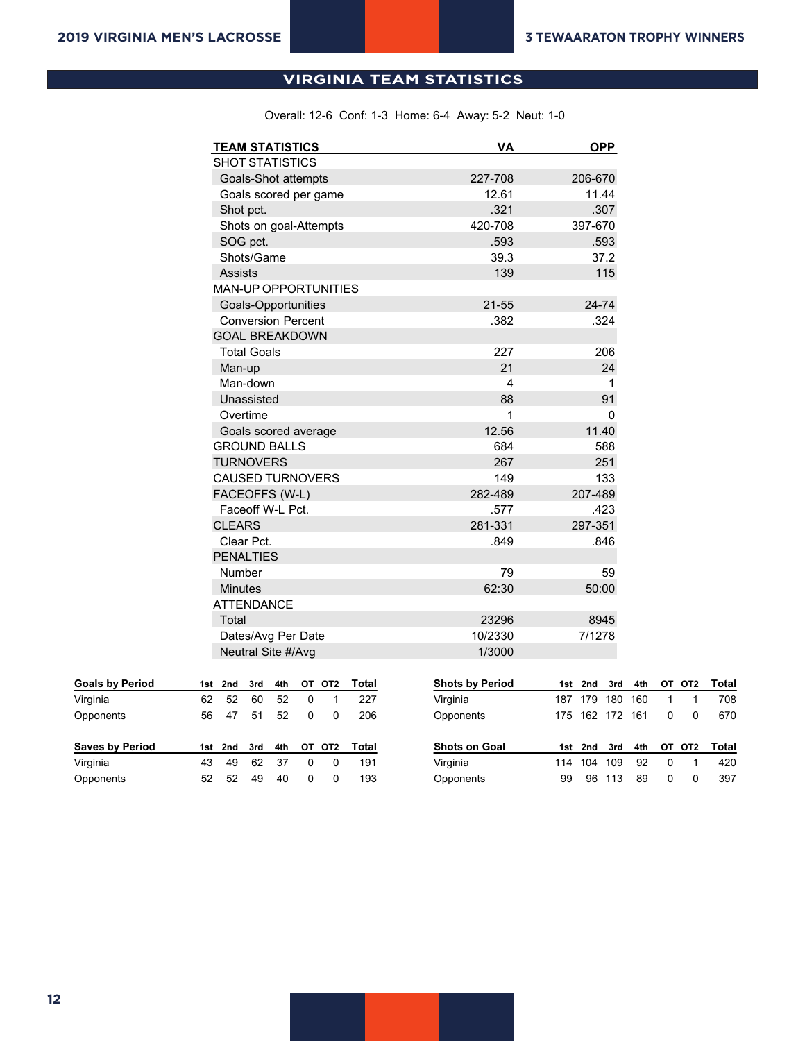## **All games (as of Feb 06, 2019) VIRGINIA TEAM STATISTICS**

Overall: 12-6 Conf: 1-3 Home: 6-4 Away: 5-2 Neut: 1-0

**2018 Virginia Lacrosse Virginia Overall Team Statistics**

| <b>TEAM STATISTICS</b>                                     | <b>VA</b>              | <b>OPP</b>      |                               |
|------------------------------------------------------------|------------------------|-----------------|-------------------------------|
| <b>SHOT STATISTICS</b>                                     |                        |                 |                               |
| Goals-Shot attempts                                        | 227-708                | 206-670         |                               |
| Goals scored per game                                      | 12.61                  | 11.44           |                               |
| Shot pct.                                                  | .321                   | .307            |                               |
| Shots on goal-Attempts                                     | 420-708                | 397-670         |                               |
| SOG pct.                                                   | .593                   | .593            |                               |
| Shots/Game                                                 | 39.3                   | 37.2            |                               |
| <b>Assists</b>                                             | 139                    | 115             |                               |
| <b>MAN-UP OPPORTUNITIES</b>                                |                        |                 |                               |
| Goals-Opportunities                                        | $21 - 55$              | 24-74           |                               |
| <b>Conversion Percent</b>                                  | .382                   | .324            |                               |
| <b>GOAL BREAKDOWN</b>                                      |                        |                 |                               |
| <b>Total Goals</b>                                         | 227                    | 206             |                               |
| Man-up                                                     | 21                     | 24              |                               |
| Man-down                                                   | 4                      | 1               |                               |
| Unassisted                                                 | 88                     | 91              |                               |
| Overtime                                                   | 1                      | 0               |                               |
| Goals scored average                                       | 12.56                  | 11.40           |                               |
| <b>GROUND BALLS</b>                                        | 684                    | 588             |                               |
| <b>TURNOVERS</b>                                           | 267                    | 251             |                               |
| <b>CAUSED TURNOVERS</b>                                    | 149                    | 133             |                               |
| FACEOFFS (W-L)                                             | 282-489                | 207-489         |                               |
| Faceoff W-L Pct.                                           | .577                   | .423            |                               |
| <b>CLEARS</b>                                              | 281-331                | 297-351         |                               |
| Clear Pct.                                                 | .849                   | .846            |                               |
| <b>PENALTIES</b>                                           |                        |                 |                               |
| Number                                                     | 79                     | 59              |                               |
| <b>Minutes</b>                                             | 62:30                  | 50:00           |                               |
| <b>ATTENDANCE</b>                                          |                        |                 |                               |
| Total                                                      | 23296                  | 8945            |                               |
| Dates/Avg Per Date                                         | 10/2330                | 7/1278          |                               |
| Neutral Site #/Avg                                         | 1/3000                 |                 |                               |
| OT OT2<br><b>Total</b><br>3rd<br>4th<br>1st<br>2nd         | <b>Shots by Period</b> | 3rd<br>1st 2nd  | <b>Total</b><br>4th<br>OT OT2 |
| 62<br>52<br>52<br>$\mathbf 0$<br>$\mathbf{1}$<br>227<br>60 | Virginia               | 187 179 180 160 | 1<br>$\mathbf{1}$<br>708      |

| Virginia               | 62  | 52  | 60  | 52  |    |                 | 227   | Virginia             | 187 | 179 | 180 | 160 |    |                 | 708          |
|------------------------|-----|-----|-----|-----|----|-----------------|-------|----------------------|-----|-----|-----|-----|----|-----------------|--------------|
| Opponents              | 56  | 47  | 51  | 52  | 0  |                 | 206   | Opponents            | 175 | 162 | 172 | 161 |    |                 | 670          |
|                        |     |     |     |     |    |                 |       |                      |     |     |     |     |    |                 |              |
| <b>Saves by Period</b> | 1st | 2nd | 3rd | 4th | ΟТ | OT <sub>2</sub> | Total | <b>Shots on Goal</b> | 1st | 2nd | 3rd | 4th | от | OT <sub>2</sub> |              |
| Virginia               | 43  | 49  | 62  | 37  |    |                 | 191   | Virginia             | 114 | 104 | 109 | 92  |    |                 | Total<br>420 |

**Goals by Period**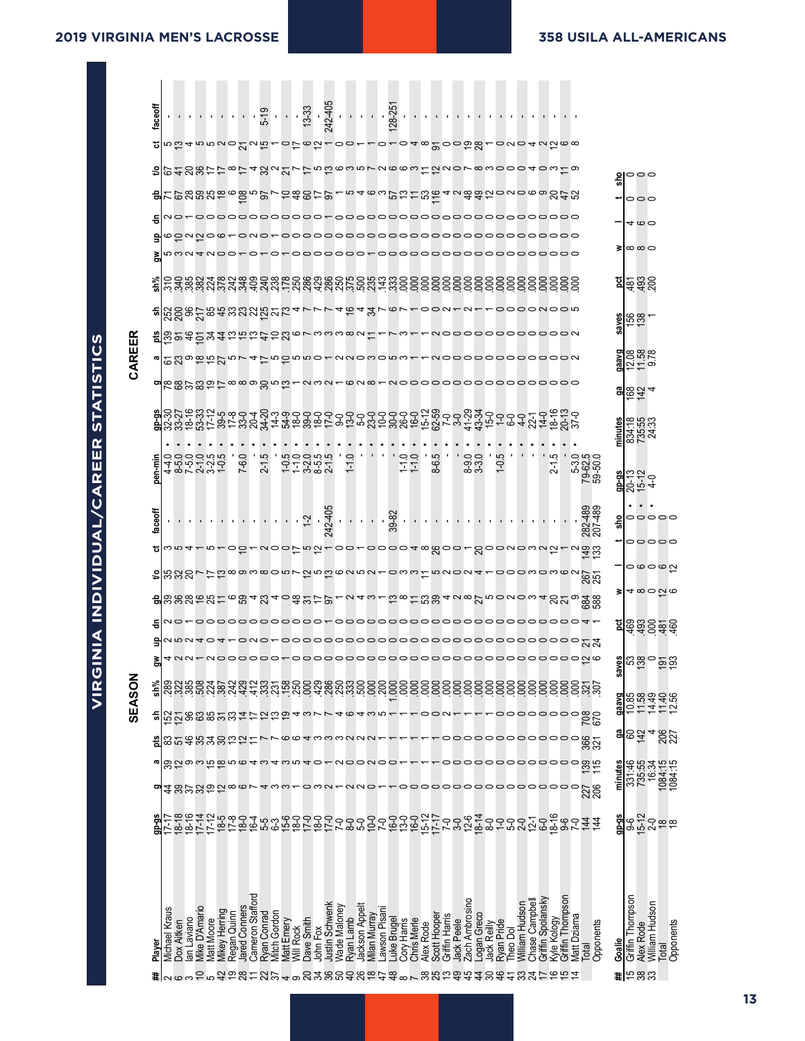|   |               | taccoff |                                                 |                          |                |                         |                      |             |               |                                 |                     |                                     |           |                        |                       |                     |           |                |              |              |                            | <u>가 가 가 되는 것이다. 중 사람들은 종일 중 없는 것이다.</u> |           |              |                                                              |                |                   |             |                       |                       |                     |                      |                                                                                                                                                                                       |                |                                          |              |                                      |                 |                          |
|---|---------------|---------|-------------------------------------------------|--------------------------|----------------|-------------------------|----------------------|-------------|---------------|---------------------------------|---------------------|-------------------------------------|-----------|------------------------|-----------------------|---------------------|-----------|----------------|--------------|--------------|----------------------------|------------------------------------------|-----------|--------------|--------------------------------------------------------------|----------------|-------------------|-------------|-----------------------|-----------------------|---------------------|----------------------|---------------------------------------------------------------------------------------------------------------------------------------------------------------------------------------|----------------|------------------------------------------|--------------|--------------------------------------|-----------------|--------------------------|
|   |               |         |                                                 |                          |                |                         |                      |             |               |                                 |                     |                                     |           |                        |                       |                     |           |                |              |              |                            |                                          |           |              | ฃ๒๛๚๛๛๛๛๚๛๛๛๛๛๛๛๛๛๛๛๛๛๛๛๛๛๛๛๛๛๛๛๛                            |                |                   |             |                       |                       |                     |                      |                                                                                                                                                                                       |                |                                          |              |                                      |                 |                          |
|   |               |         |                                                 |                          |                |                         |                      |             |               |                                 |                     |                                     |           |                        |                       |                     |           |                |              |              |                            |                                          |           |              | 地のれのあけけるけ4%22775863512663122078300040319                     |                |                   |             |                       |                       |                     |                      |                                                                                                                                                                                       |                |                                          |              | မှူေ၀                                |                 |                          |
|   |               |         |                                                 |                          |                |                         |                      |             |               |                                 |                     |                                     |           |                        |                       |                     |           |                |              |              |                            |                                          |           |              |                                                              |                |                   |             |                       |                       |                     |                      |                                                                                                                                                                                       |                |                                          |              | 000                                  |                 |                          |
|   |               | ㅎ       |                                                 |                          |                |                         |                      |             |               |                                 |                     |                                     |           |                        |                       |                     |           |                |              |              |                            |                                          |           |              |                                                              |                |                   |             |                       |                       |                     |                      |                                                                                                                                                                                       |                |                                          |              | 4 6 0                                |                 |                          |
|   |               |         |                                                 |                          |                | saunos.                 |                      |             |               |                                 |                     |                                     |           |                        |                       |                     |           |                |              |              |                            |                                          |           |              | 000000000000000000000000000000                               |                |                   |             |                       |                       |                     |                      |                                                                                                                                                                                       |                |                                          | 3            | ∞∞⇔                                  |                 |                          |
|   |               |         |                                                 |                          |                |                         |                      |             |               |                                 |                     |                                     |           |                        |                       |                     |           |                |              |              |                            |                                          |           |              | oooooo-ooooooooooooooooooo                                   |                |                   |             |                       |                       |                     |                      |                                                                                                                                                                                       |                |                                          |              |                                      |                 |                          |
|   |               |         |                                                 |                          |                |                         |                      |             |               |                                 |                     |                                     |           |                        |                       |                     |           |                |              |              |                            |                                          |           |              |                                                              |                |                   |             |                       |                       |                     |                      |                                                                                                                                                                                       |                |                                          |              | <u>ដ្ឋាខ្នុងខ្លួ</u>                 |                 |                          |
|   |               |         |                                                 |                          |                |                         |                      |             |               |                                 |                     |                                     |           |                        |                       |                     |           |                |              |              |                            |                                          |           |              | จทีซีอีละละสะสหสัยของเวรา ครรม ครรดครอด เ                    |                |                   |             |                       |                       |                     |                      | <u>-</u> 0000N00m                                                                                                                                                                     |                |                                          |              | $\frac{\text{guess}}{\text{156}}$    |                 |                          |
|   | CAREER        |         |                                                 |                          |                |                         |                      |             |               |                                 |                     | <b>ม</b> ีชิยลอิษฐล์และสรธนครองอด ส |           |                        |                       |                     |           |                |              |              |                            |                                          |           |              | r NOOOOOOOOOOON                                              |                |                   |             |                       |                       |                     |                      |                                                                                                                                                                                       |                |                                          |              |                                      |                 |                          |
|   |               |         |                                                 |                          |                |                         |                      |             |               |                                 |                     |                                     |           |                        |                       |                     |           |                |              |              |                            |                                          |           |              | draward procoocol and completed a consequence                |                |                   |             |                       |                       |                     |                      |                                                                                                                                                                                       |                |                                          |              | $\frac{9889}{12.58}$                 |                 |                          |
|   |               |         |                                                 |                          |                |                         |                      |             |               |                                 |                     |                                     |           |                        |                       |                     |           |                |              |              |                            |                                          |           |              | <mark>๚</mark> ඁඎඁඎ෪෮෪෨෧෪෪෪෫ඁ෨෪෬෪෫෧෪෬෫෧෮෫෬෮෮෮෮෮෮෮෮෮෮෮෮෮෮෮෮෮෮ |                |                   |             |                       |                       |                     |                      |                                                                                                                                                                                       |                |                                          |              | $rac{9}{20}$ $rac{6}{2}$ $rac{4}{4}$ |                 |                          |
|   |               | $9P-95$ |                                                 |                          |                |                         |                      |             |               |                                 |                     |                                     |           |                        |                       |                     |           |                |              |              |                            |                                          |           |              |                                                              |                |                   |             |                       |                       |                     |                      |                                                                                                                                                                                       |                |                                          |              |                                      |                 |                          |
|   |               |         |                                                 |                          |                |                         |                      |             |               |                                 |                     |                                     |           |                        |                       |                     |           |                |              |              |                            |                                          |           |              |                                                              |                |                   |             |                       |                       |                     |                      |                                                                                                                                                                                       |                |                                          | minutes      | 834:55<br>735:53<br>24:33            |                 |                          |
|   |               | pen-min | d 8 V V 4 4 7<br>4 7 7 4 7 9 7<br>9 0 0 0 7 7 8 |                          |                |                         |                      |             | O.<br>7-6.    | r.<br>$2-1$                     |                     |                                     |           |                        | といいする<br>セームもよ<br>セート |                     | O.<br>그   |                |              |              |                            | $\frac{1}{1}$<br>1.1.0                   |           | نۍ<br>8-6.   |                                                              |                | $-8.0$<br>$8.3.0$ |             | بت<br>$\overline{C}$  |                       |                     | ب .                  | $\sim$                                                                                                                                                                                |                | 5-3.0<br>79-62.5<br>59-50.0              |              | <b>a</b><br>80년<br>80년               |                 |                          |
|   |               | faceoff |                                                 |                          |                |                         |                      |             |               |                                 |                     |                                     |           |                        |                       |                     |           |                |              |              |                            |                                          |           |              |                                                              |                |                   |             |                       |                       |                     |                      |                                                                                                                                                                                       |                | 282-489<br>207-489                       | 흚            |                                      |                 | 00000                    |
|   |               |         |                                                 |                          |                |                         |                      |             |               |                                 |                     |                                     |           |                        |                       |                     |           |                |              |              |                            |                                          |           |              |                                                              |                |                   |             |                       |                       |                     |                      |                                                                                                                                                                                       |                | wn4-n-ob-yoorna-oorooodw800-800wowna-yaa |              |                                      |                 | 00000                    |
|   |               |         |                                                 |                          |                |                         |                      |             |               |                                 |                     |                                     |           |                        |                       |                     |           |                |              |              |                            |                                          |           |              |                                                              |                |                   |             |                       |                       |                     |                      |                                                                                                                                                                                       |                |                                          |              |                                      |                 | ဝဖဝဖပ္                   |
|   |               |         |                                                 |                          |                |                         |                      |             |               |                                 |                     |                                     |           |                        |                       |                     |           |                |              |              |                            |                                          |           |              |                                                              |                |                   |             |                       |                       |                     |                      |                                                                                                                                                                                       |                |                                          | з            |                                      |                 | ⊲ ∞ ⊝ ည ဖ                |
|   |               |         |                                                 |                          |                |                         |                      |             |               |                                 |                     |                                     |           |                        |                       |                     |           |                |              |              |                            |                                          |           |              |                                                              |                |                   |             |                       |                       |                     |                      |                                                                                                                                                                                       |                |                                          |              |                                      |                 | <u>ମ</u> ୍ବତ୍ତ୍ୱ କ୍ରିକ୍ଟ |
|   |               |         |                                                 |                          |                |                         |                      |             |               |                                 |                     |                                     |           |                        |                       |                     |           |                |              |              |                            |                                          |           |              |                                                              |                |                   |             |                       |                       |                     |                      |                                                                                                                                                                                       |                |                                          |              |                                      |                 |                          |
|   |               | ā       |                                                 |                          |                |                         |                      |             |               |                                 |                     |                                     |           |                        |                       |                     |           |                |              |              |                            |                                          |           |              |                                                              |                |                   |             |                       |                       |                     |                      |                                                                                                                                                                                       |                |                                          | ္တ           |                                      |                 | <b>ត្តី</b> ឌូនូ ១ខ្ល    |
| ≃ | <b>SEASON</b> | sh%     |                                                 |                          |                |                         |                      |             |               |                                 |                     |                                     |           |                        |                       |                     |           |                |              |              |                            |                                          |           |              |                                                              |                |                   |             | 88                    |                       | ខ្លីខ្លី            |                      |                                                                                                                                                                                       |                | <u>gggggyy</u>                           |              |                                      |                 | かいせい<br>おおおおお            |
|   |               | 듦       | $\overline{\mathcal{B}}$ ភ្នួខ្លួន្ទងន្នដ្ឋ     |                          |                |                         |                      |             |               |                                 |                     | $\mathbf{a}$ ഇ                      |           |                        |                       |                     |           |                |              |              |                            |                                          |           |              |                                                              |                |                   |             |                       |                       |                     |                      | 000000                                                                                                                                                                                |                | 708<br>670                               | <b>Doree</b> |                                      |                 |                          |
|   |               |         | 85483822                                        |                          |                |                         |                      |             |               | ⋍                               |                     |                                     |           |                        | ©© I MMM N N N        |                     |           |                |              |              |                            |                                          |           |              | 000000000000                                                 |                |                   |             |                       |                       |                     |                      |                                                                                                                                                                                       |                | 887                                      | 워            | 8<br>142                             |                 | 206                      |
|   |               |         |                                                 |                          |                |                         |                      |             |               |                                 |                     | တိတ်စယ်ဂ်စ်ဂူဇာနယ်နယ်ကုန်ဝ          |           |                        |                       |                     |           |                |              |              |                            |                                          |           |              |                                                              |                |                   |             |                       |                       |                     |                      | 0000000000                                                                                                                                                                            |                | $\frac{39}{15}$                          |              | 331:46                               | 735:55<br>16:34 | 1084:15<br>1084:15       |
|   |               |         | ≄≌ਅਯੋਨ∞                                         |                          |                |                         |                      |             |               |                                 |                     |                                     |           |                        | ⇔∞∾                   |                     |           |                |              |              |                            |                                          |           |              | 000000000                                                    |                |                   |             |                       |                       | 0000                |                      |                                                                                                                                                                                       |                | 227                                      | minutes      |                                      |                 |                          |
|   |               | $9p-95$ | $7-17$                                          |                          |                | 18-19<br>18-19<br>19-12 | $18-5$<br>$17-8$     |             |               | 8646<br>6469                    |                     |                                     |           |                        |                       | $7-0$               |           |                |              |              |                            |                                          |           |              | 。するいておけることです。<br>。このことのことにいい。                                | $12 - 6$       | $18-14$<br>$8-0$  |             | $Q-$<br>$5-0$         |                       | $2 - 0$<br>$12 - 1$ | $6 - 0$<br>$18 - 16$ |                                                                                                                                                                                       | $rac{6}{7}$ -0 | <u>44</u><br>44                          | $9P-95$      | <b>န</b> ၃၀<br>စစ်ပုံ                |                 | $\frac{8}{6}$            |
|   |               | Player  | Michael Kraus                                   | an Laviano<br>Dox Aitken | Viike D'Amario | <b>Vlatt Moore</b>      | <b>Vikey Herring</b> | Regan Quinn | lared Conners | Cameron Stafford<br>Ryan Conrad | <b>Vitch Gordon</b> | Vlatt Emery                         | Will Rock | Dave Smith<br>John Fox | Justin Schwenk        | <b>Nade Maloney</b> | Ryan Lamb | Jackson Appelt | Milan Murray | awson Pisani | -uke Brugel<br>Cory Harris | Chris Merle                              | Alex Rode | Scott Hooper | Griffin Harris<br>lack Peele                                 | Zach Ambrosino | Logan Greco       | lack Reilly | Ryan Pride<br>heo Dol | <b>William Hudson</b> | Chase Campbel       | Griffin Spolansky    | Griffin Thompson<br><vle kology<="" td=""><td>Matt Dziama</td><td>Opponents</td><td>Goalie</td><td>Griffin Thompson<br/>Alex Rode</td><td>William Hudson</td><td>Opponents</td></vle> | Matt Dziama    | Opponents                                | Goalie       | Griffin Thompson<br>Alex Rode        | William Hudson  | Opponents                |
|   |               |         |                                                 |                          |                |                         |                      |             |               |                                 |                     |                                     |           |                        |                       |                     |           |                |              |              |                            |                                          |           |              |                                                              |                |                   |             |                       |                       |                     |                      |                                                                                                                                                                                       |                | <b>leto</b>                              |              |                                      |                 | Total                    |
|   |               |         | #∣പഗന                                           |                          |                |                         |                      |             |               |                                 |                     |                                     |           |                        |                       |                     |           |                |              |              |                            |                                          |           |              | 0.29852524983869980480788099438945831565                     |                |                   |             |                       |                       |                     |                      |                                                                                                                                                                                       |                |                                          |              | $\sharp$  កងនង                       |                 |                          |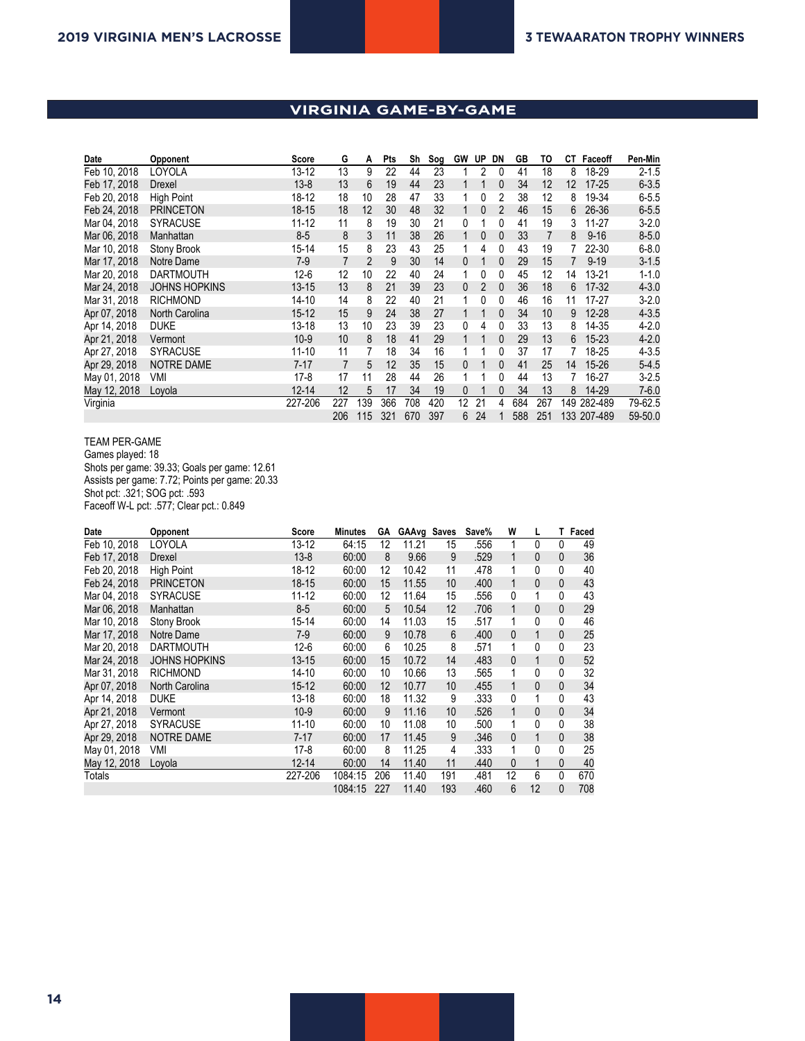## **VIRGINIA GAME-BY-GAME**

**2018 Virginia Lacrosse**

| Date         | Opponent             | Score     | G   | А              | Pts | Sh  | Sog | <b>GW</b>    | UP             | DN | GB  | то  | CТ  | Faceoff     | Pen-Min   |
|--------------|----------------------|-----------|-----|----------------|-----|-----|-----|--------------|----------------|----|-----|-----|-----|-------------|-----------|
| Feb 10, 2018 | LOYOLA               | $13 - 12$ | 13  | 9              | 22  | 44  | 23  |              | 2              | 0  | 41  | 18  | 8   | 18-29       | $2 - 1.5$ |
| Feb 17, 2018 | Drexel               | $13 - 8$  | 13  | 6              | 19  | 44  | 23  |              |                | 0  | 34  | 12  | 12  | $17 - 25$   | $6 - 3.5$ |
| Feb 20, 2018 | <b>High Point</b>    | 18-12     | 18  | 10             | 28  | 47  | 33  |              | 0              | 2  | 38  | 12  | 8   | 19-34       | $6 - 5.5$ |
| Feb 24, 2018 | <b>PRINCETON</b>     | $18 - 15$ | 18  | 12             | 30  | 48  | 32  | 1            | $\mathbf{0}$   | 2  | 46  | 15  | 6   | 26-36       | $6 - 5.5$ |
| Mar 04, 2018 | <b>SYRACUSE</b>      | $11 - 12$ | 11  | 8              | 19  | 30  | 21  | 0            |                | 0  | 41  | 19  | 3   | $11 - 27$   | $3 - 2.0$ |
| Mar 06, 2018 | Manhattan            | $8-5$     | 8   | 3              | 11  | 38  | 26  |              | $\mathbf{0}$   | 0  | 33  | 7   | 8   | $9 - 16$    | $8 - 5.0$ |
| Mar 10, 2018 | Stony Brook          | $15 - 14$ | 15  | 8              | 23  | 43  | 25  |              | 4              | 0  | 43  | 19  |     | 22-30       | $6 - 8.0$ |
| Mar 17, 2018 | Notre Dame           | $7-9$     | 7   | $\overline{2}$ | 9   | 30  | 14  | $\Omega$     |                | 0  | 29  | 15  |     | $9 - 19$    | $3 - 1.5$ |
| Mar 20, 2018 | <b>DARTMOUTH</b>     | $12 - 6$  | 12  | 10             | 22  | 40  | 24  | 1            | 0              | 0  | 45  | 12  | 14  | $13 - 21$   | $1 - 1.0$ |
| Mar 24, 2018 | <b>JOHNS HOPKINS</b> | $13 - 15$ | 13  | 8              | 21  | 39  | 23  | $\mathbf{0}$ | $\overline{2}$ | 0  | 36  | 18  | 6   | $17 - 32$   | $4 - 3.0$ |
| Mar 31, 2018 | <b>RICHMOND</b>      | $14 - 10$ | 14  | 8              | 22  | 40  | 21  |              | 0              | 0  | 46  | 16  | 11  | $17 - 27$   | $3 - 2.0$ |
| Apr 07, 2018 | North Carolina       | $15 - 12$ | 15  | 9              | 24  | 38  | 27  |              |                | 0  | 34  | 10  | 9   | $12 - 28$   | $4 - 3.5$ |
| Apr 14, 2018 | <b>DUKE</b>          | $13 - 18$ | 13  | 10             | 23  | 39  | 23  | 0            | 4              | 0  | 33  | 13  | 8   | 14-35       | $4 - 2.0$ |
| Apr 21, 2018 | Vermont              | $10-9$    | 10  | 8              | 18  | 41  | 29  | 1            |                | 0  | 29  | 13  | 6   | $15 - 23$   | $4 - 2.0$ |
| Apr 27, 2018 | <b>SYRACUSE</b>      | $11 - 10$ | 11  | 7              | 18  | 34  | 16  |              |                | 0  | 37  | 17  | 7   | 18-25       | $4 - 3.5$ |
| Apr 29, 2018 | <b>NOTRE DAME</b>    | $7 - 17$  | 7   | 5              | 12  | 35  | 15  | 0            |                | 0  | 41  | 25  | 14  | $15 - 26$   | $5 - 4.5$ |
| May 01, 2018 | VMI                  | $17-8$    | 17  | 11             | 28  | 44  | 26  |              |                | 0  | 44  | 13  |     | 16-27       | $3 - 2.5$ |
| May 12, 2018 | Loyola               | $12 - 14$ | 12  | 5              | 17  | 34  | 19  | $\mathbf{0}$ |                | 0  | 34  | 13  | 8   | 14-29       | $7 - 6.0$ |
| Virginia     |                      | 227-206   | 227 | 139            | 366 | 708 | 420 | 12           | 21             | 4  | 684 | 267 | 149 | 282-489     | 79-62.5   |
|              |                      |           | 206 | 115            | 321 | 670 | 397 | 6            | 24             |    | 588 | 251 |     | 133 207-489 | 59-50.0   |

#### TEAM PER-GAME Games played: 18 Shots per game: 39.33; Goals per game: 12.61 Assists per game: 7.72; Points per game: 20.33 Shot pct: .321; SOG pct: .593 Faceoff W-L pct: .577; Clear pct.: 0.849

| Date         | Opponent             | Score     | <b>Minutes</b> | GА  | GAAvg Saves |     | Save% | W            | L            | т            | Faced |
|--------------|----------------------|-----------|----------------|-----|-------------|-----|-------|--------------|--------------|--------------|-------|
| Feb 10, 2018 | LOYOLA               | $13 - 12$ | 64:15          | 12  | 11.21       | 15  | .556  | 1            | 0            | 0            | 49    |
| Feb 17, 2018 | Drexel               | $13 - 8$  | 60:00          | 8   | 9.66        | 9   | .529  | 1            | 0            | 0            | 36    |
| Feb 20, 2018 | <b>High Point</b>    | $18 - 12$ | 60:00          | 12  | 10.42       | 11  | .478  | 1            | 0            | $\mathbf{0}$ | 40    |
| Feb 24, 2018 | <b>PRINCETON</b>     | $18 - 15$ | 60:00          | 15  | 11.55       | 10  | .400  | $\mathbf{1}$ | $\mathbf{0}$ | $\mathbf{0}$ | 43    |
| Mar 04, 2018 | <b>SYRACUSE</b>      | $11 - 12$ | 60:00          | 12  | 11.64       | 15  | .556  | 0            | 1            | 0            | 43    |
| Mar 06, 2018 | Manhattan            | $8-5$     | 60:00          | 5   | 10.54       | 12  | .706  | 1            | $\mathbf{0}$ | $\mathbf{0}$ | 29    |
| Mar 10, 2018 | Stony Brook          | 15-14     | 60:00          | 14  | 11.03       | 15  | .517  | 1            | 0            | 0            | 46    |
| Mar 17, 2018 | Notre Dame           | $7-9$     | 60:00          | 9   | 10.78       | 6   | .400  | $\theta$     | 1            | $\mathbf{0}$ | 25    |
| Mar 20, 2018 | <b>DARTMOUTH</b>     | $12 - 6$  | 60:00          | 6   | 10.25       | 8   | .571  | 1            | 0            | 0            | 23    |
| Mar 24, 2018 | <b>JOHNS HOPKINS</b> | $13 - 15$ | 60:00          | 15  | 10.72       | 14  | .483  | 0            | 1            | 0            | 52    |
| Mar 31, 2018 | <b>RICHMOND</b>      | $14 - 10$ | 60:00          | 10  | 10.66       | 13  | .565  | 1            | 0            | 0            | 32    |
| Apr 07, 2018 | North Carolina       | $15 - 12$ | 60:00          | 12  | 10.77       | 10  | .455  | 1            | 0            | $\mathbf{0}$ | 34    |
| Apr 14, 2018 | <b>DUKE</b>          | 13-18     | 60:00          | 18  | 11.32       | 9   | .333  | 0            | 1            | 0            | 43    |
| Apr 21, 2018 | Vermont              | $10-9$    | 60:00          | 9   | 11.16       | 10  | .526  | 1            | $\mathbf{0}$ | $\mathbf{0}$ | 34    |
| Apr 27, 2018 | <b>SYRACUSE</b>      | $11 - 10$ | 60:00          | 10  | 11.08       | 10  | .500  | 1            | 0            | 0            | 38    |
| Apr 29, 2018 | <b>NOTRE DAME</b>    | $7 - 17$  | 60:00          | 17  | 11.45       | 9   | .346  | 0            | 1            | $\mathbf{0}$ | 38    |
| May 01, 2018 | VMI                  | $17-8$    | 60:00          | 8   | 11.25       | 4   | .333  | 1            | 0            | 0            | 25    |
| May 12, 2018 | Loyola               | $12 - 14$ | 60:00          | 14  | 11.40       | 11  | .440  | 0            | 1            | $\mathbf{0}$ | 40    |
| Totals       |                      | 227-206   | 1084:15        | 206 | 11.40       | 191 | .481  | 12           | 6            | 0            | 670   |
|              |                      |           | 1084:15        | 227 | 11.40       | 193 | .460  | 6            | 12           | $\mathbf{0}$ | 708   |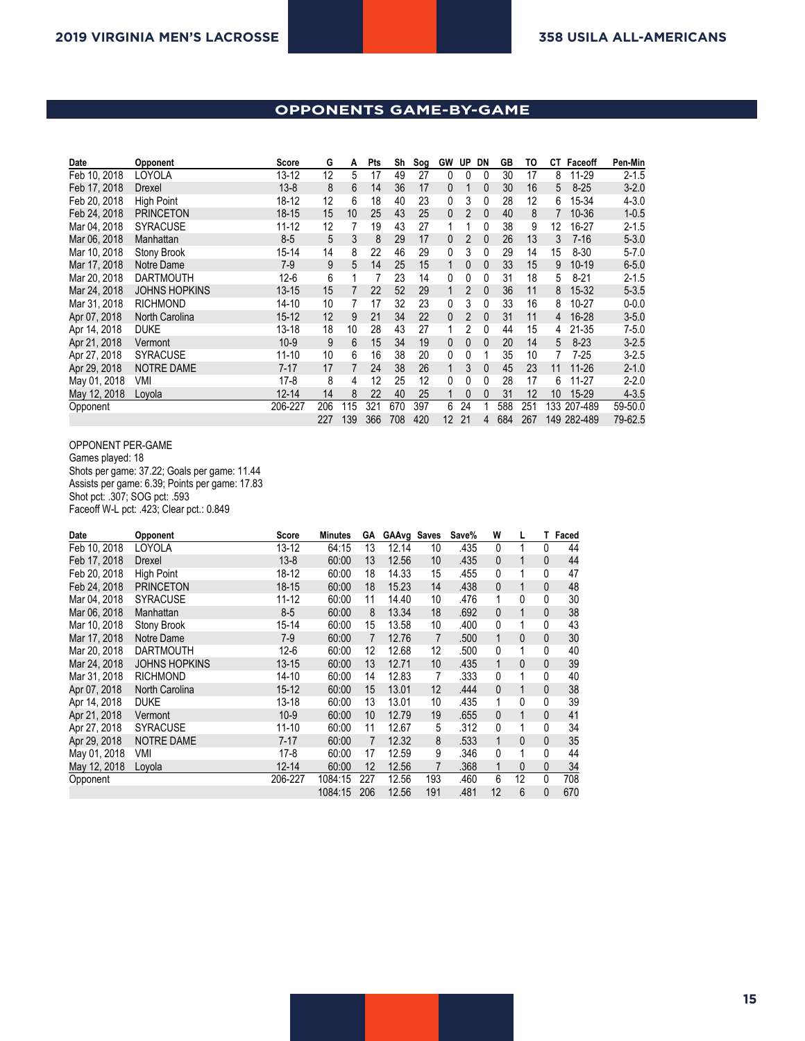## **OPPONENTS GAME-BY-GAME**

| Date         | Opponent             | Score     | G   | A   | Pts | Sh  | Sog | <b>GW</b>    | UP             | DN           | GB  | TO  | СT  | Faceoff     | Pen-Min   |
|--------------|----------------------|-----------|-----|-----|-----|-----|-----|--------------|----------------|--------------|-----|-----|-----|-------------|-----------|
| Feb 10, 2018 | LOYOLA               | $13 - 12$ | 12  | 5   | 17  | 49  | 27  | 0            | 0              | 0            | 30  | 17  | 8   | 11-29       | $2 - 1.5$ |
| Feb 17, 2018 | Drexel               | $13 - 8$  | 8   | 6   | 14  | 36  | 17  | $\mathbf{0}$ |                | 0            | 30  | 16  | 5   | $8 - 25$    | $3 - 2.0$ |
| Feb 20, 2018 | <b>High Point</b>    | 18-12     | 12  | 6   | 18  | 40  | 23  | 0            | 3              | 0            | 28  | 12  | 6   | 15-34       | $4 - 3.0$ |
| Feb 24, 2018 | <b>PRINCETON</b>     | $18 - 15$ | 15  | 10  | 25  | 43  | 25  | $\theta$     | $\overline{2}$ | 0            | 40  | 8   | 7   | 10-36       | $1 - 0.5$ |
| Mar 04, 2018 | <b>SYRACUSE</b>      | $11 - 12$ | 12  | 7   | 19  | 43  | 27  |              |                | 0            | 38  | 9   | 12  | 16-27       | $2 - 1.5$ |
| Mar 06, 2018 | Manhattan            | $8-5$     | 5   | 3   | 8   | 29  | 17  | $\Omega$     | $\overline{2}$ | 0            | 26  | 13  | 3   | $7 - 16$    | $5 - 3.0$ |
| Mar 10, 2018 | Stony Brook          | 15-14     | 14  | 8   | 22  | 46  | 29  | 0            | 3              | 0            | 29  | 14  | 15  | $8 - 30$    | $5 - 7.0$ |
| Mar 17, 2018 | Notre Dame           | $7-9$     | 9   | 5   | 14  | 25  | 15  | 1            | $\mathbf{0}$   | $\mathbf{0}$ | 33  | 15  | 9   | $10-19$     | $6 - 5.0$ |
| Mar 20, 2018 | <b>DARTMOUTH</b>     | $12-6$    | 6   |     |     | 23  | 14  | 0            | 0              | 0            | 31  | 18  | 5   | $8 - 21$    | $2 - 1.5$ |
| Mar 24, 2018 | <b>JOHNS HOPKINS</b> | $13 - 15$ | 15  |     | 22  | 52  | 29  |              | $\overline{2}$ | 0            | 36  | 11  | 8   | 15-32       | $5 - 3.5$ |
| Mar 31, 2018 | <b>RICHMOND</b>      | $14 - 10$ | 10  |     | 17  | 32  | 23  | 0            | 3              | 0            | 33  | 16  | 8   | $10 - 27$   | $0 - 0.0$ |
| Apr 07, 2018 | North Carolina       | $15 - 12$ | 12  | 9   | 21  | 34  | 22  | $\theta$     | $\overline{2}$ | $\mathbf{0}$ | 31  | 11  | 4   | 16-28       | $3 - 5.0$ |
| Apr 14, 2018 | <b>DUKE</b>          | $13 - 18$ | 18  | 10  | 28  | 43  | 27  |              | 2              | 0            | 44  | 15  | 4   | 21-35       | $7 - 5.0$ |
| Apr 21, 2018 | Vermont              | $10-9$    | 9   | 6   | 15  | 34  | 19  | $\mathbf{0}$ | $\mathbf{0}$   | $\mathbf{0}$ | 20  | 14  | 5   | $8 - 23$    | $3 - 2.5$ |
| Apr 27, 2018 | <b>SYRACUSE</b>      | $11 - 10$ | 10  | 6   | 16  | 38  | 20  | 0            | $\Omega$       |              | 35  | 10  |     | $7-25$      | $3 - 2.5$ |
| Apr 29, 2018 | <b>NOTRE DAME</b>    | $7 - 17$  | 17  | 7   | 24  | 38  | 26  |              | 3              | $\Omega$     | 45  | 23  | 11  | $11 - 26$   | $2 - 1.0$ |
| May 01, 2018 | VMI                  | $17-8$    | 8   | 4   | 12  | 25  | 12  | 0            | 0              | 0            | 28  | 17  | 6   | 11-27       | $2 - 2.0$ |
| May 12, 2018 | Lovola               | $12 - 14$ | 14  | 8   | 22  | 40  | 25  |              | $\mathbf{0}$   | 0            | 31  | 12  | 10  | 15-29       | $4 - 3.5$ |
| Opponent     |                      | 206-227   | 206 | 115 | 321 | 670 | 397 | 6            | 24             |              | 588 | 251 | 133 | 207-489     | 59-50.0   |
|              |                      |           | 227 | 139 | 366 | 708 | 420 | 12           | 21             | 4            | 684 | 267 |     | 149 282-489 | 79-62.5   |

#### OPPONENT PER-GAME

Games played: 18 Shots per game: 37.22; Goals per game: 11.44 Assists per game: 6.39; Points per game: 17.83 Shot pct: .307; SOG pct: .593 Faceoff W-L pct: .423; Clear pct.: 0.849

| Date         | Opponent             | Score     | <b>Minutes</b> | GА  | GAAvg Saves |     | Save% | W            | L            | T. | Faced |
|--------------|----------------------|-----------|----------------|-----|-------------|-----|-------|--------------|--------------|----|-------|
| Feb 10, 2018 | LOYOLA               | 13-12     | 64:15          | 13  | 12.14       | 10  | .435  | 0            | 1            | 0  | 44    |
| Feb 17, 2018 | Drexel               | $13 - 8$  | 60:00          | 13  | 12.56       | 10  | .435  | $\mathbf{0}$ | 1            | 0  | 44    |
| Feb 20, 2018 | <b>High Point</b>    | 18-12     | 60:00          | 18  | 14.33       | 15  | .455  | 0            | 1            | 0  | 47    |
| Feb 24, 2018 | <b>PRINCETON</b>     | $18 - 15$ | 60:00          | 18  | 15.23       | 14  | .438  | $\mathbf{0}$ | 1            | 0  | 48    |
| Mar 04, 2018 | <b>SYRACUSE</b>      | 11-12     | 60:00          | 11  | 14.40       | 10  | .476  | 1            | 0            | 0  | 30    |
| Mar 06, 2018 | Manhattan            | $8-5$     | 60:00          | 8   | 13.34       | 18  | .692  | $\mathbf{0}$ | 1            | 0  | 38    |
| Mar 10, 2018 | Stony Brook          | 15-14     | 60:00          | 15  | 13.58       | 10  | .400  | 0            | 1            | 0  | 43    |
| Mar 17, 2018 | Notre Dame           | $7-9$     | 60:00          | 7   | 12.76       | 7   | .500  | 1            | $\mathbf{0}$ | 0  | 30    |
| Mar 20, 2018 | <b>DARTMOUTH</b>     | $12 - 6$  | 60:00          | 12  | 12.68       | 12  | .500  | 0            | 1            | 0  | 40    |
| Mar 24, 2018 | <b>JOHNS HOPKINS</b> | $13 - 15$ | 60:00          | 13  | 12.71       | 10  | .435  | 1            | $\mathbf{0}$ | 0  | 39    |
| Mar 31, 2018 | <b>RICHMOND</b>      | 14-10     | 60:00          | 14  | 12.83       | 7   | .333  | 0            | 1            | 0  | 40    |
| Apr 07, 2018 | North Carolina       | $15 - 12$ | 60:00          | 15  | 13.01       | 12  | .444  | $\mathbf{0}$ | 1            | 0  | 38    |
| Apr 14, 2018 | <b>DUKE</b>          | 13-18     | 60:00          | 13  | 13.01       | 10  | .435  | 1            | 0            | 0  | 39    |
| Apr 21, 2018 | Vermont              | $10-9$    | 60:00          | 10  | 12.79       | 19  | .655  | $\mathbf{0}$ | 1            | 0  | 41    |
| Apr 27, 2018 | <b>SYRACUSE</b>      | 11-10     | 60:00          | 11  | 12.67       | 5   | .312  | 0            | 1            | 0  | 34    |
| Apr 29, 2018 | <b>NOTRE DAME</b>    | $7 - 17$  | 60:00          | 7   | 12.32       | 8   | .533  | 1            | $\mathbf{0}$ | 0  | 35    |
| May 01, 2018 | VMI                  | $17-8$    | 60:00          | 17  | 12.59       | 9   | .346  | 0            | 1            | 0  | 44    |
| May 12, 2018 | Loyola               | $12 - 14$ | 60:00          | 12  | 12.56       |     | .368  | 1            | $\mathbf{0}$ | 0  | 34    |
| Opponent     |                      | 206-227   | 1084:15        | 227 | 12.56       | 193 | .460  | 6            | 12           | 0  | 708   |
|              |                      |           | 1084:15        | 206 | 12.56       | 191 | .481  | 12           | 6            | 0  | 670   |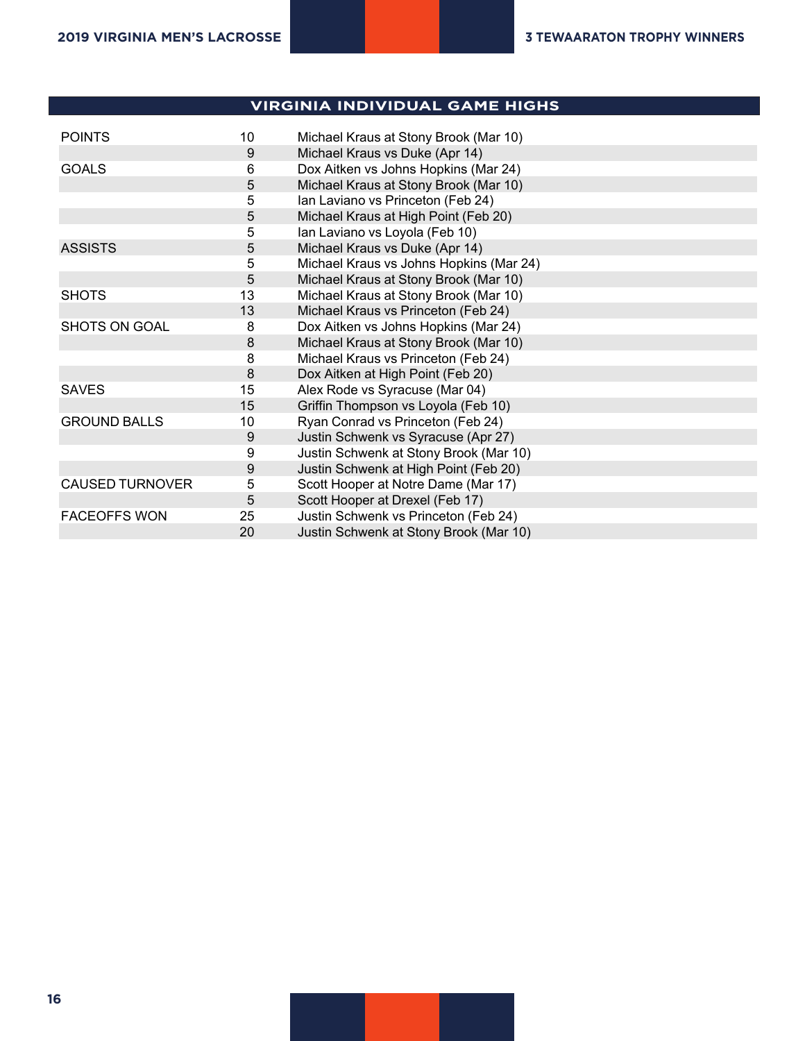### **Virginia - INDIVIDUAL GAME HIGHS VIRGINIA INDIVIDUAL GAME HIGHS**

**2018 Virginia Lacrosse**

**All games (as of Feb 06, 2019)**

| <b>POINTS</b>          | 10 | Michael Kraus at Stony Brook (Mar 10)   |
|------------------------|----|-----------------------------------------|
|                        | 9  | Michael Kraus vs Duke (Apr 14)          |
| <b>GOALS</b>           | 6  | Dox Aitken vs Johns Hopkins (Mar 24)    |
|                        | 5  | Michael Kraus at Stony Brook (Mar 10)   |
|                        | 5  | Ian Laviano vs Princeton (Feb 24)       |
|                        | 5  | Michael Kraus at High Point (Feb 20)    |
|                        | 5  | Ian Laviano vs Loyola (Feb 10)          |
| <b>ASSISTS</b>         | 5  | Michael Kraus vs Duke (Apr 14)          |
|                        | 5  | Michael Kraus vs Johns Hopkins (Mar 24) |
|                        | 5  | Michael Kraus at Stony Brook (Mar 10)   |
| <b>SHOTS</b>           | 13 | Michael Kraus at Stony Brook (Mar 10)   |
|                        | 13 | Michael Kraus vs Princeton (Feb 24)     |
| SHOTS ON GOAL          | 8  | Dox Aitken vs Johns Hopkins (Mar 24)    |
|                        | 8  | Michael Kraus at Stony Brook (Mar 10)   |
|                        | 8  | Michael Kraus vs Princeton (Feb 24)     |
|                        | 8  | Dox Aitken at High Point (Feb 20)       |
| <b>SAVES</b>           | 15 | Alex Rode vs Syracuse (Mar 04)          |
|                        | 15 | Griffin Thompson vs Loyola (Feb 10)     |
| <b>GROUND BALLS</b>    | 10 | Ryan Conrad vs Princeton (Feb 24)       |
|                        | 9  | Justin Schwenk vs Syracuse (Apr 27)     |
|                        | 9  | Justin Schwenk at Stony Brook (Mar 10)  |
|                        | 9  | Justin Schwenk at High Point (Feb 20)   |
| <b>CAUSED TURNOVER</b> | 5  | Scott Hooper at Notre Dame (Mar 17)     |
|                        | 5  | Scott Hooper at Drexel (Feb 17)         |
| <b>FACEOFFS WON</b>    | 25 | Justin Schwenk vs Princeton (Feb 24)    |
|                        | 20 | Justin Schwenk at Stony Brook (Mar 10)  |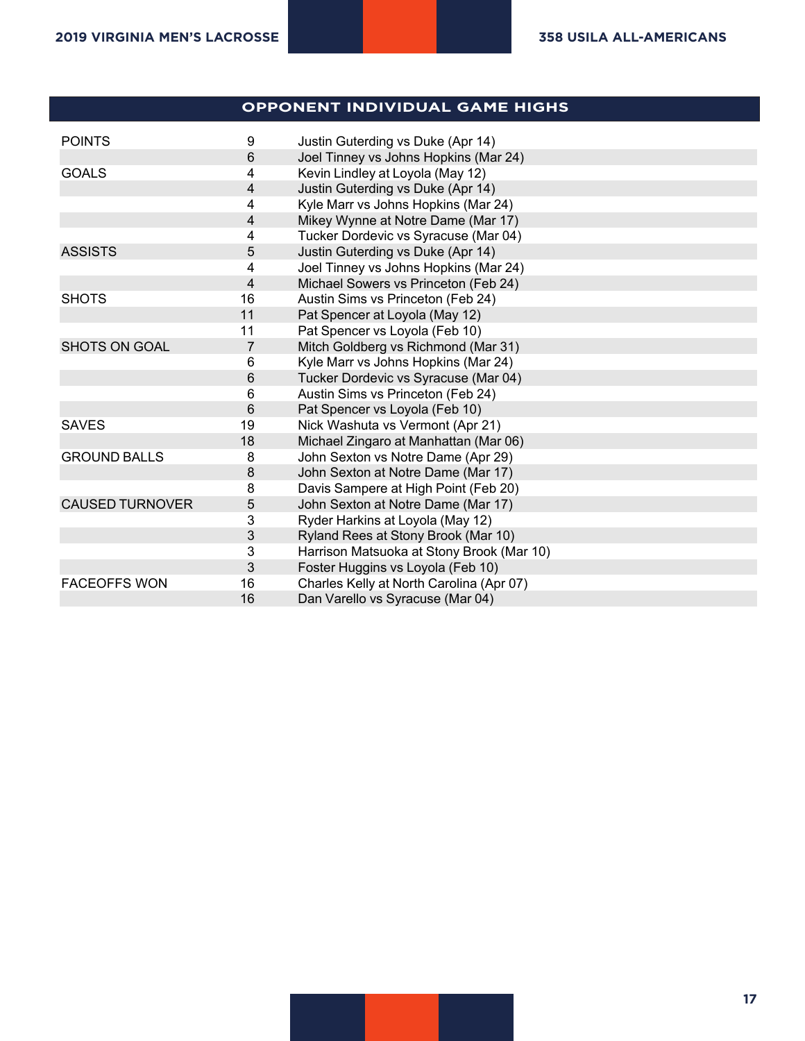## **Virginia - OPPONENT INDIVIDUAL GAME HIGHS OPPONENT INDIVIDUAL GAME HIGHS**

| <b>POINTS</b>          | 9              | Justin Guterding vs Duke (Apr 14)         |
|------------------------|----------------|-------------------------------------------|
|                        | $6\phantom{1}$ | Joel Tinney vs Johns Hopkins (Mar 24)     |
| <b>GOALS</b>           | 4              | Kevin Lindley at Loyola (May 12)          |
|                        | 4              | Justin Guterding vs Duke (Apr 14)         |
|                        | 4              | Kyle Marr vs Johns Hopkins (Mar 24)       |
|                        | 4              | Mikey Wynne at Notre Dame (Mar 17)        |
|                        | 4              | Tucker Dordevic vs Syracuse (Mar 04)      |
| <b>ASSISTS</b>         | 5              | Justin Guterding vs Duke (Apr 14)         |
|                        | 4              | Joel Tinney vs Johns Hopkins (Mar 24)     |
|                        | 4              | Michael Sowers vs Princeton (Feb 24)      |
| <b>SHOTS</b>           | 16             | Austin Sims vs Princeton (Feb 24)         |
|                        | 11             | Pat Spencer at Loyola (May 12)            |
|                        | 11             | Pat Spencer vs Loyola (Feb 10)            |
| <b>SHOTS ON GOAL</b>   | $\overline{7}$ | Mitch Goldberg vs Richmond (Mar 31)       |
|                        | 6              | Kyle Marr vs Johns Hopkins (Mar 24)       |
|                        | 6              | Tucker Dordevic vs Syracuse (Mar 04)      |
|                        | 6              | Austin Sims vs Princeton (Feb 24)         |
|                        | 6              | Pat Spencer vs Loyola (Feb 10)            |
| <b>SAVES</b>           | 19             | Nick Washuta vs Vermont (Apr 21)          |
|                        | 18             | Michael Zingaro at Manhattan (Mar 06)     |
| <b>GROUND BALLS</b>    | 8              | John Sexton vs Notre Dame (Apr 29)        |
|                        | $\bf 8$        | John Sexton at Notre Dame (Mar 17)        |
|                        | 8              | Davis Sampere at High Point (Feb 20)      |
| <b>CAUSED TURNOVER</b> | 5              | John Sexton at Notre Dame (Mar 17)        |
|                        | 3              | Ryder Harkins at Loyola (May 12)          |
|                        | $\mathfrak{Z}$ | Ryland Rees at Stony Brook (Mar 10)       |
|                        | $\mathbf{3}$   | Harrison Matsuoka at Stony Brook (Mar 10) |
|                        | 3              | Foster Huggins vs Loyola (Feb 10)         |
| <b>FACEOFFS WON</b>    | 16             | Charles Kelly at North Carolina (Apr 07)  |
|                        | 16             | Dan Varello vs Syracuse (Mar 04)          |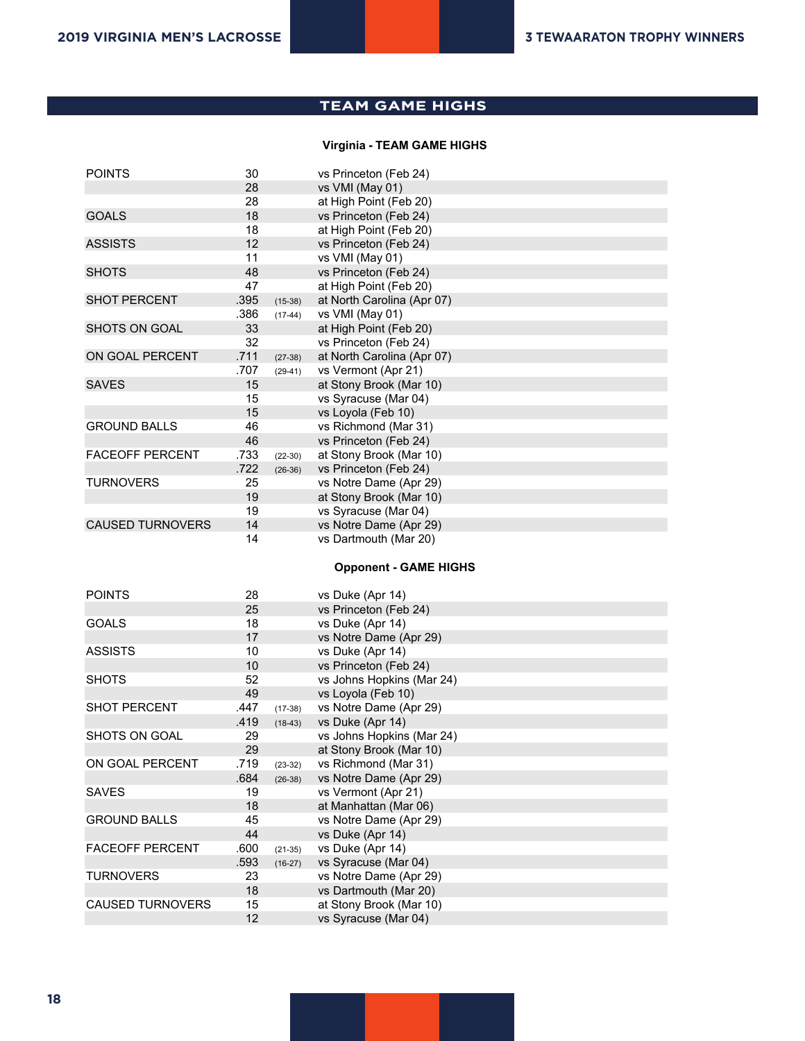#### **Virginia Team High/Low Analysis TEAM GAME HIGHS**

#### **Virginia - TEAM GAME HIGHS**

| <b>POINTS</b>           | 30         |           | vs Princeton (Feb 24)                           |
|-------------------------|------------|-----------|-------------------------------------------------|
|                         | 28         |           | vs VMI (May 01)                                 |
|                         | 28         |           | at High Point (Feb 20)                          |
| <b>GOALS</b>            | 18         |           | vs Princeton (Feb 24)                           |
|                         | 18         |           | at High Point (Feb 20)                          |
| <b>ASSISTS</b>          | 12         |           | vs Princeton (Feb 24)                           |
|                         | 11         |           | vs VMI (May 01)                                 |
| <b>SHOTS</b>            | 48         |           | vs Princeton (Feb 24)                           |
|                         | 47         |           | at High Point (Feb 20)                          |
| <b>SHOT PERCENT</b>     | .395       | $(15-38)$ | at North Carolina (Apr 07)                      |
|                         | .386       | $(17-44)$ | vs VMI (May 01)                                 |
| <b>SHOTS ON GOAL</b>    | 33         |           | at High Point (Feb 20)                          |
|                         | 32         |           | vs Princeton (Feb 24)                           |
| ON GOAL PERCENT         | .711       | $(27-38)$ | at North Carolina (Apr 07)                      |
|                         | .707       | $(29-41)$ | vs Vermont (Apr 21)                             |
| <b>SAVES</b>            | 15         |           | at Stony Brook (Mar 10)                         |
|                         | 15         |           | vs Syracuse (Mar 04)                            |
|                         | 15         |           | vs Loyola (Feb 10)                              |
| <b>GROUND BALLS</b>     | 46         |           | vs Richmond (Mar 31)                            |
|                         | 46         |           | vs Princeton (Feb 24)                           |
| <b>FACEOFF PERCENT</b>  | .733       | $(22-30)$ | at Stony Brook (Mar 10)                         |
|                         | .722       | $(26-36)$ | vs Princeton (Feb 24)                           |
| <b>TURNOVERS</b>        | 25         |           | vs Notre Dame (Apr 29)                          |
|                         | 19         |           | at Stony Brook (Mar 10)                         |
|                         | 19         |           | vs Syracuse (Mar 04)                            |
| <b>CAUSED TURNOVERS</b> | 14         |           | vs Notre Dame (Apr 29)                          |
|                         | 14         |           | vs Dartmouth (Mar 20)                           |
|                         |            |           |                                                 |
|                         |            |           | <b>Opponent - GAME HIGHS</b>                    |
| <b>POINTS</b>           | 28         |           | vs Duke (Apr 14)                                |
|                         | 25         |           | vs Princeton (Feb 24)                           |
| <b>GOALS</b>            | 18         |           | vs Duke (Apr 14)                                |
|                         | 17         |           | vs Notre Dame (Apr 29)                          |
| <b>ASSISTS</b>          | 10         |           | vs Duke (Apr 14)                                |
|                         | 10         |           | vs Princeton (Feb 24)                           |
| <b>SHOTS</b>            | 52         |           | vs Johns Hopkins (Mar 24)                       |
|                         | 49         |           | vs Loyola (Feb 10)                              |
| <b>SHOT PERCENT</b>     | .447       | $(17-38)$ | vs Notre Dame (Apr 29)                          |
|                         | .419       | $(18-43)$ | vs Duke (Apr 14)                                |
| SHOTS ON GOAL           | 29         |           | vs Johns Hopkins (Mar 24)                       |
|                         | 29         |           | at Stony Brook (Mar 10)                         |
| ON GOAL PERCENT         | .719       | $(23-32)$ | vs Richmond (Mar 31)                            |
|                         | .684       | $(26-38)$ | vs Notre Dame (Apr 29)                          |
| <b>SAVES</b>            | 19         |           | vs Vermont (Apr 21)                             |
|                         | 18         |           | at Manhattan (Mar 06)                           |
| <b>GROUND BALLS</b>     | 45         |           | vs Notre Dame (Apr 29)                          |
|                         | 44         |           | vs Duke (Apr 14)                                |
| <b>FACEOFF PERCENT</b>  | .600       | $(21-35)$ | vs Duke (Apr 14)                                |
|                         |            |           |                                                 |
|                         |            |           | vs Syracuse (Mar 04)                            |
| <b>TURNOVERS</b>        | .593<br>23 | $(16-27)$ |                                                 |
|                         | 18         |           | vs Notre Dame (Apr 29)<br>vs Dartmouth (Mar 20) |

12 vs Syracuse (Mar 04)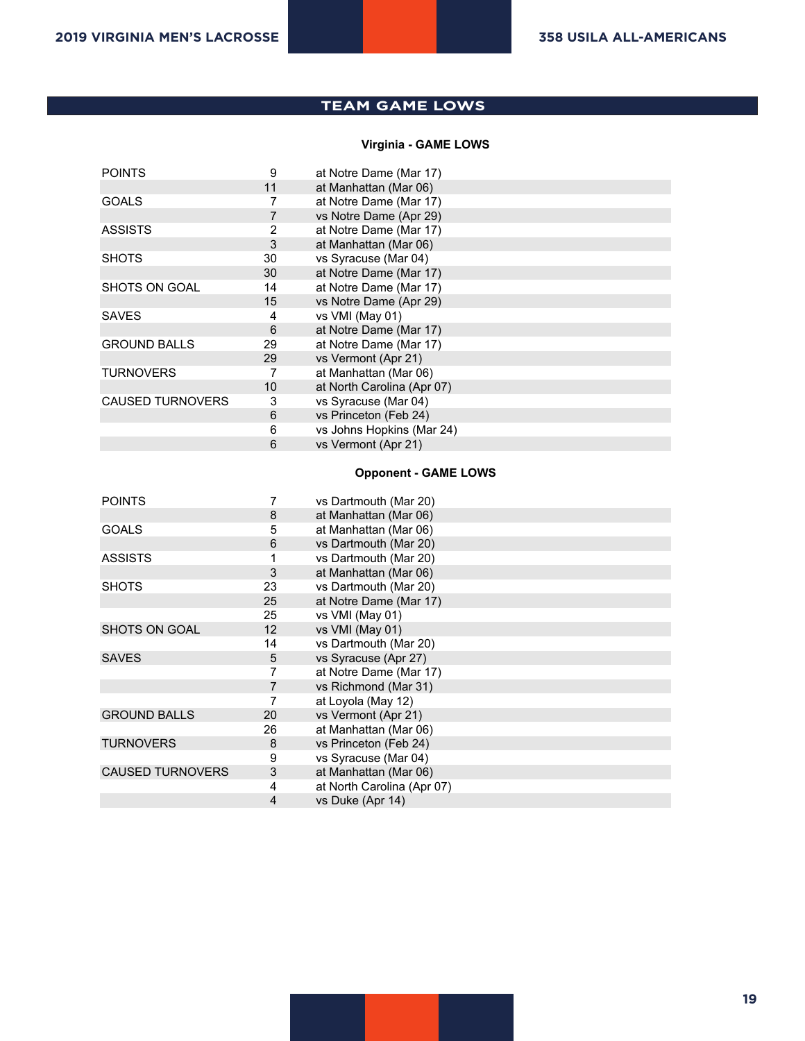## **TEAM GAME LOWS**

### **Virginia - GAME LOWS**

| <b>POINTS</b>           | 9              | at Notre Dame (Mar 17)     |  |
|-------------------------|----------------|----------------------------|--|
|                         | 11             | at Manhattan (Mar 06)      |  |
| <b>GOALS</b>            | 7              | at Notre Dame (Mar 17)     |  |
|                         | $\overline{7}$ | vs Notre Dame (Apr 29)     |  |
| <b>ASSISTS</b>          | 2              | at Notre Dame (Mar 17)     |  |
|                         | 3              | at Manhattan (Mar 06)      |  |
| <b>SHOTS</b>            | 30             | vs Syracuse (Mar 04)       |  |
|                         | 30             | at Notre Dame (Mar 17)     |  |
| SHOTS ON GOAL           | 14             | at Notre Dame (Mar 17)     |  |
|                         | 15             | vs Notre Dame (Apr 29)     |  |
| <b>SAVES</b>            | 4              | vs VMI (May 01)            |  |
|                         | 6              | at Notre Dame (Mar 17)     |  |
| <b>GROUND BALLS</b>     | 29             | at Notre Dame (Mar 17)     |  |
|                         | 29             | vs Vermont (Apr 21)        |  |
| <b>TURNOVERS</b>        | 7              | at Manhattan (Mar 06)      |  |
|                         | 10             | at North Carolina (Apr 07) |  |
| <b>CAUSED TURNOVERS</b> | 3              | vs Syracuse (Mar 04)       |  |
|                         | 6              | vs Princeton (Feb 24)      |  |
|                         | 6              | vs Johns Hopkins (Mar 24)  |  |
|                         | 6              | vs Vermont (Apr 21)        |  |
|                         |                |                            |  |

#### **Opponent - GAME LOWS**

| <b>POINTS</b>           |                | vs Dartmouth (Mar 20)      |
|-------------------------|----------------|----------------------------|
|                         | 8              | at Manhattan (Mar 06)      |
| <b>GOALS</b>            | 5              | at Manhattan (Mar 06)      |
|                         | 6              | vs Dartmouth (Mar 20)      |
| <b>ASSISTS</b>          | 1              | vs Dartmouth (Mar 20)      |
|                         | 3              | at Manhattan (Mar 06)      |
| <b>SHOTS</b>            | 23             | vs Dartmouth (Mar 20)      |
|                         | 25             | at Notre Dame (Mar 17)     |
|                         | 25             | vs VMI (May 01)            |
| SHOTS ON GOAL           | 12             | vs VMI (May 01)            |
|                         | 14             | vs Dartmouth (Mar 20)      |
| <b>SAVES</b>            | 5              | vs Syracuse (Apr 27)       |
|                         | 7              | at Notre Dame (Mar 17)     |
|                         | $\overline{7}$ | vs Richmond (Mar 31)       |
|                         |                | at Loyola (May 12)         |
| <b>GROUND BALLS</b>     | 20             | vs Vermont (Apr 21)        |
|                         | 26             | at Manhattan (Mar 06)      |
| <b>TURNOVERS</b>        | 8              | vs Princeton (Feb 24)      |
|                         | 9              | vs Syracuse (Mar 04)       |
| <b>CAUSED TURNOVERS</b> | 3              | at Manhattan (Mar 06)      |
|                         | 4              | at North Carolina (Apr 07) |
|                         | $\overline{4}$ | vs Duke (Apr 14)           |
|                         |                |                            |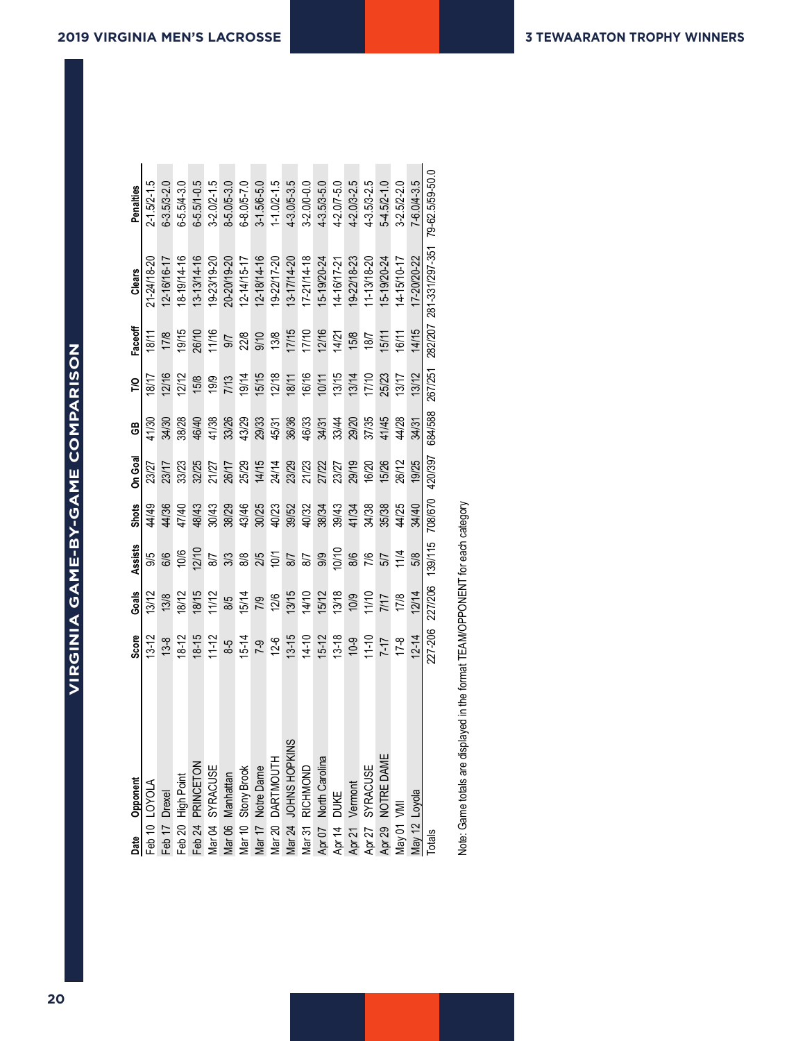| Date          | Opponent                                               | <b>Score</b> | Goals   | Assists    | <b>Shots</b> | On Goal | සී      | <b>P</b> | Faceoff | Clears                                  | Penalties           |
|---------------|--------------------------------------------------------|--------------|---------|------------|--------------|---------|---------|----------|---------|-----------------------------------------|---------------------|
|               | Feb 10 LOYOLA                                          | $13 - 12$    | 13/12   | 9/5        | 44/49        | 23/27   | 1/30    | 18/17    | 18/11   | 21-24/18-20                             | $2 - 1.5/2 - 1.5$   |
| Feb 17 Drexel |                                                        | $13 - 8$     | 13/8    | 8/6        | 44/36        | 23/17   | 34/30   | 12/16    | 17/8    | 12-16/16-17                             | $6 - 3.5/3 - 2.0$   |
|               | Feb 20 High Point                                      | $18 - 12$    | 18/12   | 10/6       | 17/40        | 33/23   | 38/28   | 12/12    | 19/15   | 8-19/14-16                              | $6 - 5.5/4 - 3.0$   |
|               | Feb 24 PRINCETON                                       | $18 - 15$    | 18/15   | 12/10      | 48/43        | 32/25   | 46/40   | 15/8     | 26/10   | 13-13/14-16                             | $6 - 5.5/1 - 0.5$   |
|               | Mar 04 SYRACUSE                                        | $11 - 12$    | 11/12   | <b>S/7</b> | 30/43        | 21/27   | 41/38   | 19/9     | 11/16   | 19-23/19-20                             | $3 - 2.0 / 2 - 1.5$ |
|               | Vlar 06 Manhattan                                      | $8-5$        | 8/5     | 3/3        | 38/29        | 26/17   | 33/26   | 7/13     | 9/7     | 20-20/19-20                             | $8 - 5.0 / 5 - 3.0$ |
|               | Mar 10 Stony Brook                                     | $15 - 14$    | 15/14   | 8/8        | 43/46        | 25/29   | 43/29   | 19/14    | 22/8    | 12-14/15-17                             | 6-8.0/5-7.0         |
|               | Mar 17 Notre Dame                                      | $7-9$        | 7/9     | 2/5        | 30/25        | 14/15   | 29/33   | 15/15    | 9/10    | 12-18/14-16                             | $3 - 1.5/6 - 5.0$   |
|               | Mar 20 DARTMOUTH                                       | $12-6$       | 12/6    | 10/1       | 40/23        | 24/14   | 45/31   | 12/18    | 13/8    | 19-22/17-20                             | $1 - 1.0/2 - 1.5$   |
|               | SN<br>Mar 24 JOHNS HOPKI                               | $13 - 15$    | 13/15   | 8/7        | 39/52        | 23/29   | 36/36   | 18/11    | 17/15   | 13-17/14-20                             | $4 - 3.0 / 5 - 3.5$ |
|               | Mar 31 RICHMOND                                        | $14 - 10$    | 14/10   | 8/7        | 40/32        | 21/23   | 46/33   | 16/16    | 17/10   | 17-21/14-18                             | 3-2.0/0-0.0         |
|               |                                                        | $15 - 12$    | 15/12   | 9/9        | 38/34        | 27/22   | 34/31   | 10/11    | 12/16   | 15-19/20-24                             | 4-3.5/3-5.0         |
|               |                                                        | $13 - 18$    | 13/18   | 10/10      | 39/43        | 23/27   | 33/44   | 13/15    | 14/21   | 14-16/17-21                             | $4 - 2.0/7 - 5.0$   |
|               | Apr 07 North Carolina<br>Apr 14 DUKE<br>Apr 21 Vermont | $10-9$       | 10/9    | 8/6        | 41/34        | 29/19   | 29/20   | 13/14    | 15/8    | 19-22/18-23                             | 4-2.0/3-2.5         |
|               | Apr 27 SYRACUSE<br>Apr 29 NOTRE DAME                   | $11 - 10$    | 11/10   | 7/6        | 34/38        | 16/20   | 37/35   | 17/10    | 18/7    | 11-13/18-20                             | 4-3.5/3-2.5         |
|               |                                                        | $7-7$        | 7/17    | 5/7        | 35/38        | 15/26   | 41/45   | 25/23    | 15/11   | $15-19/20-24$                           | $5-4.5/2-1.0$       |
| May 01 VMI    |                                                        | $17-8$       | 17/8    | 11/4       | 44/25        | 26/12   | 44/28   | 13/17    | 16/11   | 14-15/10-17                             | $3 - 2.5/2 - 2.0$   |
|               | May 12 Loyola                                          | $12 - 14$    | 12/14   | 5/8        | 34/40        | 19/25   | 34/31   | 13/12    | 14/15   | 17-20/20-22                             | 7-6.0/4-3.5         |
| <b>Totals</b> |                                                        | 277-206      | 227/206 | 139/115    | 708/670      | 420/397 | 684/588 | 267/251  |         | 282/207 281-331/297-351 79-62.5/59-50.0 |                     |

Note: Game totals are displayed in the format TEAM/OPPONENT for each category Note: Game totals are displayed in the format TEAM/OPPONENT for each category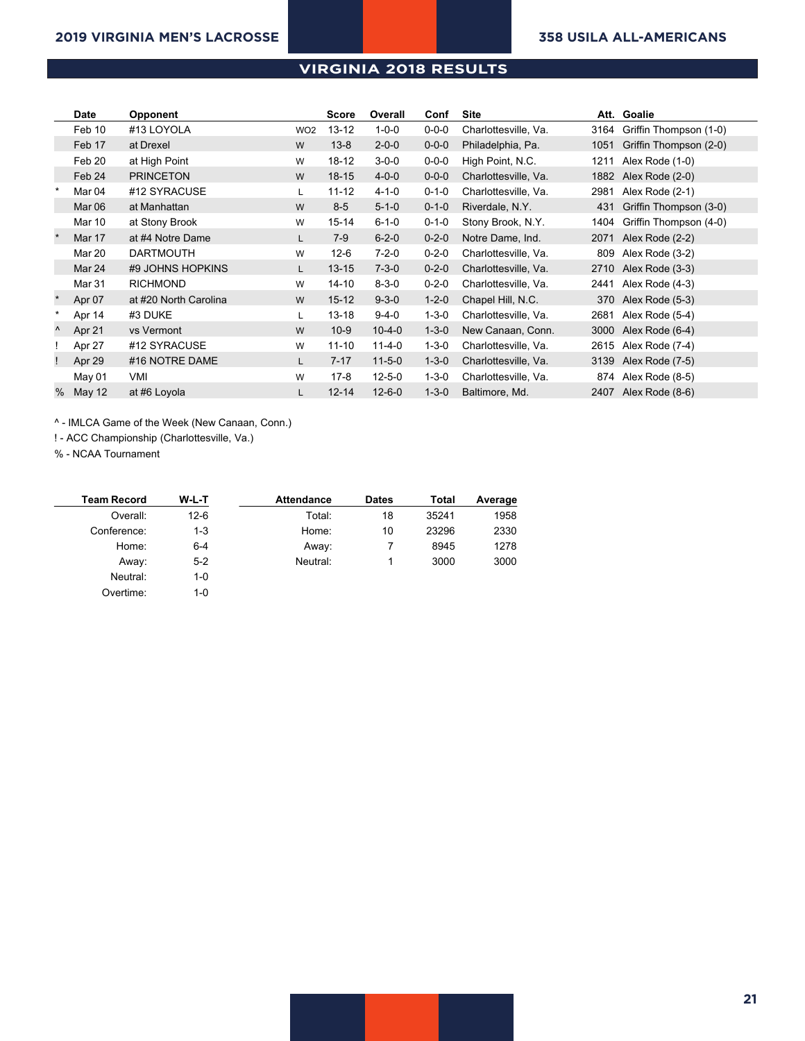#### **Virginia Game Results All games (as of Feb 06, 2019) VIRGINIA 2018 RESULTS**

|         | <b>Date</b> | Opponent              |                 | <b>Score</b> | Overall      | Conf        | Site                 | Att. | Goalie                 |
|---------|-------------|-----------------------|-----------------|--------------|--------------|-------------|----------------------|------|------------------------|
|         | Feb 10      | #13 LOYOLA            | WO <sub>2</sub> | $13 - 12$    | $1 - 0 - 0$  | $0 - 0 - 0$ | Charlottesville, Va. | 3164 | Griffin Thompson (1-0) |
|         | Feb 17      | at Drexel             | W               | $13 - 8$     | $2 - 0 - 0$  | $0 - 0 - 0$ | Philadelphia, Pa.    | 1051 | Griffin Thompson (2-0) |
|         | Feb 20      | at High Point         | W               | $18-12$      | $3 - 0 - 0$  | $0 - 0 - 0$ | High Point, N.C.     | 1211 | Alex Rode (1-0)        |
|         | Feb 24      | <b>PRINCETON</b>      | W               | $18 - 15$    | $4 - 0 - 0$  | $0 - 0 - 0$ | Charlottesville, Va. | 1882 | Alex Rode (2-0)        |
|         | Mar 04      | #12 SYRACUSE          | L               | $11 - 12$    | $4 - 1 - 0$  | $0 - 1 - 0$ | Charlottesville, Va. | 2981 | Alex Rode (2-1)        |
|         | Mar 06      | at Manhattan          | W               | $8 - 5$      | $5 - 1 - 0$  | $0 - 1 - 0$ | Riverdale, N.Y.      | 431  | Griffin Thompson (3-0) |
|         | Mar 10      | at Stony Brook        | W               | $15 - 14$    | $6 - 1 - 0$  | $0 - 1 - 0$ | Stony Brook, N.Y.    | 1404 | Griffin Thompson (4-0) |
|         | Mar 17      | at #4 Notre Dame      | L               | $7-9$        | $6 - 2 - 0$  | $0 - 2 - 0$ | Notre Dame, Ind.     | 2071 | Alex Rode (2-2)        |
|         | Mar 20      | <b>DARTMOUTH</b>      | W               | $12-6$       | $7 - 2 - 0$  | $0 - 2 - 0$ | Charlottesville, Va. | 809  | Alex Rode (3-2)        |
|         | Mar 24      | #9 JOHNS HOPKINS      | L               | $13 - 15$    | $7 - 3 - 0$  | $0 - 2 - 0$ | Charlottesville, Va. | 2710 | Alex Rode (3-3)        |
|         | Mar 31      | <b>RICHMOND</b>       | W               | $14 - 10$    | $8 - 3 - 0$  | $0 - 2 - 0$ | Charlottesville, Va. | 2441 | Alex Rode (4-3)        |
| $\star$ | Apr 07      | at #20 North Carolina | W               | $15 - 12$    | $9 - 3 - 0$  | $1 - 2 - 0$ | Chapel Hill, N.C.    | 370  | Alex Rode (5-3)        |
|         | Apr 14      | #3 DUKE               | L               | $13 - 18$    | $9 - 4 - 0$  | $1 - 3 - 0$ | Charlottesville, Va. | 2681 | Alex Rode (5-4)        |
| ٨       | Apr 21      | vs Vermont            | W               | $10-9$       | $10 - 4 - 0$ | $1 - 3 - 0$ | New Canaan, Conn.    | 3000 | Alex Rode (6-4)        |
|         | Apr 27      | #12 SYRACUSE          | W               | $11 - 10$    | $11 - 4 - 0$ | $1 - 3 - 0$ | Charlottesville, Va. | 2615 | Alex Rode (7-4)        |
|         | Apr 29      | #16 NOTRE DAME        | L               | $7 - 17$     | $11 - 5 - 0$ | $1 - 3 - 0$ | Charlottesville, Va. | 3139 | Alex Rode (7-5)        |
|         | May 01      | VMI                   | W               | $17-8$       | $12 - 5 - 0$ | $1 - 3 - 0$ | Charlottesville, Va. | 874  | Alex Rode (8-5)        |
| %       | May 12      | at #6 Loyola          | Г               | $12 - 14$    | $12 - 6 - 0$ | $1 - 3 - 0$ | Baltimore, Md.       | 2407 | Alex Rode (8-6)        |

^ - IMLCA Game of the Week (New Canaan, Conn.)

! - ACC Championship (Charlottesville, Va.)

% - NCAA Tournament

| <b>Team Record</b> | W-L-T   | <b>Attendance</b> | <b>Dates</b> | Total | Average |
|--------------------|---------|-------------------|--------------|-------|---------|
| Overall:           | $12-6$  | Total:            | 18           | 35241 | 1958    |
| Conference:        | $1 - 3$ | Home:             | 10           | 23296 | 2330    |
| Home:              | $6 - 4$ | Away:             |              | 8945  | 1278    |
| Away:              | $5 - 2$ | Neutral:          |              | 3000  | 3000    |
| Neutral:           | $1 - 0$ |                   |              |       |         |

Overtime: 1-0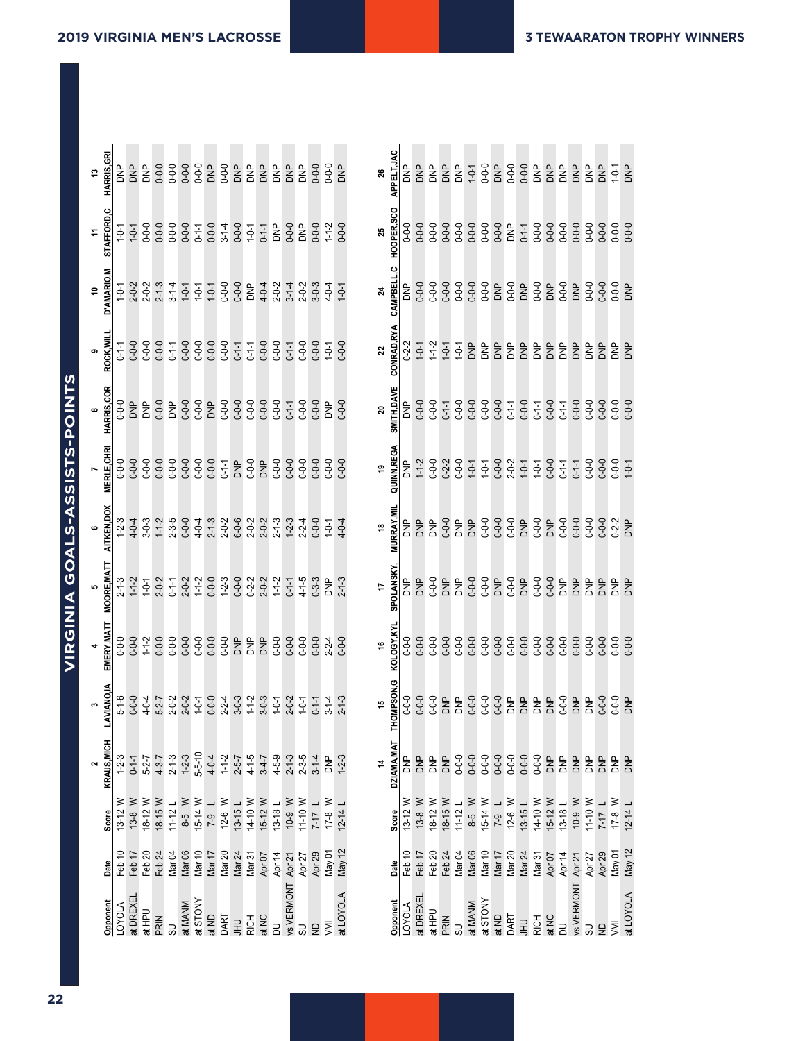| しトニュく<br>リニンニン               |  |
|------------------------------|--|
|                              |  |
| <b>IRGINIA GOALS-ASSISTS</b> |  |
|                              |  |
|                              |  |
|                              |  |
|                              |  |

**All games (as of Feb 06, 2019)**

| HARRIS, GR         |                | <b>DNP</b>  | BNP                        |             |                                       |             |                           |                                   |                         |             | 3333222                                                                                   |                   |                                     | $rac{p}{68}$           |                  | $0 - 0 - 0$          | $-0-0$                | $\approx$   |    | APPELT.JAC        | e<br>So     | BNP               | BNP         | $rac{p}{68}$               |             |             |             |             |                            |             |                                           |                                                         |                | BNP               | <b>S</b>       | BNP                                | $1 - 0 - 1$   | BNP                |
|--------------------|----------------|-------------|----------------------------|-------------|---------------------------------------|-------------|---------------------------|-----------------------------------|-------------------------|-------------|-------------------------------------------------------------------------------------------|-------------------|-------------------------------------|------------------------|------------------|----------------------|-----------------------|-------------|----|-------------------|-------------|-------------------|-------------|----------------------------|-------------|-------------|-------------|-------------|----------------------------|-------------|-------------------------------------------|---------------------------------------------------------|----------------|-------------------|----------------|------------------------------------|---------------|--------------------|
| AFFORD,C           | $-9 - 1$       | $1 - 0 - 1$ |                            |             |                                       |             |                           |                                   |                         |             | 9999998997999<br>99997979977899<br>99997977                                               |                   |                                     |                        |                  | $0 - 0 - 0$<br>1-1-2 |                       | $0 - 0 - 0$ | 25 | HOOPER,SCO        | $0 - 0 - 0$ | $0 - 0 - 0$       | $0 - 0 - 0$ | $0 - 0 - 0$                |             |             |             |             |                            |             |                                           |                                                         |                | $0 - 0 - 0$       | $0 - 0 - 0$    |                                    | $0 - 0 - 0$   | $0 - 0 - 0$        |
| D'AMARIO           | $-0-1$         | $2 - 0 - 2$ | $2 - 0 - 2$<br>$2 - 1 - 3$ |             | $3 - 1 - 4$                           |             |                           |                                   |                         |             |                                                                                           |                   |                                     |                        |                  |                      | $4 - 0 - 4$           | $1 - 0 - 1$ |    | CAMPBEI           |             | $0 - 0 - 0$       | $0 - 0 - 0$ | $0 - 0 - 0$                |             |             |             |             | 332222                     |             |                                           |                                                         |                | BNP               | $0 - 0 - 0$    | $0 - 0 - 0$                        | $0 - 0 - 0$   | $\frac{1}{2}$      |
| ROCK, WI           | $-1 - 1$       | $0 - 0 - 0$ | $0 - 0 - 0$                | $0 - 0 - 0$ | $0 - 1 - 1$                           |             |                           |                                   | 0-0-0<br>0-1-1<br>0-1-1 |             |                                                                                           | $0 - 0 - 0$       | $0 - 0 - 0$                         | $0 - 1 - 1$<br>$0 - 0$ |                  | $0 - 0 - 0$          | $-0-1$                | $0 - 0 - C$ |    | <b>CONRAD,RY</b>  | $0 - 2 - 2$ | $1 - 0 - 1$       | $1 - 2$     | $1 - 0 - 1$<br>$1 - 0 - 1$ |             | DNP         | <b>BNP</b>  | 오로<br>이     |                            | $\approx$   |                                           | $\frac{1}{2}$ $\frac{1}{2}$ $\frac{1}{2}$ $\frac{1}{2}$ |                | BNP               | å              | $\approx$                          | È             | È                  |
| HARRIS,COR         |                | BNP         | BNP                        | $rac{1}{2}$ |                                       |             | 우 0-0-0<br>0-0-0<br>0 0-0 |                                   |                         |             |                                                                                           | $0 - 0 - 0$       | $0 - 0 - 0$                         | $0 - 1 - 1$            | $0 - 0 - 0$      | $0 - 0 - 0$          | $rac{p}{\alpha}$      | $0 - 0 - 0$ |    | <b>SMITH,DAVI</b> | e<br>Na     | $0 - 0 - 0$       |             | 0-0-0<br>0-1-1<br>0-0-0    |             | $0 - 0 - 0$ | $0 - 0 - 0$ |             | $0 - 0 - 0$<br>$0 - 1 - 1$ | $0 - 0 - 0$ | 0-1-1<br>0-0-0<br>0-1-1                   |                                                         |                | $0 - 0 - 0$       | $0 - 0 - 0$    | $0 - 0 - 0$                        | $0 - 0 - 0$   | $0 - 0 - 0$        |
| ERLE,CH            | $-0-0$         |             |                            |             |                                       |             |                           |                                   |                         |             | 9 9 9 9 9 9 9 7 8 9 8 9 9 9<br>9 9 9 9 9 9 9 7 8 9 8 9 9 9<br>9 9 9 9 9 9 9 9 8 9 9 9 9   |                   |                                     |                        |                  | $0 - 0 - 0$          |                       | $0 - 0 - 0$ |    | INN, REG          | <b>BNP</b>  | $1 - 2$           |             |                            |             |             |             |             | 77792777977<br>77992777977 |             |                                           |                                                         |                |                   |                |                                    | $0 - 0 - 0$   | $1 - 0 - 1$        |
| AITKEN,DOX         | $1 - 2 - 3$    | $4 - 0 - 4$ | $3 - 0 - 3$                |             |                                       |             |                           |                                   |                         |             | つちのようとるというというようでしょうかいかいかいかいかいかいかい                                                         |                   |                                     |                        |                  | $0 - 0 - 0$          | $1 - 0 - 1$           | $4 - 0 - 4$ |    | <b>MURRAY, M</b>  | Ì           | $rac{p}{\alpha}$  | eka         | $0 - 0 - 0$                | DNP         | DNP         |             |             | 0-0-0<br>0-0-0<br>0-0-0    |             | 2520                                      |                                                         |                | $0 - 0 - 0$       | $0 - 0 - 0$    | $0 - 0 - 0$                        | $0 - 2 - 2$   | $\approx$          |
| <b>MOORE, MAT</b>  | $2 - 3$        | $1 - 2$     | $1 - 0 - 1$                | $2 - 0 - 2$ | $0 - 1 - 1$                           |             | $2 - 0 - 2$<br>1-1-2      |                                   |                         |             |                                                                                           |                   |                                     |                        | $0-1-1$<br>4-1-5 | $0 - 3 - 3$          | $\frac{P}{\tilde{C}}$ | $2 - 1 - 3$ |    | POLANSKY          | <b>BNP</b>  | BNP               | $0 - 0 - 0$ | aka<br>B                   |             |             | 3320        |             |                            |             | B <sub>S</sub> <sub>S</sub><br>BSS<br>BSS |                                                         |                | DNP               | BNP            | BNP                                | <b>SP</b>     | $\frac{p}{\alpha}$ |
| ERY, MAT           |                | $0 - 0 - 0$ | $1 - 1 - 2$                | $0 - 0 - 0$ | $0 - 0 - 0$                           | $0 - 0 - 0$ | $0 - 0 - 0$               | $0 - 0 - 0$                       | $0 - 0 - 0$             |             | aka<br>Dika                                                                               | <b>DNP</b>        | $0 - 0 - 0$                         | $0 - 0 - 0$            | $0 - 0 - 0$      | $0 - 0 - 0$          | $2 - 2 - 4$           | $0 - 0 - 0$ |    | KOLOGY.KY         | $0 - 0 - 0$ | $0 - 0 - 0$       | $0 - 0 - 0$ | $0 - 0 - 0$                |             | $0 - 0 - 0$ | $0 - 0 - 0$ | $0 - 0 - 0$ |                            | $0 - 0 - 0$ | $0 - 0 - 0$                               | $0 - 0 - 0$                                             | $0 - 0 - 0$    | $0 - 0 - 0$       | $0 - 0 - 0$    | $0 - 0 - 0$                        | $0 - 0 - 0$   | $0 - 0 - 0$        |
| <b>LAVIANO</b>     | $5 - 1 - 6$    | $0 - 0 - 0$ | $4 - 0 - 4$                |             |                                       |             |                           |                                   |                         |             | 7 2 2 7 0 4 3 2 3 4 5 6 7 7<br>2 9 0 0 0 2 9 7 0 7 0 0 0 0<br>5 2 2 3 2 9 2 9 1 0 0 0 0 0 |                   |                                     |                        |                  | $0 - 1 - 1$          | $3 - 1 - 4$           | $2 - 1 - 3$ |    | <b>HOMPSON</b>    | $0 - 0 - 0$ |                   | $0 - 0 - 0$ | 음<br>이후                    |             |             |             |             | $38888888888$              |             |                                           |                                                         |                |                   | $\overline{5}$ |                                    |               |                    |
| <b>KRAUS, MICH</b> | $1 - 2 - 3$    | $0 - 1 - 1$ | $5 - 2 - 7$                | $4 - 3 - 7$ | $2 - 1 - 3$                           | $1 - 2 - 3$ | $5 - 5 - 10$              | $4 - 0 - 4$                       | $1 - 1 - 2$             | $2 - 5 - 7$ | $4 - 1 - 5$<br>3-4-7                                                                      |                   | $4 - 5 - 9$                         | $2 - 1 - 3$            | $2 - 3 - 5$      | $3 - 1 - 4$          | e<br>So               | $1 - 2 - 3$ |    | DZIAMA, MAT       | 9kg         | BNP               | <b>SP</b>   | <b>DNP</b>                 | $0 - 0 - 0$ | $0 - 0 - 0$ | $0 - 0 - 0$ | $0 - 0 - 0$ | $0 - 0 - 0$                | $0 - 0 - 0$ | $0 - 0 - 0$                               | DNP                                                     | <b>BMD</b>     | BNP               | BNP            | BNP                                | $\frac{1}{2}$ | BNP                |
| Score              | ≥<br>$13 - 12$ | ≥<br>$13-8$ | $\geq$<br>$18 - 12$        | $18-15$ W   | $\overline{\phantom{a}}$<br>$11 - 12$ |             | $8-5$ W<br>15-14 W        | $\overline{\phantom{0}}$<br>$7-9$ | $\geq$<br>$12-6$        | $13-15 L$   | 14-10 W                                                                                   | $15-12$ W         | $\overline{\phantom{a}}$<br>$13-18$ | $W$ 6-01               | 11-10 W          | $7 - 17$             | ≥<br>$17-8$           | $12 - 14$   |    | Score             | $13-12$ W   | ≥<br>$13 - 8$     | 18-12 W     | $18-15$ W                  | $11 - 121$  | $8-5$ W     | $15-14$ W   | $1 - 9 - 1$ | $12-6$ W                   | $13-15 L$   | 14-10 W                                   | $15-12$ W                                               | $13-18$ L      | $\geq$<br>$10-9$  | 11-10 W        | $\overline{\phantom{0}}$<br>$7-17$ | ≥<br>$17-8$   | $12 - 14$          |
| Date               | Feb 10         | Feb 17      | Feb 20                     | Feb 24      | Mar 04                                | Mar 06      | Mar 10                    | Mar 17                            | Mar <sub>20</sub>       | Mar 24      | Mar 31                                                                                    | Apr <sub>07</sub> | Apr 14                              | Apr 21                 | Apr 27           | Apr 29               | Nay 01                | May 12      |    | Date              | Feb 10      | Feb <sub>17</sub> | Feb 20      | Feb 24                     | Mar 04      | Mar 06      | Mar 10      | Mar 17      | Mar 20                     | Mar 24      | Mar 31                                    | Apr <sub>07</sub>                                       | Apr 14         | Apr21             | Apr 27         | Apr 29                             | May 01        | May 12             |
| Opponent           | LOYOLA         | at DREXEI   | at HPU                     | PRIN        | 5U                                    | at MANM     | at STONY                  | at ND                             | DART                    | $\exists$   | RICH                                                                                      | at NC             | $\overline{a}$                      | vs VERMONT             |                  | $\epsilon$           | <b>NVI</b>            | at LOYOLA   |    | Opponent          | LOYOLA      | at DREXEI         | at HPU      | PRIN                       | 5U          | at MANM     | at STONY    | at ND       | DART                       | $\exists$   | <b>RICH</b>                               | at NC                                                   | $\overline{a}$ | <b>vs VERMONT</b> | SU             | $\overline{z}$                     | <b>NNI</b>    | at LOYOLA          |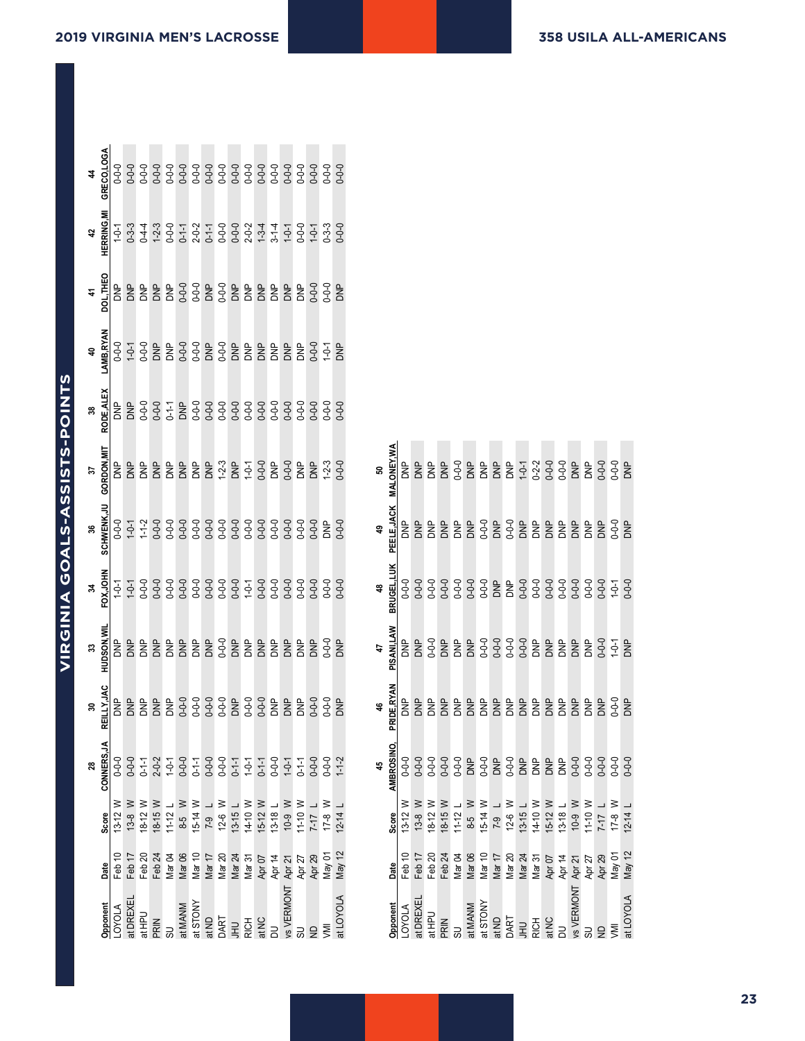**Virginia Game-by-Game Goals-Assists-Points**

|                            |                   | $\begin{array}{l} \texttt{300} \\ \texttt{41} \\ \texttt{62} \\ \texttt{73} \\ \texttt{83} \\ \texttt{94} \\ \texttt{10} \\ \texttt{21} \\ \texttt{32} \\ \texttt{43} \\ \texttt{74} \\ \texttt{85} \\ \texttt{96} \\ \texttt{11} \\ \texttt{12} \\ \texttt{13} \\ \texttt{14} \\ \texttt{15} \\ \texttt{16} \\ \texttt{17} \\ \texttt{18} \\ \texttt{19} \\ \texttt{19} \\ \texttt{19} \\ \texttt{19} \\ \texttt{19} \\ \texttt{$ |                   |  |  |                                                                                                                                                                                                                                                                                                                                                                |  |  |  |                               |                                                                                                                                                                                                                                                                                                                                                                                                                                            |
|----------------------------|-------------------|------------------------------------------------------------------------------------------------------------------------------------------------------------------------------------------------------------------------------------------------------------------------------------------------------------------------------------------------------------------------------------------------------------------------------------|-------------------|--|--|----------------------------------------------------------------------------------------------------------------------------------------------------------------------------------------------------------------------------------------------------------------------------------------------------------------------------------------------------------------|--|--|--|-------------------------------|--------------------------------------------------------------------------------------------------------------------------------------------------------------------------------------------------------------------------------------------------------------------------------------------------------------------------------------------------------------------------------------------------------------------------------------------|
| 42<br>HERRING.M'           |                   |                                                                                                                                                                                                                                                                                                                                                                                                                                    |                   |  |  |                                                                                                                                                                                                                                                                                                                                                                |  |  |  |                               |                                                                                                                                                                                                                                                                                                                                                                                                                                            |
|                            |                   |                                                                                                                                                                                                                                                                                                                                                                                                                                    |                   |  |  |                                                                                                                                                                                                                                                                                                                                                                |  |  |  |                               |                                                                                                                                                                                                                                                                                                                                                                                                                                            |
|                            |                   |                                                                                                                                                                                                                                                                                                                                                                                                                                    |                   |  |  |                                                                                                                                                                                                                                                                                                                                                                |  |  |  |                               |                                                                                                                                                                                                                                                                                                                                                                                                                                            |
|                            |                   |                                                                                                                                                                                                                                                                                                                                                                                                                                    |                   |  |  |                                                                                                                                                                                                                                                                                                                                                                |  |  |  |                               |                                                                                                                                                                                                                                                                                                                                                                                                                                            |
| $\frac{37}{37}$ GORDON.MIT |                   |                                                                                                                                                                                                                                                                                                                                                                                                                                    |                   |  |  |                                                                                                                                                                                                                                                                                                                                                                |  |  |  |                               |                                                                                                                                                                                                                                                                                                                                                                                                                                            |
|                            |                   |                                                                                                                                                                                                                                                                                                                                                                                                                                    |                   |  |  |                                                                                                                                                                                                                                                                                                                                                                |  |  |  |                               | $\begin{array}{l} \mathbf{S} & \mathbf{S} & \mathbf{S} \\ \mathbf{S} & \mathbf{S} & \mathbf{S} \\ \mathbf{S} & \mathbf{S} & \mathbf{S} \\ \mathbf{S} & \mathbf{S} & \mathbf{S} \\ \mathbf{S} & \mathbf{S} & \mathbf{S} \\ \mathbf{S} & \mathbf{S} & \mathbf{S} \\ \mathbf{S} & \mathbf{S} & \mathbf{S} \\ \mathbf{S} & \mathbf{S} & \mathbf{S} \\ \mathbf{S} & \mathbf{S} & \mathbf{S} \\ \mathbf{S} & \mathbf{S} & \mathbf{S} \\ \mathbf$ |
|                            |                   |                                                                                                                                                                                                                                                                                                                                                                                                                                    |                   |  |  |                                                                                                                                                                                                                                                                                                                                                                |  |  |  |                               |                                                                                                                                                                                                                                                                                                                                                                                                                                            |
| 33<br>HU <u>DSON, WI</u> P |                   |                                                                                                                                                                                                                                                                                                                                                                                                                                    |                   |  |  |                                                                                                                                                                                                                                                                                                                                                                |  |  |  |                               |                                                                                                                                                                                                                                                                                                                                                                                                                                            |
|                            |                   |                                                                                                                                                                                                                                                                                                                                                                                                                                    |                   |  |  |                                                                                                                                                                                                                                                                                                                                                                |  |  |  |                               |                                                                                                                                                                                                                                                                                                                                                                                                                                            |
|                            | <b>CONNERS,JA</b> | $0 - 0 - 0$                                                                                                                                                                                                                                                                                                                                                                                                                        |                   |  |  |                                                                                                                                                                                                                                                                                                                                                                |  |  |  |                               |                                                                                                                                                                                                                                                                                                                                                                                                                                            |
|                            | <b>Score</b>      |                                                                                                                                                                                                                                                                                                                                                                                                                                    |                   |  |  |                                                                                                                                                                                                                                                                                                                                                                |  |  |  |                               | なおなゆけるかてななはななかけだけない おおをかける かいじん かいじん けいしゃ はいかん しゅうじゅう けいきん せいしゅう しょうかく                                                                                                                                                                                                                                                                                                                                                                     |
|                            | Date              | Feb 10                                                                                                                                                                                                                                                                                                                                                                                                                             | Feb <sub>17</sub> |  |  |                                                                                                                                                                                                                                                                                                                                                                |  |  |  |                               | Feb 20 3 4 5 5 7 8 9 7 7 8 9 7 7 8 9 7 7 8 9 7 7 8 9 7 7 8 9 7 7 8 9 7 7 8 9 7 7 8 9 7 7 8 9 7 7 8 9 7 7 8 9 7<br>Feb 24 5 6 7 8 7 8 7 8 7 8 7 8 9 7 7 8 9 7 7 8 9 7 7 8 9 7 8 9 7 8 9 7 8 9 7 8 9 7 8 9 7 8 9 7 8 9 7 8 9 7 8 9                                                                                                                                                                                                           |
|                            | pponent           | <b>AIOAC</b>                                                                                                                                                                                                                                                                                                                                                                                                                       | <b>DREXEL</b>     |  |  | $\begin{array}{l} \texttt{H} \texttt{HD} \\ \texttt{PR} \\ \texttt{SD} \\ \texttt{SD} \\ \texttt{H} \\ \texttt{H} \texttt{M} \texttt{S} \texttt{TO} \\ \texttt{M} \\ \texttt{H} \texttt{S} \texttt{TO} \\ \texttt{P} \texttt{P} \\ \texttt{R} \texttt{H} \\ \texttt{H} \texttt{N} \\ \texttt{N} \texttt{P} \\ \texttt{N} \texttt{C} \\ \texttt{N} \end{array}$ |  |  |  | /s VERMONT<br>SU<br>ND<br>VMI | <b>LLOYOLA</b>                                                                                                                                                                                                                                                                                                                                                                                                                             |

|                                                                                                                                                                        |        |                                                                                                      | 45<br>AMBROSINO,<br>$\frac{0-0.0}{0}$ |                  |                    |                          |                       | ິລ                                                                           |
|------------------------------------------------------------------------------------------------------------------------------------------------------------------------|--------|------------------------------------------------------------------------------------------------------|---------------------------------------|------------------|--------------------|--------------------------|-----------------------|------------------------------------------------------------------------------|
| pponent                                                                                                                                                                | Date   | Score                                                                                                |                                       | 46<br>PRIDE,RYAN | $47$<br>PISANI,LAW | <b>48<br/>BRUGEL,LUK</b> | 49<br>PEELE,JACK      | <b>MALONEY, WA</b>                                                           |
| <b>AIOKO</b>                                                                                                                                                           | Feb 10 | 13-12 W                                                                                              |                                       |                  | $\overline{5}$     |                          |                       |                                                                              |
| <b>ttDREXEL</b>                                                                                                                                                        | Feb 17 |                                                                                                      |                                       |                  |                    |                          |                       |                                                                              |
|                                                                                                                                                                        | Feb 20 |                                                                                                      |                                       |                  |                    |                          |                       |                                                                              |
| at HPU<br>PRIN<br>SU                                                                                                                                                   |        |                                                                                                      |                                       |                  |                    |                          |                       |                                                                              |
|                                                                                                                                                                        |        |                                                                                                      |                                       |                  |                    |                          |                       |                                                                              |
|                                                                                                                                                                        |        |                                                                                                      |                                       |                  |                    |                          |                       |                                                                              |
|                                                                                                                                                                        |        |                                                                                                      |                                       |                  |                    |                          |                       |                                                                              |
|                                                                                                                                                                        |        |                                                                                                      |                                       |                  |                    |                          |                       |                                                                              |
|                                                                                                                                                                        |        |                                                                                                      |                                       |                  |                    |                          |                       |                                                                              |
|                                                                                                                                                                        |        |                                                                                                      |                                       |                  |                    |                          |                       |                                                                              |
|                                                                                                                                                                        |        |                                                                                                      |                                       |                  |                    |                          |                       |                                                                              |
| at MANM<br>at STONY<br>at SLD<br>at DA H D H D H D H<br>at N C H D H D H D H D D H D D H D D H D D H D D D H D D D D H D D D D D D D H D D D D H D D D D H D D D H D H |        | おかかけ すいこく かんせい けいかん おかかけ きかくない かんかい かいけい けいせい こうかい しゅうけい こうしょう かんしょう こうしょう しょう こうじょう こうじょう こうじょう こうし |                                       |                  |                    |                          | $2888883838888888838$ |                                                                              |
|                                                                                                                                                                        |        |                                                                                                      |                                       |                  |                    |                          |                       |                                                                              |
| 's VERMON                                                                                                                                                              |        |                                                                                                      |                                       |                  |                    |                          |                       |                                                                              |
| $\frac{1}{2}$ $\frac{1}{2}$ $\frac{1}{2}$                                                                                                                              |        |                                                                                                      |                                       |                  |                    |                          |                       |                                                                              |
|                                                                                                                                                                        |        |                                                                                                      |                                       |                  |                    |                          |                       |                                                                              |
|                                                                                                                                                                        |        |                                                                                                      |                                       |                  |                    |                          |                       |                                                                              |
| <b>ALOVOLA</b>                                                                                                                                                         |        |                                                                                                      |                                       |                  |                    |                          |                       | E E E E S E E E E C N 3 S E E S S E E<br>E E E E S E E E E C N 3 S E E S S E |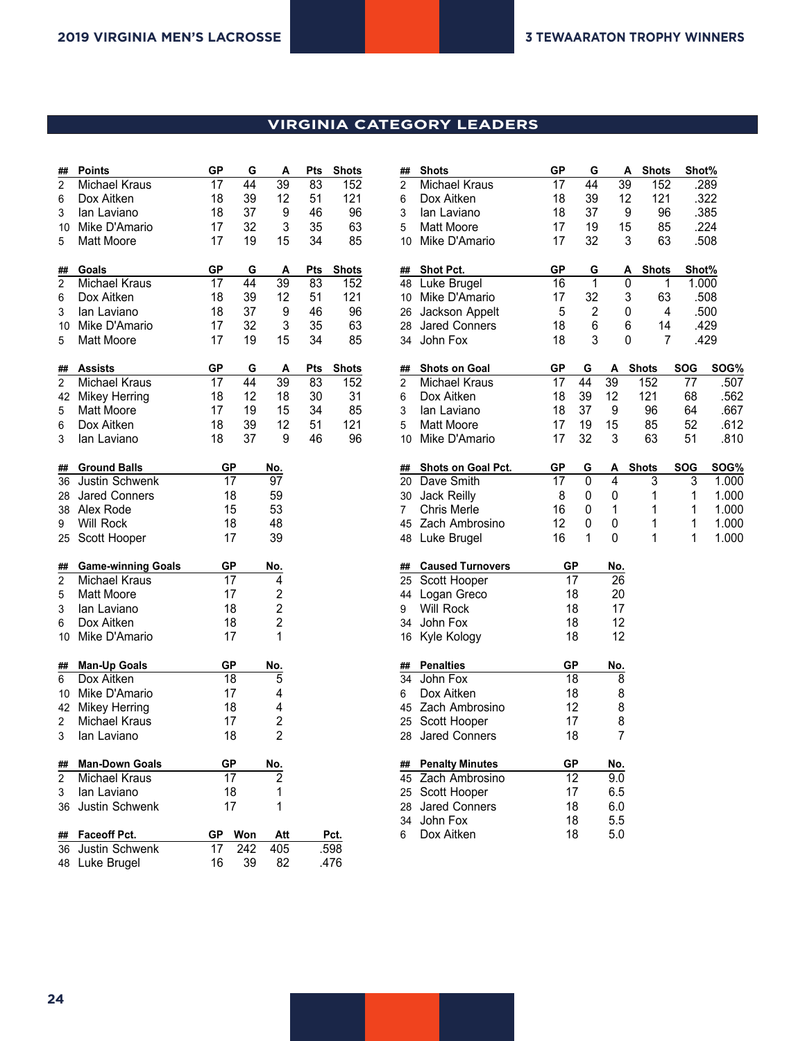## **VIRGINIA CATEGORY LEADERS**

| ##             | <b>Points</b>             | <b>GP</b>       | G   | A              | Pts        | <b>Shots</b> |
|----------------|---------------------------|-----------------|-----|----------------|------------|--------------|
| 2              | Michael Kraus             | 17              | 44  | 39             | 83         | 152          |
| 6              | Dox Aitken                | 18              | 39  | 12             | 51         | 121          |
| 3              | lan Laviano               | 18              | 37  | 9              | 46         | 96           |
| $10-10$        | Mike D'Amario             | 17              | 32  | 3              | 35         | 63           |
| 5              | <b>Matt Moore</b>         | 17              | 19  | 15             | 34         | 85           |
|                |                           |                 |     |                |            |              |
| ##             | Goals                     | <b>GP</b>       | G   | A              | Pts        | <b>Shots</b> |
| $\overline{2}$ | Michael Kraus             | 17              | 44  | 39             | 83         | 152          |
| 6              | Dox Aitken                | 18              | 39  | 12             | 51         | 121          |
| 3              | lan Laviano               | 18              | 37  | 9              | 46         | 96           |
| $10-10$        | Mike D'Amario             | 17              | 32  | 3              | 35         | 63           |
| 5              | <b>Matt Moore</b>         | 17              | 19  | 15             | 34         | 85           |
| ##             | <b>Assists</b>            | GP              | G   | Α              | <b>Pts</b> | <b>Shots</b> |
| $\overline{2}$ | Michael Kraus             | 17              | 44  | 39             | 83         | 152          |
| 42             | <b>Mikey Herring</b>      | 18              | 12  | 18             | 30         | 31           |
| 5              | Matt Moore                | 17              | 19  | 15             | 34         | 85           |
| 6              | Dox Aitken                | 18              | 39  | 12             | 51         | 121          |
| 3              | lan Laviano               | 18              | 37  | 9              | 46         | 96           |
|                |                           |                 |     |                |            |              |
| ##             | <b>Ground Balls</b>       | <b>GP</b>       |     | No.            |            |              |
| 36             | Justin Schwenk            | 17              |     | 97             |            |              |
| 28             | <b>Jared Conners</b>      | 18              |     | 59             |            |              |
| 38             | Alex Rode                 | 15              |     | 53             |            |              |
| 9              | Will Rock                 | 18              |     | 48             |            |              |
| 25             | Scott Hooper              | 17              |     | 39             |            |              |
| ##             | <b>Game-winning Goals</b> | GP              |     | No.            |            |              |
| $\overline{c}$ | Michael Kraus             | 17              |     | 4              |            |              |
| 5              | Matt Moore                | 17              |     | $\overline{c}$ |            |              |
| 3              | lan Laviano               | 18              |     | 2              |            |              |
| 6              | Dox Aitken                | 18              |     | 2              |            |              |
| 10             | Mike D'Amario             | 17              |     | 1              |            |              |
|                |                           |                 |     |                |            |              |
| ##             | <b>Man-Up Goals</b>       | GP              |     | No.            |            |              |
| 6              | Dox Aitken                | $\overline{18}$ |     | 5              |            |              |
| 10             | Mike D'Amario             | 17              |     | 4              |            |              |
| 42             | <b>Mikey Herring</b>      | 18              |     | 4              |            |              |
| 2              | <b>Michael Kraus</b>      | 17              |     | 2              |            |              |
| 3              | lan Laviano               | 18              |     | $\overline{2}$ |            |              |
| ##             | <b>Man-Down Goals</b>     | GР              |     | No.            |            |              |
| 2              | <b>Michael Kraus</b>      | 17              |     |                |            |              |
| 3              | lan Laviano               | 18              |     | 1              |            |              |
| 36             | Justin Schwenk            | 17              |     | 1              |            |              |
|                |                           |                 |     |                |            |              |
| ##             | Faceoff Pct.              | GР              | Won | Att            |            | Pct.         |
| 36             | Justin Schwenk            | 17              | 242 | 405            |            | .598         |
| 48             | Luke Brugel               | 16              | 39  | 82             |            | .476         |

|                      | Shots                        | GP        | G              |                 |                          |            |       |
|----------------------|------------------------------|-----------|----------------|-----------------|--------------------------|------------|-------|
| ##<br>$\overline{2}$ | Michael Kraus                | 17        | 44             | 39              | Α<br><b>Shots</b><br>152 | Shot%      | .289  |
|                      |                              |           |                |                 | 121                      |            |       |
| 6                    | Dox Aitken                   | 18        | 39             | 12              |                          |            | .322  |
| 3                    | lan Laviano                  | 18        | 37             |                 | 9<br>96                  |            | .385  |
| 5                    | <b>Matt Moore</b>            | 17        | 19             | 15              | 85                       |            | .224  |
| 10                   | Mike D'Amario                | 17        | 32             |                 | 3<br>63                  |            | .508  |
| ##                   | Shot Pct.                    | <b>GP</b> | G              |                 | <b>Shots</b><br>Α        | Shot%      |       |
| 48                   | Luke Brugel                  | 16        | 1              |                 | 0                        | 1<br>1.000 |       |
| 10                   | Mike D'Amario                | 17        | 32             |                 | 3<br>63                  |            | .508  |
| 26                   | Jackson Appelt               | 5         | $\overline{2}$ |                 | 0                        | 4          | .500  |
| 28                   | <b>Jared Conners</b>         | 18        | 6              |                 | 6<br>14                  |            | .429  |
| 34                   | John Fox                     | 18        | 3              |                 | 0                        | 7          | .429  |
| ##                   | <b>Shots on Goal</b>         | GP        | G              | A               | <b>Shots</b>             | <b>SOG</b> | SOG%  |
| $\overline{2}$       | Michael Kraus                | 17        | 44             | $\overline{39}$ | 152                      | 77         | .507  |
| 6                    | Dox Aitken                   | 18        | 39             | 12              | 121                      | 68         | .562  |
| 3                    | lan Laviano                  | 18        | 37             | 9               | 96                       | 64         | .667  |
| 5                    | Matt Moore                   | 17        | 19             | 15              | 85                       | 52         | .612  |
| 10                   | Mike D'Amario                | 17        | 32             | 3               | 63                       | 51         | .810  |
| ##                   | <b>Shots on Goal Pct.</b>    | <b>GP</b> | G              | А               | <b>Shots</b>             | <b>SOG</b> | SOG%  |
| 20                   | Dave Smith                   | 17        | 0              | 4               | 3                        | 3          | 1.000 |
| 30                   | Jack Reilly                  | 8         | 0              | 0               | 1                        | 1          | 1.000 |
| 7                    | <b>Chris Merle</b>           | 16        | 0              | 1               | 1                        | 1          | 1.000 |
| 45                   | Zach Ambrosino               | 12        | 0              | 0               | 1                        | 1          | 1.000 |
| 48                   | Luke Brugel                  | 16        | 1              | 0               | 1                        | 1          | 1.000 |
| ##                   | <b>Caused Turnovers</b>      | GР        |                | No.             |                          |            |       |
| 25                   | Scott Hooper                 |           | 17             | 26              |                          |            |       |
| 44                   | Logan Greco                  |           | 18             | 20              |                          |            |       |
| 9                    | Will Rock                    |           | 18             | 17              |                          |            |       |
| 34                   | John Fox                     |           | 18             | 12              |                          |            |       |
| 16                   | Kyle Kology                  |           | 18             | 12              |                          |            |       |
|                      |                              |           |                |                 |                          |            |       |
| ##<br>34             | <b>Penalties</b><br>John Fox | GР        | 18             | No.<br>8        |                          |            |       |
|                      | Dox Aitken                   |           | 18             | 8               |                          |            |       |
| 6<br>45              | Zach Ambrosino               |           | 12             | 8               |                          |            |       |
|                      |                              |           |                |                 |                          |            |       |
| 25                   | Scott Hooper                 | 17        |                | 8<br>7          |                          |            |       |
| 28                   | <b>Jared Conners</b>         |           | 18             |                 |                          |            |       |
| ##                   | <b>Penalty Minutes</b>       | GР        |                | No.             |                          |            |       |
| 45                   | Zach Ambrosino               |           | 12             | 9.0             |                          |            |       |
| 25                   | Scott Hooper                 |           | 17             | 6.5             |                          |            |       |
| 28                   | <b>Jared Conners</b>         |           | 18             | 6.0             |                          |            |       |
| 34                   | John Fox                     |           | 18             | 5.5             |                          |            |       |
| 6                    | Dox Aitken                   |           | 18             | 5.0             |                          |            |       |